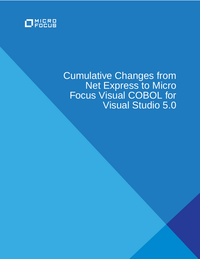

# Cumulative Changes from Net Express to Micro Focus Visual COBOL for Visual Studio 5.0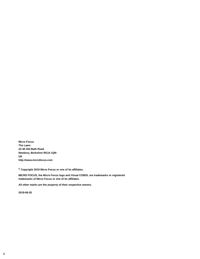**Micro Focus The Lawn 22-30 Old Bath Road Newbury, Berkshire RG14 1QN UK http://www.microfocus.com**

**© Copyright 2019 Micro Focus or one of its affiliates.**

**MICRO FOCUS, the Micro Focus logo and Visual COBOL are trademarks or registered trademarks of Micro Focus or one of its affiliates.**

**All other marks are the property of their respective owners.**

**2019-06-20**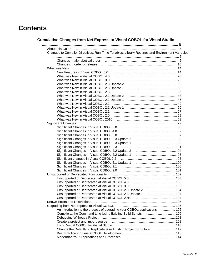# **Contents**

# **[Cumulative Changes from Net Express to Visual COBOL for Visual Studio](#page-4-0)**

| About this Guide                                                                                                                         | . 5 |
|------------------------------------------------------------------------------------------------------------------------------------------|-----|
| Changes to Compiler Directives, Run-Time Tunables, Library Routines and Environment Variables                                            |     |
|                                                                                                                                          |     |
|                                                                                                                                          |     |
|                                                                                                                                          |     |
| What was New                                                                                                                             |     |
|                                                                                                                                          |     |
|                                                                                                                                          |     |
| What was New in Visual COBOL 3.0                                                                                                         |     |
|                                                                                                                                          |     |
|                                                                                                                                          |     |
| What was New in Visual COBOL 2.3                                                                                                         |     |
|                                                                                                                                          |     |
|                                                                                                                                          |     |
| What was New in Visual COBOL 2.2                                                                                                         |     |
|                                                                                                                                          |     |
|                                                                                                                                          |     |
|                                                                                                                                          |     |
|                                                                                                                                          |     |
| <b>Significant Changes</b>                                                                                                               |     |
|                                                                                                                                          |     |
|                                                                                                                                          |     |
| Significant Changes in Visual COBOL 3.0                                                                                                  |     |
|                                                                                                                                          |     |
|                                                                                                                                          |     |
| Significant Changes in Visual COBOL 2.3                                                                                                  |     |
|                                                                                                                                          |     |
|                                                                                                                                          |     |
|                                                                                                                                          |     |
|                                                                                                                                          |     |
|                                                                                                                                          |     |
|                                                                                                                                          |     |
|                                                                                                                                          |     |
|                                                                                                                                          |     |
|                                                                                                                                          |     |
|                                                                                                                                          |     |
| Unsupported or Deprecated at Visual COBOL 2.3 Update 2 [11, 104] Unsupported or Deprecated at Visual COBOL 2.3                           |     |
|                                                                                                                                          |     |
|                                                                                                                                          |     |
| Known Errors and Restrictions                                                                                                            |     |
|                                                                                                                                          |     |
| An introduction to the process of upgrading your COBOL applications  105                                                                 |     |
| Compile at the Command Line Using Existing Build Scripts  106                                                                            |     |
| Debugging Without a Project                                                                                                              |     |
| Create a project and import source manufacture and the state and import source manufacture and the Create and T                          |     |
|                                                                                                                                          |     |
| Change the Defaults to Replicate Your Existing Project Structure <b>Change the Defaults</b> to Replicate Your Existing Project Structure |     |
|                                                                                                                                          |     |
| Modernize Your Applications and Processes                                                                                                |     |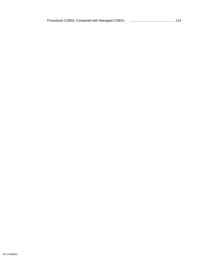| Procedural COBOL Compared with Managed COBOL |  |
|----------------------------------------------|--|
|                                              |  |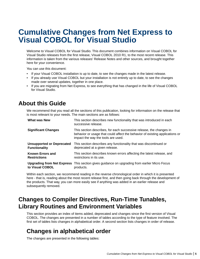# <span id="page-4-0"></span>**Cumulative Changes from Net Express to Visual COBOL for Visual Studio**

Welcome to Visual COBOL for Visual Studio. This document combines information on Visual COBOL for Visual Studio releases from the first release, Visual COBOL 2010 R1, to the most recent release. This information is taken from the various releases' Release Notes and other sources, and brought together here for your convenience.

You can use this document:

- If your Visual COBOL installation is up to date, to see the changes made in the latest release.
- If you already use Visual COBOL but your installation is not entirely up to date, to see the changes made over several updates, together in one place.
- If you are migrating from Net Express, to see everything that has changed in the life of Visual COBOL for Visual Studio.

# **About this Guide**

We recommend that you read all the sections of this publication, looking for information on the release that is most relevant to your needs. The main sections are as follows:

| What was New                      | This section describes new functionality that was introduced in each<br>successive release.                                                                                               |
|-----------------------------------|-------------------------------------------------------------------------------------------------------------------------------------------------------------------------------------------|
| <b>Significant Changes</b>        | This section describes, for each successive release, the changes in<br>behavior or usage that could affect the behavior of existing applications or<br>impact the way the tools are used. |
| <b>Unsupported or Deprecated</b>  | This section describes any functionality that was discontinued or                                                                                                                         |
| <b>Functionality</b>              | deprecated at a given release.                                                                                                                                                            |
| <b>Known Errors and</b>           | This section describes known errors affecting the latest release, and                                                                                                                     |
| <b>Restrictions</b>               | restrictions in its use.                                                                                                                                                                  |
| <b>Upgrading from Net Express</b> | This section gives guidance on upgrading from earlier Micro Focus                                                                                                                         |
| to Visual COBOL                   | products.                                                                                                                                                                                 |

Within each section, we recommend reading in the reverse chronological order in which it is presented here - that is, reading about the most recent release first, and then going back through the development of the products. That way, you can more easily see if anything was added in an earlier release and subsequently removed.

# **Changes to Compiler Directives, Run-Time Tunables, Library Routines and Environment Variables**

This section provides an index of items added, deprecated and changes since the first version of Visual COBOL. The changes are presented in a number of tables according to the type of feature involved. The first set of tables lists changes in alphabetical order. A second section lists changes in order of release.

# **Changes in alphabetical order**

The changes are presented in the following tables: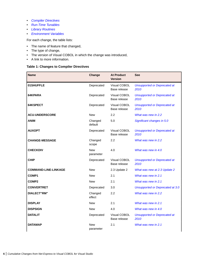- <span id="page-5-0"></span>• *Compiler Directives*
- *[Run-Time Tunables](#page-8-0)*
- *[Library Routines](#page-8-0)*
- *[Environment Variables](#page-9-0)*

For each change, the table lists:

- The name of feature that changed,
- The type of change,
- The version of Visual COBOL in which the change was introduced,
- A link to more information.

# **Table 1: Changes to Compiler Directives**

| <b>Name</b>                 | Change                  | <b>At Product</b><br><b>Version</b> | <b>See</b>                                  |
|-----------------------------|-------------------------|-------------------------------------|---------------------------------------------|
| 01SHUFFLE                   | Deprecated              | Visual COBOL<br>Base release        | <b>Unsupported or Deprecated at</b><br>2010 |
| 64KPARA                     | Deprecated              | Visual COBOL<br>Base release        | <b>Unsupported or Deprecated at</b><br>2010 |
| 64KSPECT                    | Deprecated              | Visual COBOL<br>Base release        | <b>Unsupported or Deprecated at</b><br>2010 |
| <b>ACU-UNDERSCORE</b>       | <b>New</b>              | 2.2                                 | What was new in 2.2                         |
| <b>ANIM</b>                 | Changed<br>default      | 5.0                                 | Significant changes in 5.0                  |
| <b>AUXOPT</b>               | Deprecated              | Visual COBOL<br>Base release        | <b>Unsupported or Deprecated at</b><br>2010 |
| <b>CHANGE-MESSAGE</b>       | Changed<br>scope        | 2.2                                 | What was new in 2.2                         |
| <b>CHECKDIV</b>             | <b>New</b><br>parameter | 4.0                                 | What was new in 4.0                         |
| <b>CHIP</b>                 | Deprecated              | Visual COBOL<br>Base release        | <b>Unsupported or Deprecated at</b><br>2010 |
| <b>COMMAND-LINE-LINKAGE</b> | <b>New</b>              | 2.3 Update 2                        | What was new at 2.3 Update 2                |
| COMP1                       | <b>New</b>              | 2.1                                 | What was new in 2.1                         |
| COMP <sub>2</sub>           | <b>New</b>              | 2.1                                 | What was new in 2.1                         |
| <b>CONVERTRET</b>           | Deprecated              | 3.0                                 | Unsupported or Deprecated at 3.0            |
| <b>DIALECT"RM"</b>          | Changed<br>effect       | 2.2                                 | What was new in 2.2                         |
| <b>DISPLAY</b>              | <b>New</b>              | 2.1                                 | What was new in 2.1                         |
| <b>DISPSIGN</b>             | <b>New</b>              | 4.0                                 | What was new in 4.0                         |
| <b>DATALIT</b>              | Deprecated              | Visual COBOL<br>Base release        | <b>Unsupported or Deprecated at</b><br>2010 |
| <b>DATAMAP</b>              | <b>New</b><br>parameter | 2.1                                 | What was new in 2.1                         |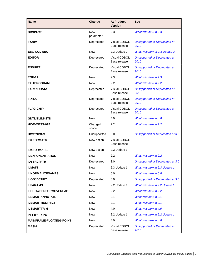| <b>Name</b>                     | Change                  | <b>At Product</b><br><b>Version</b> | <b>See</b>                                  |
|---------------------------------|-------------------------|-------------------------------------|---------------------------------------------|
| <b>DBSPACE</b>                  | <b>New</b><br>parameter | 2.3                                 | What was new in 2.3                         |
| <b>EANIM</b>                    | Deprecated              | Visual COBOL<br>Base release        | <b>Unsupported or Deprecated at</b><br>2010 |
| <b>EBC-COL-SEQ</b>              | <b>New</b>              | 2.3 Update 2                        | What was new at 2.3 Update 2                |
| <b>EDITOR</b>                   | Deprecated              | Visual COBOL<br>Base release        | <b>Unsupported or Deprecated at</b><br>2010 |
| <b>ENSUITE</b>                  | Deprecated              | Visual COBOL<br>Base release        | <b>Unsupported or Deprecated at</b><br>2010 |
| EOF-1A                          | <b>New</b>              | 2.3                                 | What was new in 2.3                         |
| <b>EXITPROGRAM</b>              | <b>New</b>              | 2.2                                 | What was new in 2.2                         |
| <b>EXPANDDATA</b>               | Deprecated              | Visual COBOL<br>Base release        | <b>Unsupported or Deprecated at</b><br>2010 |
| <b>FIXING</b>                   | Deprecated              | Visual COBOL<br>Base release        | <b>Unsupported or Deprecated at</b><br>2010 |
| <b>FLAG-CHIP</b>                | Deprecated              | Visual COBOL<br>Base release        | <b>Unsupported or Deprecated at</b><br>2010 |
| <b>GNTLITLINKSTD</b>            | <b>New</b>              | 4.0                                 | What was new in 4.0                         |
| <b>HIDE-MESSAGE</b>             | Changed<br>scope        | 2.2                                 | What was new in 2.2                         |
| <b>HOSTSIGNS</b>                | Unsupported             | 3.0                                 | Unsupported or Deprecated at 3.0            |
| <b>IDXFORMAT8</b>               | New option              | Visual COBOL<br>Base release        |                                             |
| <b>IDXFORMAT12</b>              | New option              | 2.3 Update 1                        |                                             |
| <b>ILEXPONENTIATION</b>         | <b>New</b>              | 2.2                                 | What was new in 2.2                         |
| <b>IDYSRCPATH</b>               | Deprecated              | 3.0                                 | Unsupported or Deprecated at 3.0            |
| <b>ILMAIN</b>                   | <b>New</b>              | 2.3 Update 1                        | What was new in 2.3 Update 1                |
| <b>ILNORMALIZENAMES</b>         | <b>New</b>              | 5.0                                 | What was new in 5.0                         |
| <b>ILOBJECTIFY</b>              | Deprecated              | 3.0                                 | Unsupported or Deprecated at 3.0            |
| <b>ILPARAMS</b>                 | <b>New</b>              | 2.2 Update 1                        | What was new in 2.2 Update 1                |
| <b>ILSHOWPERFORMOVERLAP</b>     | <b>New</b>              | $2.2^{\circ}$                       | What was new in 2.2                         |
| <b>ILSMARTANNOTATE</b>          | <b>New</b>              | 2.1                                 | What was new in 2.1                         |
| <b>ILSMARTRESTRICT</b>          | <b>New</b>              | 2.1                                 | What was new in 2.1                         |
| <b>ILSMARTTRIM</b>              | <b>New</b>              | 4.0                                 | What was new in 4.0                         |
| <b>INIT-BY-TYPE</b>             | <b>New</b>              | 2.2 Update 1                        | What was new in 2.2 Update 1                |
| <b>MAINFRAME-FLOATING-POINT</b> | <b>New</b>              | 4.0                                 | What was new in 4.0                         |
| <b>MASM</b>                     | Deprecated              | Visual COBOL<br>Base release        | <b>Unsupported or Deprecated at</b><br>2010 |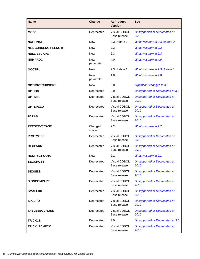| <b>Name</b>                | Change                  | <b>At Product</b><br><b>Version</b> | <b>See</b>                                  |
|----------------------------|-------------------------|-------------------------------------|---------------------------------------------|
| <b>MODEL</b>               | Deprecated              | Visual COBOL<br>Base release        | <b>Unsupported or Deprecated at</b><br>2010 |
| <b>NATIONAL</b>            | <b>New</b>              | 2.3 Update 2                        | What was new at 2.3 Update 2                |
| <b>NLS-CURRENCY-LENGTH</b> | <b>New</b>              | 2.3                                 | What was new in 2.3                         |
| <b>NULL-ESCAPE</b>         | <b>New</b>              | 2.3                                 | What was new in 2.3                         |
| <b>NUMPROC</b>             | <b>New</b><br>parameter | 4.0                                 | What was new in 4.0                         |
| <b>OOCTRL</b>              | <b>New</b>              | 2.3 Update 1                        | What was new in 2.3 Update 1                |
|                            | <b>New</b><br>parameter | 4.0                                 | What was new in 4.0                         |
| <b>OPTIMIZECURSORS</b>     | New                     | 3.0                                 | Significant changes in 3.0                  |
| <b>OPTION</b>              | Deprecated              | 3.0                                 | Unsupported or Deprecated at 3.0            |
| <b>OPTSIZE</b>             | Deprecated              | Visual COBOL<br>Base release        | <b>Unsupported or Deprecated at</b><br>2010 |
| <b>OPTSPEED</b>            | Deprecated              | Visual COBOL<br>Base release        | <b>Unsupported or Deprecated at</b><br>2010 |
| <b>PARAS</b>               | Deprecated              | Visual COBOL<br>Base release        | <b>Unsupported or Deprecated at</b><br>2010 |
| <b>PRESERVECASE</b>        | Changed<br>scope        | 2.2                                 | What was new in 2.2                         |
| <b>PROTMODE</b>            | Deprecated              | Visual COBOL<br>Base release        | <b>Unsupported or Deprecated at</b><br>2010 |
| <b>REGPARM</b>             | Deprecated              | Visual COBOL<br>Base release        | <b>Unsupported or Deprecated at</b><br>2010 |
| <b>RESTRICT-GOTO</b>       | New                     | 2.1                                 | What was new in 2.1                         |
| <b>SEGCROSS</b>            | Deprecated              | Visual COBOL<br>Base release        | <b>Unsupported or Deprecated at</b><br>2010 |
| <b>SEGSIZE</b>             | Deprecated              | Visual COBOL<br>Base release        | <b>Unsupported or Deprecated at</b><br>2010 |
| <b>SIGNCOMPARE</b>         | Deprecated              | Visual COBOL<br>Base release        | <b>Unsupported or Deprecated at</b><br>2010 |
| <b>SMALLDD</b>             | Deprecated              | Visual COBOL<br>Base release        | <b>Unsupported or Deprecated at</b><br>2010 |
| <b>SPZERO</b>              | Deprecated              | Visual COBOL<br>Base release        | <b>Unsupported or Deprecated at</b><br>2010 |
| <b>TABLESEGCROSS</b>       | Deprecated              | Visual COBOL<br>Base release        | <b>Unsupported or Deprecated at</b><br>2010 |
| <b>TRICKLE</b>             | Deprecated              | 3.0                                 | <b>Unsupported or Deprecated at 3.0</b>     |
| <b>TRICKLECHECK</b>        | Deprecated              | Visual COBOL                        | <b>Unsupported or Deprecated at</b>         |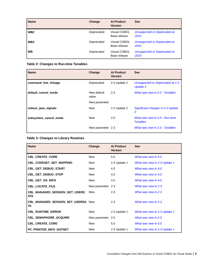<span id="page-8-0"></span>

| <b>Name</b>     | Change     | <b>At Product</b><br><b>Version</b> | <b>See</b>                                  |
|-----------------|------------|-------------------------------------|---------------------------------------------|
| WB <sub>2</sub> | Deprecated | Visual COBOL<br>Base release        | <b>Unsupported or Deprecated at</b><br>2010 |
| WB <sub>3</sub> | Deprecated | <b>Visual COBOL</b><br>Base release | <b>Unsupported or Deprecated at</b><br>2010 |
| <b>WB</b>       | Deprecated | <b>Visual COBOL</b><br>Base release | <b>Unsupported or Deprecated at</b><br>2010 |

# **Table 2: Changes to Run-time Tunables**

| <b>Name</b>           | Change               | <b>At Product</b><br><b>Version</b> | <b>See</b>                                          |
|-----------------------|----------------------|-------------------------------------|-----------------------------------------------------|
| command_line_linkage  | Deprecated           | 2.3 Update 2                        | Unsupported or Deprecated at 2.3<br><b>Update 2</b> |
| default cancel mode   | New default<br>value | 2.3                                 | What was new in 2.3 - Tunables                      |
|                       | New parameter        |                                     |                                                     |
| reduce_java_signals   | <b>New</b>           | 2.2 Update 2                        | Significant changes in 2.2 Update<br>2              |
| subsystem cancel mode | <b>New</b>           | 2.0                                 | What was new in 2.0 - Run-time<br><b>Tunables</b>   |
|                       | New parameter 2.3    |                                     | What was new in 2.3 - Tunables                      |

# **Table 3: Changes to Library Routines**

| <b>Name</b>                                        | Change            | <b>At Product</b><br><b>Version</b> | <b>See</b>                   |
|----------------------------------------------------|-------------------|-------------------------------------|------------------------------|
| <b>CBL_CREATE_CORE</b>                             | <b>New</b>        | 5.0                                 | What was new in 5.0          |
| <b>CBL_CODESET_SET_MAPPING</b>                     | New               | 2.3 Update 1                        | What was new in 2.3 Update 1 |
| CBL_GET_DEBUG_START                                | New               | 4.0                                 | What was new in 4,0          |
| CBL_GET_DEBUG_STOP                                 | <b>New</b>        | 4.0                                 | What was new in 4,0          |
| <b>CBL_GET_OS_INFO</b>                             | <b>New</b>        | 4.0                                 | What was new in 4.0          |
| <b>CBL_LOCATE_FILE</b>                             | New parameter 2.3 |                                     | What was new in 2.3          |
| <b>CBL_MANAGED_SESSION_GET_USERD</b><br><b>ATA</b> | New               | 2.3                                 | What was new in 2.3          |
| <b>CBL_MANAGED_SESSION_SET_USERDA New</b><br>TA    |                   | 2.3                                 | What was new in 2.3          |
| <b>CBL_RUNTIME_ERROR</b>                           | New               | 2.3 Update 1                        | What was new in 2.3 Update 1 |
| <b>CBL_SEMAPHORE_ACQUIRE</b>                       | New parameter 2.0 |                                     | What was new in 2.0          |
| <b>CBL_CREATE_CORE</b>                             | <b>New</b>        | 5.0                                 | What was new in 5.0          |
| PC_PRINTER_INFO_DOTNET                             | New               | 2.3 Update 1                        | What was new in 2.3 Update 1 |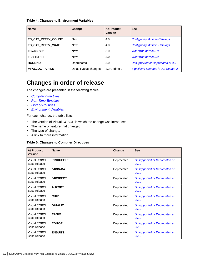# <span id="page-9-0"></span>**Table 4: Changes to Environment Variables**

| <b>Name</b>              | Change                | <b>At Product</b><br><b>Version</b> | <b>See</b>                           |
|--------------------------|-----------------------|-------------------------------------|--------------------------------------|
| ES_CAT_RETRY_COUNT       | <b>New</b>            | 4.0                                 | <b>Configuring Multiple Catalogs</b> |
| <b>ES_CAT_RETRY_WAIT</b> | <b>New</b>            | 4.0                                 | <b>Configuring Multiple Catalogs</b> |
| <b>FSWRKDIR</b>          | <b>New</b>            | 3.0                                 | What was new in 3.0                  |
| <b>FSCHKLFH</b>          | <b>New</b>            | 3.0                                 | What was new in 3.0                  |
| <b>HCOBND</b>            | Deprecated            | 3.0                                 | Unsupported or Deprecated at 3.0     |
| <b>MFALLOC PCFILE</b>    | Default value changes | 2.2 Update 2                        | Significant changes in 2.2 Update 2  |

# **Changes in order of release**

The changes are presented in the following tables:

- *[Compiler Directives](#page-5-0)*
- *[Run-Time Tunables](#page-8-0)*
- *[Library Routines](#page-8-0)*
- *Environment Variables*

For each change, the table lists:

- The version of Visual COBOL in which the change was introduced,
- The name of feature that changed,
- The type of change,
- A link to more information.

# **Table 5: Changes to Compiler Directives**

| <b>At Product</b><br>Version | <b>Name</b>    | Change     | <b>See</b>                                  |
|------------------------------|----------------|------------|---------------------------------------------|
| Visual COBOL<br>Base release | 01SHUFFLE      | Deprecated | <b>Unsupported or Deprecated at</b><br>2010 |
| Visual COBOL<br>Base release | 64KPARA        | Deprecated | Unsupported or Deprecated at<br>2010        |
| Visual COBOL<br>Base release | 64KSPECT       | Deprecated | <b>Unsupported or Deprecated at</b><br>2010 |
| Visual COBOL<br>Base release | <b>AUXOPT</b>  | Deprecated | Unsupported or Deprecated at<br>2010        |
| Visual COBOL<br>Base release | <b>CHIP</b>    | Deprecated | Unsupported or Deprecated at<br>2010        |
| Visual COBOL<br>Base release | <b>DATALIT</b> | Deprecated | Unsupported or Deprecated at<br>2010        |
| Visual COBOL<br>Base release | <b>EANIM</b>   | Deprecated | <b>Unsupported or Deprecated at</b><br>2010 |
| Visual COBOL<br>Base release | <b>EDITOR</b>  | Deprecated | Unsupported or Deprecated at<br>2010        |
| Visual COBOL<br>Base release | <b>ENSUITE</b> | Deprecated | <b>Unsupported or Deprecated at</b><br>2010 |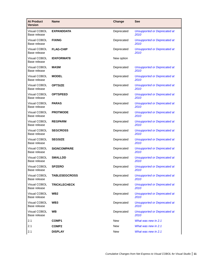| <b>At Product</b><br><b>Version</b> | <b>Name</b>          | Change     | <b>See</b>                                  |
|-------------------------------------|----------------------|------------|---------------------------------------------|
| Visual COBOL<br>Base release        | <b>EXPANDDATA</b>    | Deprecated | <b>Unsupported or Deprecated at</b><br>2010 |
| Visual COBOL<br>Base release        | <b>FIXING</b>        | Deprecated | <b>Unsupported or Deprecated at</b><br>2010 |
| Visual COBOL<br>Base release        | <b>FLAG-CHIP</b>     | Deprecated | <b>Unsupported or Deprecated at</b><br>2010 |
| <b>Visual COBOL</b><br>Base release | <b>IDXFORMAT8</b>    | New option |                                             |
| Visual COBOL<br>Base release        | <b>MASM</b>          | Deprecated | <b>Unsupported or Deprecated at</b><br>2010 |
| Visual COBOL<br>Base release        | <b>MODEL</b>         | Deprecated | <b>Unsupported or Deprecated at</b><br>2010 |
| <b>Visual COBOL</b><br>Base release | <b>OPTSIZE</b>       | Deprecated | <b>Unsupported or Deprecated at</b><br>2010 |
| Visual COBOL<br>Base release        | <b>OPTSPEED</b>      | Deprecated | <b>Unsupported or Deprecated at</b><br>2010 |
| Visual COBOL<br>Base release        | <b>PARAS</b>         | Deprecated | <b>Unsupported or Deprecated at</b><br>2010 |
| Visual COBOL<br>Base release        | <b>PROTMODE</b>      | Deprecated | <b>Unsupported or Deprecated at</b><br>2010 |
| <b>Visual COBOL</b><br>Base release | <b>REGPARM</b>       | Deprecated | <b>Unsupported or Deprecated at</b><br>2010 |
| Visual COBOL<br>Base release        | <b>SEGCROSS</b>      | Deprecated | <b>Unsupported or Deprecated at</b><br>2010 |
| Visual COBOL<br>Base release        | <b>SEGSIZE</b>       | Deprecated | <b>Unsupported or Deprecated at</b><br>2010 |
| <b>Visual COBOL</b><br>Base release | <b>SIGNCOMPARE</b>   | Deprecated | <b>Unsupported or Deprecated at</b><br>2010 |
| Visual COBOL<br>Base release        | <b>SMALLDD</b>       | Deprecated | <b>Unsupported or Deprecated at</b><br>2010 |
| Visual COBOL<br>Base release        | <b>SPZERO</b>        | Deprecated | <b>Unsupported or Deprecated at</b><br>2010 |
| Visual COBOL<br>Base release        | <b>TABLESEGCROSS</b> | Deprecated | <b>Unsupported or Deprecated at</b><br>2010 |
| Visual COBOL<br>Base release        | <b>TRICKLECHECK</b>  | Deprecated | <b>Unsupported or Deprecated at</b><br>2010 |
| Visual COBOL<br>Base release        | WB <sub>2</sub>      | Deprecated | <b>Unsupported or Deprecated at</b><br>2010 |
| Visual COBOL<br>Base release        | WB <sub>3</sub>      | Deprecated | <b>Unsupported or Deprecated at</b><br>2010 |
| Visual COBOL<br>Base release        | <b>WB</b>            | Deprecated | <b>Unsupported or Deprecated at</b><br>2010 |
| 2.1                                 | <b>COMP1</b>         | <b>New</b> | What was new in 2.1                         |
| 2.1                                 | <b>COMP2</b>         | <b>New</b> | What was new in 2.1                         |
| 2.1                                 | <b>DISPLAY</b>       | <b>New</b> | What was new in 2.1                         |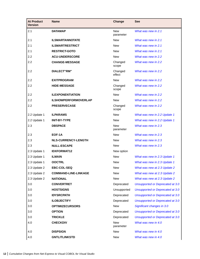| <b>At Product</b><br><b>Version</b> | <b>Name</b>                 | Change                  | <b>See</b>                       |
|-------------------------------------|-----------------------------|-------------------------|----------------------------------|
| 2.1                                 | <b>DATAMAP</b>              | <b>New</b><br>parameter | What was new in 2.1              |
| 2.1                                 | <b>ILSMARTANNOTATE</b>      | New                     | What was new in 2.1              |
| 2.1                                 | <b>ILSMARTRESTRICT</b>      | <b>New</b>              | What was new in 2.1              |
| 2.1                                 | <b>RESTRICT-GOTO</b>        | <b>New</b>              | What was new in 2.1              |
| 2.2                                 | <b>ACU-UNDERSCORE</b>       | <b>New</b>              | What was new in 2.2              |
| 2.2                                 | <b>CHANGE-MESSAGE</b>       | Changed<br>scope        | What was new in 2.2              |
| 2.2                                 | <b>DIALECT"RM"</b>          | Changed<br>effect       | What was new in 2.2              |
| 2.2                                 | <b>EXITPROGRAM</b>          | <b>New</b>              | What was new in 2.2              |
| 2.2                                 | <b>HIDE-MESSAGE</b>         | Changed<br>scope        | What was new in 2.2              |
| 2.2                                 | <b>ILEXPONENTIATION</b>     | <b>New</b>              | What was new in 2.2              |
| 2.2                                 | <b>ILSHOWPERFORMOVERLAP</b> | <b>New</b>              | What was new in 2.2              |
| 2.2                                 | <b>PRESERVECASE</b>         | Changed<br>scope        | What was new in 2.2              |
| 2.2 Update 1                        | <b>ILPARAMS</b>             | New                     | What was new in 2.2 Update 1     |
| 2.2 Update 1                        | <b>INIT-BY-TYPE</b>         | <b>New</b>              | What was new in 2.2 Update 1     |
| 2.3                                 | <b>DBSPACE</b>              | <b>New</b><br>parameter | What was new in 2.3              |
| 2.3                                 | EOF-1A                      | <b>New</b>              | What was new in 2.3              |
| 2.3                                 | <b>NLS-CURRENCY-LENGTH</b>  | <b>New</b>              | What was new in 2.3              |
| 2.3                                 | <b>NULL-ESCAPE</b>          | <b>New</b>              | What was new in 2.3              |
| 2.3 Update 1                        | <b>IDXFORMAT12</b>          | New option              |                                  |
| 2.3 Update 1                        | <b>ILMAIN</b>               | <b>New</b>              | What was new in 2.3 Update 1     |
| 2.3 Update 1                        | <b>OOCTRL</b>               | New                     | What was new in 2.3 Update 1     |
| 2.3 Update 2                        | <b>EBC-COL-SEQ</b>          | New                     | What was new at 2.3 Update 2     |
| 2.3 Update 2                        | <b>COMMAND-LINE-LINKAGE</b> | New                     | What was new at 2.3 Update 2     |
| 2.3 Update 2                        | <b>NATIONAL</b>             | <b>New</b>              | What was new at 2.3 Update 2     |
| 3.0                                 | <b>CONVERTRET</b>           | Deprecated              | Unsupported or Deprecated at 3.0 |
| 3.0                                 | <b>HOSTSIGNS</b>            | Unsupported             | Unsupported or Deprecated at 3.0 |
| 3.0                                 | <b>IDYSRCPATH</b>           | Deprecated              | Unsupported or Deprecated at 3.0 |
| 3.0                                 | <b>ILOBJECTIFY</b>          | Deprecated              | Unsupported or Deprecated at 3.0 |
| 3.0                                 | <b>OPTIMIZECURSORS</b>      | <b>New</b>              | Significant changes in 3.0       |
| 3.0                                 | <b>OPTION</b>               | Deprecated              | Unsupported or Deprecated at 3.0 |
| 3.0                                 | <b>TRICKLE</b>              | Deprecated              | Unsupported or Deprecated at 3.0 |
| 4.0                                 | <b>CHECKDIV</b>             | <b>New</b><br>parameter | What was new in 4.0              |
| 4.0                                 | <b>DISPSIGN</b>             | <b>New</b>              | What was new in 4.0              |
| 4.0                                 | <b>GNTLITLINKSTD</b>        | <b>New</b>              | What was new in 4.0              |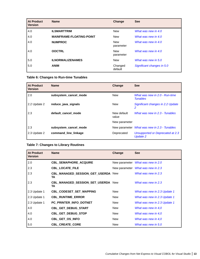| <b>At Product</b><br><b>Version</b> | <b>Name</b>                     | Change                  | <b>See</b>                 |
|-------------------------------------|---------------------------------|-------------------------|----------------------------|
| 4.0                                 | <b>ILSMARTTRIM</b>              | <b>New</b>              | What was new in 4.0        |
| 4.0                                 | <b>MAINFRAME-FLOATING-POINT</b> | <b>New</b>              | What was new in 4.0        |
| 4.0                                 | <b>NUMPROC</b>                  | <b>New</b><br>parameter | What was new in 4.0        |
| 4.0                                 | <b>OOCTRL</b>                   | <b>New</b><br>parameter | What was new in 4.0        |
| 5.0                                 | <b>ILNORMALIZENAMES</b>         | <b>New</b>              | What was new in 5.0        |
| 5.0                                 | <b>ANIM</b>                     | Changed<br>default      | Significant changes in 5.0 |

# **Table 6: Changes to Run-time Tunables**

| <b>At Product</b><br><b>Version</b> | <b>Name</b>           | Change               | <b>See</b>                                          |
|-------------------------------------|-----------------------|----------------------|-----------------------------------------------------|
| 2.0                                 | subsystem cancel mode | <b>New</b>           | What was new in 2.0 - Run-time<br><b>Tunables</b>   |
| 2.2 Update 2                        | reduce_java_signals   | <b>New</b>           | Significant changes in 2.2 Update<br>2              |
| 2.3                                 | default cancel mode   | New default<br>value | What was new in 2.3 - Tunables                      |
|                                     |                       | New parameter        |                                                     |
| 2.3                                 | subsystem_cancel_mode |                      | New parameter <i>What was new in 2.3 - Tunables</i> |
| 2.3 Update 2                        | command_line_linkage  | Deprecated           | Unsupported or Deprecated at 2.3<br><b>Update 2</b> |

# **Table 7: Changes to Library Routines**

| <b>At Product</b><br><b>Version</b> | <b>Name</b>                              | Change     | <b>See</b>                        |
|-------------------------------------|------------------------------------------|------------|-----------------------------------|
| 2.0                                 | <b>CBL_SEMAPHORE_ACQUIRE</b>             |            | New parameter What was new in 2.0 |
| 2.3                                 | <b>CBL LOCATE FILE</b>                   |            | New parameter What was new in 2.3 |
| 2.3                                 | CBL_MANAGED_SESSION_GET_USERDA New<br>TA |            | What was new in 2.3               |
| 2.3                                 | CBL_MANAGED_SESSION_SET_USERDA New<br>TA |            | What was new in 2.3               |
| 2.3 Update 1                        | CBL_CODESET_SET_MAPPING                  | <b>New</b> | What was new in 2.3 Update 1      |
| 2.3 Update 1                        | <b>CBL RUNTIME ERROR</b>                 | New        | What was new in 2.3 Update 1      |
| 2.3 Update 1                        | PC_PRINTER_INFO_DOTNET                   | New        | What was new in 2.3 Update 1      |
| 4.0                                 | CBL_GET_DEBUG_START                      | New        | What was new in 4.0               |
| 4.0                                 | CBL_GET_DEBUG_STOP                       | <b>New</b> | What was new in 4,0               |
| 4.0                                 | <b>CBL GET OS INFO</b>                   | New        | What was new in 4,0               |
| 5.0                                 | <b>CBL_CREATE_CORE</b>                   | New        | What was new in 5.0               |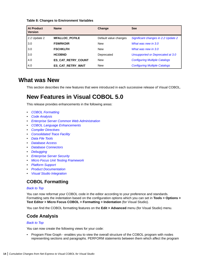# <span id="page-13-0"></span>**Table 8: Changes to Environment Variables**

| <b>At Product</b><br><b>Version</b> | <b>Name</b>               | Change                | <b>See</b>                           |
|-------------------------------------|---------------------------|-----------------------|--------------------------------------|
| 2.2 Update 2                        | <b>MFALLOC PCFILE</b>     | Default value changes | Significant changes in 2.2 Update 2  |
| 3.0                                 | <b>FSWRKDIR</b>           | <b>New</b>            | What was new in 3.0                  |
| 3.0                                 | <b>FSCHKLFH</b>           | <b>New</b>            | What was new in 3.0                  |
| 3.0                                 | <b>HCOBND</b>             | Deprecated            | Unsupported or Deprecated at 3.0     |
| 4.0                                 | <b>ES CAT RETRY COUNT</b> | <b>New</b>            | <b>Configuring Multiple Catalogs</b> |
| 4.0                                 | ES CAT RETRY WAIT         | <b>New</b>            | <b>Configuring Multiple Catalogs</b> |

# **What was New**

This section describes the new features that were introduced in each successive release of Visual COBOL.

# **New Features in Visual COBOL 5.0**

This release provides enhancements in the following areas:

- *COBOL Formatting*
- *Code Analysis*
- *[Enterprise Server Common Web Administration](#page-14-0)*
- *[COBOL Language Enhancements](#page-15-0)*
- *[Compiler Directives](#page-15-0)*
- *[Consolidated Trace Facility](#page-15-0)*
- *[Data File Tools](#page-15-0)*
- *[Database Access](#page-16-0)*
- *[Database Connectors](#page-16-0)*
- *[Debugging](#page-16-0)*
- *[Enterprise Server Security](#page-17-0)*
- *[Micro Focus Unit Testing Framework](#page-18-0)*
- *[Platform Support](#page-18-0)*
- *[Product Documentation](#page-18-0)*
- *[Visual Studio Integration](#page-18-0)*

# **COBOL Formatting**

# *Back to Top*

You can now reformat your COBOL code in the editor according to your preference and standards. Formatting sets the indentation based on the configuration options which you can set in **Tools > Options > Text Editor > Micro Focus COBOL > Formatting > Indentation** (for Visual Studio).

You can find the COBOL formatting features on the **Edit > Advanced** menu (for Visual Studio) menu.

# **Code Analysis**

# *Back to Top*

You can now create the following views for your code:

• Program Flow Graph - enables you to view the overall structure of the COBOL program with nodes representing sections and paragraphs. PERFORM statements between them which affect the program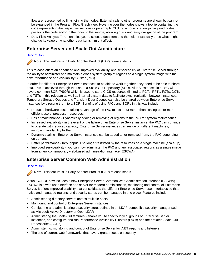<span id="page-14-0"></span>flow are represented by links joining the nodes. External calls to other programs are shown but cannot be expanded in the Program Flow Graph view. Hovering over the nodes shows a tooltip containing the code representing the respective sections or paragraph. Clicking a node or a link joining said nodes positions the code editor to that point in the source, allowing quick and easy navigation of the program.

• Data Flow Analysis Tree - enables you to select a data item and then either statically trace what might change its value or what other data items it might affect.

# **Enterprise Server and Scale Out Architecture**

# *[Back to Top](#page-13-0)*

**Note:** This feature is in Early Adopter Product (EAP) release status.

This release offers an enhanced and improved availability, and serviceability of Enterprise Server through the ability to administer and maintain a cross-system group of regions as a single system image with the new Performance and Availability Cluster (PAC).

In order for different Enterprise Server instances to be able to work together, they need to be able to share data. This is achieved through the use of a Scale Out Repository (SOR). All ES instances in a PAC will have a common SOR (PSOR) which is used to store CICS resources (limited to PCTs, PPTs, FCTs, DCTs and TSTs in this release) as well as internal system data to facilitate synchronisation between instances. Temporary Storage Queues and Transient Data Queues can also be shared between Enterprise Server instances by directing them to a SOR. Benefits of using PACs and SORs in this way include:

- Reduced hardware costs taking advantage of the PAC to scale-out rather than scaling-up for more efficient use of processor resources.
- Easier maintenance Dynamically adding or removing of regions to the PAC for system maintenance.
- Increased availability in the event of the failure of an Enterprise Server instance, the PAC can continue to operate with reduced capacity. Enterprise Server instances can reside on different machines, improving availability further.
- Dynamic scaling Enterprise Server instances can be added to, or removed from, the PAC depending on demand.
- Better performance throughput is no longer restricted by the resources on a single machine (scale-up).
- Improved serviceability you can now administer the PAC and any associated regions as a single image from a new contemporary web-based administration interface (ESCWA).

# **Enterprise Server Common Web Administration**

# *[Back to Top](#page-13-0)*

**Note:** This feature is in Early Adopter Product (EAP) release status.

Visual COBOL now includes a new Enterprise Server Common Web Administration interface (ESCWA). ESCWA is a web user interface and server for modern administration, monitoring and control of Enterprise Server. It offers improved usability that consolidates the different Enterprise Server user interfaces so that native and managed regions, and security stores can be managed in one place. Features include:

- Administering directory servers across multiple hosts.
- Monitoring and control of Enterprise Server instances.
- Configuring and administering a security store, defined in an LDAP-compatible security manager such as Microsoft Active Directory or OpenLDAP.
- Administering the Scale-Out features enable you to specify logical groups of Enterprise Server instances, and configure and run Performance Availability Clusters (PACs) and their related Scale-Out Repositories (SORs).
- Administering, monitoring and control of Enterprise Server for .NET regions and listeners.
- The use of current web frameworks that have a greater focus on security.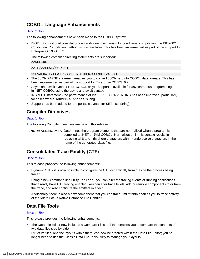# <span id="page-15-0"></span>**COBOL Language Enhancements**

# *[Back to Top](#page-13-0)*

The following enhancements have been made to the COBOL syntax:

• ISO2002 conditional compilation - an additional mechanism for conditional compilation, the ISO2002 Conditional Compilation method, is now available. This has been implemented as part of the support for Enterprise COBOL 6.2.

The following compiler directing statements are supported:

>>DEFINE

>>IF/>>ELSE/>>END-IF

>>EVALUATE/>>WHEN/>>WHEN OTHER/>>END-EVALUATE

- The JSON PARSE statement enables you to convert JSON text into COBOL data formats. This has been implemented as part of the support for Enterprise COBOL 6.2.
- Async and await syntax (.NET COBOL only) support is available for asynchronous programming in .NET COBOL using the async and await syntax.
- INSPECT statement the performance of INSPECT... CONVERTING has been improved, particularly for cases where source-alphabet is long.
- Support has been added for the portable syntax for SET set[string].

# **Compiler Directives**

# *[Back to Top](#page-13-0)*

The following Compiler directives are new in this release:

**ILNORMALIZENAMES** Determines the program elements that are normalized when a program is compiled to .NET or JVM COBOL. Normalization in this context results in replacing all \$ and - (hyphen) characters with \_ (underscore) characters in the name of the generated class file.

# **Consolidated Trace Facility (CTF)**

# *[Back to Top](#page-13-0)*

This release provides the following enhancements:

• Dynamic CTF - it is now possible to configure the CTF dynamically from outside the process being traced.

Using a new command line utility -  $cb$   $ct$  - you can alter the tracing events of running applications that already have CTF tracing enabled. You can alter trace levels, add or remove components to or from the trace, and also configure the emitters in effect.

Additionally, there is also a new component that you can trace - mf.mfdbfh enables you to trace activity of the Micro Focus Native Database File Handler.

# **Data File Tools**

# *[Back to Top](#page-13-0)*

This release provides the following enhancements:

- The Data File Editor now includes a Compare Files tool that enables you to compare the contents of two data files side-by-side.
- Structure files, and the layouts within them, can now be created within the Data File Editor; you no longer need to use the Classic Data File Tools utility to manage your layouts.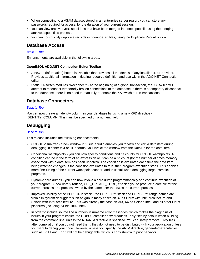- <span id="page-16-0"></span>• When connecting to a VSAM dataset stored in an enterprise server region, you can store any passwords required for access, for the duration of your current session.
- You can view archived JES spool jobs that have been merged into one spool file using the merging archived spool files process.
- You can now quickly duplicate records in non-indexed files, using the Duplicate Record option.

# **Database Access**

# *[Back to Top](#page-13-0)*

Enhancements are available in the following areas:

# **OpenESQL ADO.NET Connection Editor Toolbar**

- A new "i" (information) button is available that provides all the details of any installed .NET provider. Provides additional information mitigating resource definition and use within the ADO.NET Connection editor
- Static XA switch modules "Reconnect" At the beginning of a global transaction, the XA switch will attempt to reconnect temporarily broken connections to the database. If there is a temporary disconnect to the database, there is no need to manually re-enable the XA switch to run transactions.

# **Database Connectors**

# *[Back to Top](#page-13-0)*

You can now create an identity column in your database by using a new XFD directive - IDENTITY COLUMN. This must be specified on a numeric field.

# **Debugging**

# *[Back to Top](#page-13-0)*

This release includes the following enhancements:

- COBOL Visualizer a new window in Visual Studio enables you to view and edit a data item during debugging in either text or HEX forms. You invoke the window from the DataTip for the data item.
- Conditional watchpoints you can now specify conditions and hit counts for COBOL watchpoints. A condition can be in the form of an expression or it can be a hit count (for the number of times memory associated with a data item has been updated). The condition is evaluated each time the data item being watched changes. If the condition evaluates to true, then program execution stops. This enables more fine-tuning of the current watchpoint support and is useful when debugging large, complex programs.
- Dynamic core dumps you can now invoke a core dump programmatically and continue execution of your program. A new library routine, CBL\_CREATE\_CORE, enables you to produce a core file for the current process or a process owned by the same user that owns the current process.
- Improved visibility of the PERFORM stack the PERFORM stack and PERFORM range names are visible in system debuggers such as gdb in many cases on 32-bit Linux with Intel architecture and Solaris with Intel architecture. This was already the case on AIX, 64-bit Solaris-Intel, and all other Linux platforms (including 64-bit Linux-Intel).
- In order to include source line numbers in run-time error messages, which makes the diagnosis of issues in your program easier, the COBOL compiler now produces .idy files by default when building from the command line, unless the NOANIM directive is specified. You can safely remove . idy files after compilation if you do not need them; they do not need to be distributed with your application unless you want to debug your code. However, unless you specify the ANIM directive, generated executables such as .dll and .gnt will not be debuggable, which is consistent with prior behavior.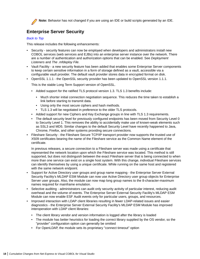<span id="page-17-0"></span>

**Note:** Behavior has not changed if you are using an IDE or build scripts generated by an IDE.

# **Enterprise Server Security**

# *[Back to Top](#page-13-0)*

This release includes the following enhancements:

- Security security features can now be employed when developers and administrators install new COBOL services (web services and EJBs) into an enterprise server instance over the network. There are a number of authentication and authorization options that can be enabled. See *Deployment Listeners* and *The .mfdeploy File*.
- Vault Facility a new security feature has been added that enables some Enterprise Server components to keep certain sensitive information in a form of storage defined as a vault, accessible via a configurable vault provider. The default vault provider stores data in encrypted format on disk.
- OpenSSL 1.1.1 the OpenSSL security provider has been updated to OpenSSL version 1.1.1.

This is the stable Long Term Support version of OpenSSL.

- Added support for the ratified TLS protocol version 1.3. TLS 1.3 benefits include:
	- Much shorter initial connection negotiation sequence. This reduces the time taken to establish a link before starting to transmit data.
	- Using only the most secure ciphers and hash methods.
	- TLS 1.3 will be negotiated in preference to the older TLS protocols.
- Added support for new Ciphers and Key Exchange groups in line with TLS 1.3 requirements.
- The default security level for previously configured endpoints has been moved from Security Level 0 to Security Level 1. This removes the ability to accidentally make use of known-weak elements such as SSL3 and MD5. Similar changes to the default Security Level have recently happened to Java, Chrome, Firefox, and other systems providing secure connections.
- Fileshare Security the Fileshare Secure TCP/IP transport provider now supports the trusted use of X509 certificates bearing the name of the Fileshare service as the Common Name element of the certificate.

In previous releases, a secure connection to a Fileshare server was made using a certificate that represented the network location upon which the Fileshare service was located. This method is still supported, but does not distinguish between the exact Fileshare server that is being connected to when more than one service can exist on a single host system. With this change, individual Fileshare services can identify themselves by using a unique certificate. While running on the same host and registered with the same network endpoint.

- Support for Active Directory user groups and group name mapping the Enterprise Server External Security Facility's MLDAP ESM Module can now use Active Directory user group objects for Enterprise Server user groups. Also, the module can now map long group names to the 8-character-maximum names required for mainframe emulation.
- Selective auditing administrators can audit only security activity of particular interest, reducing audit overhead and the volume of events. The Enterprise Server External Security Facility's MLDAP ESM Module can now enable ESF Audit events only for particular users, groups, and resources.
- Improved interaction with LDAP client libraries resulting in fewer LDAP-related issues and easier diagnostics - the Enterprise Server External Security Facility's MLDAP ESM Module has improved interoperation with LDAP client libraries:
	- The client library vendor and version information is logged after the library is loaded
	- The module has better heuristics for loading the correct library supplied by the OS vendor, so the "provider" configuration option can generally be omitted
	- For OpenLDAP, the module sets its proprietary "connect timeout" option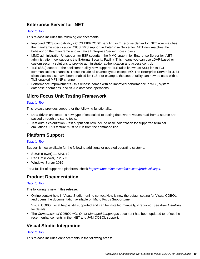# <span id="page-18-0"></span>**Enterprise Server for .NET**

# *[Back to Top](#page-13-0)*

This release includes the following enhancements:

- Improved CICS compatibility CICS EIBRCODE handling in Enterprise Server for .NET now matches the mainframe specification. CICS BMS support in Enterprise Server for .NET now matches the behavior on the mainframe and in native Enterprise Server more closely.
- MMC administration UI support for ESF security the MMC snap-in for Enterprise Server for .NET administration now supports the External Security Facility. This means you can use LDAP-based or custom security solutions to provide administrator authentication and access control.
- TLS (SSL) support the seelistener utility now supports TLS (also known as SSL) for its TCP communications channels. These include all channel types except MQ. The Enterprise Server for .NET client classes also have been enabled for TLS. For example, the seeout utility can now be used with a TLS-enabled MFBINP channel.
- Performance improvements this release comes with an improved performance in WCF, system database operations, and VSAM database operations.

# **Micro Focus Unit Testing Framework**

# *[Back to Top](#page-13-0)*

This release provides support for the following functionality:

- Data-driven unit tests a new type of test suited to testing data where values read from a source are passed through the same tests.
- Test output colorization test output can now include basic colorization for supported terminal emulations. This feature must be run from the command line.

# **Platform Support**

# *[Back to Top](#page-13-0)*

Support is now available for the following additional or updated operating systems:

- SUSE (Power) 11 SP3, 12
- Red Hat (Power) 7.2, 7.3
- Windows Server 2019

For a full list of supported platforms, check *[https://supportline.microfocus.com/prodavail.aspx](HTTPS://SUPPORTLINE.MICROFOCUS.COM/PRODAVAIL.ASPX)*.

# **Product Documentation**

# *[Back to Top](#page-13-0)*

The following is new in this release:

• Online context help in Visual Studio - online context Help is now the default setting for Visual COBOL and opens the documentation available on Micro Focus SupportLine.

Visual COBOL local help is still supported and can be installed manually, if required. See *After Installing* for details.

• The *Comparison of COBOL with Other Managed Languages* document has been updated to reflect the recent enhancements in the .NET and JVM COBOL support.

# **Visual Studio Integration**

# *[Back to Top](#page-13-0)*

This release includes enhancements in the following areas: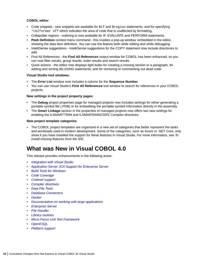# <span id="page-19-0"></span>**COBOL editor**:

- Code snippets new snippets are available for  $\frac{1}{5}$  and  $\frac{1}{5}$  region statements, and for specifying \*cblformat off which indicates the area of code that is unaffected by formatting.
- Collapsible regions outlining is now available for IF, EVALUATE and PERFORM statements.
- **Peek Definition** context menu command this invokes a pop-up window, embedded in the editor, showing the data item definition. You can use the feature both while editing and while debugging.
- IntelliSense suggestions IntelliSense suggestions for the COPY statement now include directories to add.
- Find All References the **Find All References** output window for COBOL has been enhanced, so you can now filter results, group results, order results and search results.
- Quick actions the editor now displays light bulbs for creating a missing section or a paragraph, for adding and sorting \$ILUSING statements, and for removing or commenting out dead code.

# **Visual Studio tool windows**:

- The **Error List** window now includes a column for the **Sequence Number**.
- You can use Visual Studio's **Find All References** tool window to search for references in your COBOL projects.

# **New settings in the project property pages**:

- The **Debug** project properties page for managed projects now includes settings for either generating a portable symbol file (.PDB) or for embedding the portable symbol information directly in the assembly.
- The **Smart Linkage** section in the properties of managed projects now offers two new settings for enabling the ILSMARTTRIM and ILSMARTANNOTATE Compiler directives.

# **New project template categories**:

• The COBOL project templates are organized in a new set of categories that better represent the tasks and workloads used in modern development. Some of the categories, such as Azure or .NET Core, only show if you have installed the support for these features in Visual Studio. For more information, see *To install missing features from the IDE*.

# **What was New in Visual COBOL 4.0**

This release provides enhancements in the following areas:

- *[Integration with Visual Studio](#page-20-0)*
- *[Application Server JCA Support for Enterprise Server](#page-20-0)*
- *[Build Tools for Windows](#page-20-0)*
- *[Code Coverage](#page-21-0)*
- *[Codeset support](#page-21-0)*
- *[Compiler directives](#page-21-0)*
- *[Data File Tools](#page-21-0)*
- *[Database Connectors](#page-22-0)*
- *[Docker](#page-22-0)*
- *[Documentation on working with large applications](#page-22-0)*
- *[Enterprise Server](#page-22-0)*
- *[File Handler](#page-23-0)*
- *[Library routines](#page-23-0)*
- *[Micro Focus Unit Test Framework](#page-23-0)*
- *[OpenESQL](#page-24-0)*
- *[Platform support](#page-24-0)*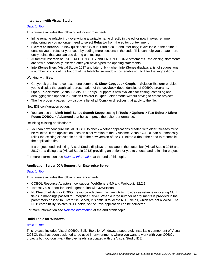# <span id="page-20-0"></span>**Integration with Visual Studio**

# *[Back to Top](#page-19-0)*

This release includes the following editor improvements:

- Inline rename refactoring overwriting a variable name directly in the editor now invokes rename refactoring so you no longer need to select **Refactor** from the editor context menu.
- **Extract to section** a new quick action (Visual Studio 2015 and later only) is available in the editor. It enables you to refactor your code by adding more sections in the code. This can help you create more entry points that you can use during unit testing.
- Automatic insertion of END-EXEC, END-TRY and END-PERFORM statements the closing statements are now automatically inserted after you have typed the opening statements.
- IntelliSense filters (Visual Studio 2017 and later only) when IntelliSense displays a list of suggestions, a number of icons at the bottom of the IntelliSense window now enable you to filter the suggestions.

Working with files:

- Copybook graphs a context menu command, **Show Copybook Graph**, in Solution Explorer enables you to display the graphical representation of the copybook dependencies of COBOL programs.
- **Open Folder** mode (Visual Studio 2017 only) support is now available for editing, compiling and debugging files opened in Solution Explorer in Open Folder mode without having to create projects.
- The file property pages now display a list of all Compiler directives that apply to the file.

New IDE configuration option:

• You can use the **Limit IntelliSense Search Scope** setting in **Tools > Options > Text Editor > Micro Focus COBOL > Advanced** that helps improve the editor performance.

Relinking existing applications:

• You can now configure Visual COBOL to check whether applications created with older releases must be relinked. If the application uses an older version of the C runtime, Visual COBOL can automatically relink the existing executable or .dll to the new version of the C runtime without the need to recompile the application first.

If a project needs relinking, Visual Studio displays a message in the status bar (Visual Studio 2015 and 2017) or a dialog box (Visual Studio 2013) providing an option for you to choose and relink the project.

For more information see *[Related Information](#page-24-0)* at the end of this topic.

# **Application Server JCA Support for Enterprise Server**

# *[Back to Top](#page-19-0)*

This release includes the following enhancements:

- COBOL Resource Adapters now support WebSphere 9.0 and WebLogic 12.2.1.
- Tomcat 7.0 support for servlet generation with J2SEBeans.
- NullSearch utility for COBOL resource adapters, this new utility provides assistance in locating NULL fields in mappings passed to Enterprise Server. When a large number of arguments is provided in the parameters passed to Enterprise Server, it is difficult to locate NULL fields, which are not allowed. The NullSearch utility isolates NULL fields, so the Java application can be corrected.

For more information see *[Related Information](#page-24-0)* at the end of this topic.

# **Build Tools for Windows**

# *[Back to Top](#page-19-0)*

This release includes Visual COBOL Build Tools for Windows, a separately-installable component of Visual COBOL that has been designed to be used in environments where you want to work with your COBOL projects but you don't want the overheads associated with the Visual Studio IDE.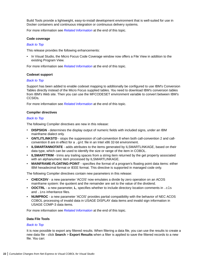<span id="page-21-0"></span>Build Tools provide a lightweight, easy-to-install development environment that is well-suited for use in Docker containers and continuous integration or continuous delivery systems.

For more information see *[Related Information](#page-24-0)* at the end of this topic.

#### **Code coverage**

#### *[Back to Top](#page-19-0)*

This release provides the following enhancements:

• In Visual Studio, the Micro Focus Code Coverage window now offers a File View in addition to the existing Program View.

For more information see *[Related Information](#page-24-0)* at the end of this topic.

#### **Codeset support**

#### *[Back to Top](#page-19-0)*

Support has been added to enable codeset mapping to additionally be configured to use IBM's Conversion Tables directly instead of the Micro Focus supplied tables. You need to download IBM's conversion tables from IBM's Web site. Then you can use the MFCODESET environment variable to convert between IBM's CCSIDs.

For more information see *[Related Information](#page-24-0)* at the end of this topic.

#### **Compiler directives**

#### *[Back to Top](#page-19-0)*

The following Compiler directives are new in this release:

- **DISPSIGN** determines the display output of numeric fields with included signs, under an IBM mainframe dialect only.
- **GNTLITLINKSTD** stops the suppression of call-convention 8 when both call-convention 2 and callconvention 8 are in effect for a .gnt file in an Intel x86 32-bit environment.
- **ILSMARTANNOTATE** adds attributes to the items generated by ILSMARTLINKAGE, based on their data type, which can be used to identify the size or range of the item in COBOL.
- **ILSMARTTRIM** trims any trailing spaces from a string item returned by the get property associated with an alphanumeric item processed by ILSMARTLINKAGE.
- **MAINFRAME-FLOATING-POINT** specifies the format of a program's floating point data items: either IBM hexadecimal format or IEEE format. This directive is supported in managed code only.

The following Compiler directives contain new parameters in this release:

- **CHECKDIV** a new parameter 'ACOS' now emulates a divide by zero operation on an ACOS mainframe system: the quotient and the remainder are set to the value of the dividend.
- **OOCTRL** a new parameter, **L**, specifies whether to include directory location comments in .cls and .ins inheritance files.
- **NUMPROC** a new parameter 'ACOS' provides partial compatibility with the behavior of NEC ACOS COBOL processing of invalid data in USAGE DISPLAY data items and invalid sign information in USAGE COMP-3 data items.

For more information see *[Related Information](#page-24-0)* at the end of this topic.

# **Data File Tools**

# *[Back to Top](#page-19-0)*

It is now possible to export any filtered results. When filtering a data file, you can use the results to create a new data file - click **Search** > **Export Results** when a filter is applied to save the filtered records to a new file. You can: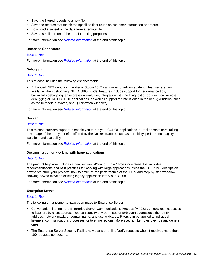- <span id="page-22-0"></span>• Save the filtered records to a new file.
- Save the records that match the specified filter (such as customer information or orders).
- Download a subset of the data from a remote file.
- Save a small portion of the data for testing purposes.

For more information see *[Related Information](#page-24-0)* at the end of this topic.

#### **Database Connectors**

#### *[Back to Top](#page-19-0)*

For more information see *[Related Information](#page-24-0)* at the end of this topic.

# **Debugging**

#### *[Back to Top](#page-19-0)*

This release includes the following enhancements:

• Enhanced .NET debugging in Visual Studio 2017 - a number of advanced debug features are now available when debugging .NET COBOL code. Features include support for performance tips, backwards debugging, an expression evaluator, integration with the Diagnostic Tools window, remote debugging of .NET COBOL applications, as well as support for IntelliSense in the debug windows (such as the Immediate, Watch, and QuickWatch windows).

For more information see *[Related Information](#page-24-0)* at the end of this topic.

#### **Docker**

#### *[Back to Top](#page-19-0)*

This release provides support to enable you to run your COBOL applications in Docker containers, taking advantage of the many benefits offered by the Docker platform such as portability, performance, agility, isolation, and scalability.

For more information see *[Related Information](#page-24-0)* at the end of this topic.

# **Documentation on working with large applications**

#### *[Back to Top](#page-19-0)*

The product help now includes a new section, *Working with a Large Code Base*, that includes recommendations and best practices for working with large applications inside the IDE. It includes tips on how to structure your projects, how to optimize the performance of the IDEs, and step-by-step workflow showing how to move an existing legacy application into Visual COBOL.

For more information see *[Related Information](#page-24-0)* at the end of this topic.

# **Enterprise Server**

# *[Back to Top](#page-19-0)*

The following enhancements have been made to Enterprise Server:

- Conversation filtering the Enterprise Server Communications Process (MFCS) can now restrict access to listeners by client address. You can specify any permitted or forbidden addresses either by IP address, network mask, or domain name, and use wildcards. Filters can be applied to individual listeners, communications processes, or to entire regions. More specific filter rules override any general ones.
- The Enterprise Server Security Facility now starts throttling Verify requests when it receives more than 100 requests per second.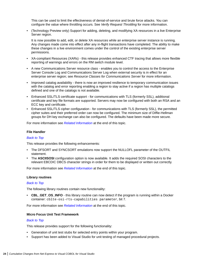<span id="page-23-0"></span>This can be used to limit the effectiveness of denial-of-service and brute force attacks. You can configure the value where throttling occurs. See *Verify Request Throttling* for more information.

• (Technology Preview only) Support for adding, deleting, and modifying XA resources in a live Enterprise Server region.

It is now possible to add, edit, or delete XA resources while an enterprise server instance is running. Any changes made come into effect after any in-flight transactions have completed. The ability to make these changes in a live environment comes under the control of the existing enterprise server permissions.

- XA-compliant Resources (XARs) this release provides enhanced CTF tracing that allows more flexible reporting of warnings and errors on the RM switch module level.
- A new Communications Server resource class enables you to control the access to the Enterprise Server Console Log and Communications Server Log when external security is in effect for an enterprise server region; see *Resource Classes for Communications Server* for more information.
- Improved catalog availability there is now an improved resilience to temporary communication issues with the catalog and error reporting enabling a region to stay active if a region has multiple catalogs defined and one of the catalogs is not available.
- Enhanced SSL/TLS certificate support for communications with TLS (formerly SSL), additional certificate and key file formats are supported. Servers may now be configured with both an RSA and an ECC key and certificate.
- Enhanced SSL/TLS cipher configuration for communications with TLS (formerly SSL), the permitted cipher suites and their preferred order can now be configured. The minimum size of Diffie-Hellman groups for DH key exchange can also be configured. The defaults have been made more secure.

For more information see *[Related Information](#page-24-0)* at the end of this topic.

# **File Handler**

# *[Back to Top](#page-19-0)*

This release provides the following enhancements:

- The DFSORT and SYNCSORT emulations now support the NULLOFL parameter of the OUTFIL statement.
- The **ASCIISOSI** configuration option is now available. It adds the required SOSI characters to the relevant EBCDIC DBCS character strings in order for them to be displayed or written out correctly.

For more information see *[Related Information](#page-24-0)* at the end of this topic.

#### **Library routines**

# *[Back to Top](#page-19-0)*

The following library routines contain new functionality:

• **CBL\_GET\_OS\_INFO** - this library routine can now detect if the program is running within a Docker container: cblte-osi-rts-capabilities parameter, bit 7.

For more information see *[Related Information](#page-24-0)* at the end of this topic.

#### **Micro Focus Unit Test Framework**

# *[Back to Top](#page-19-0)*

This release provides support for the following functionality:

- Generation of unit test stubs for selected entry points within your program.
- Support has been added to Visual Studio for unit testing of managed procedural projects.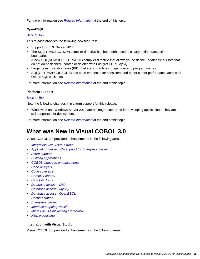<span id="page-24-0"></span>For more information see *Related Information* at the end of this topic.

# **OpenESQL**

# *[Back to Top](#page-19-0)*

This release provides the following new features:

- Support for SQL Server 2017.
- The SQL(TRANSACTION) compiler directive has been enhanced to clearly define transaction boundaries.
- A new SQL(NOWHERECURRENT) compiler directive that allows you to define updateable cursors that do not do positioned updates or deletes with PostgreSQL or MySQL.
- Larger communication area (PID) that accommodates longer plan and program names.
- SQL(OPTIMIZECURSORS) has been enhanced for consistent and better cursor performance across all OpenESQL backends.

For more information see *Related Information* at the end of this topic.

# **Platform support**

# *[Back to Top](#page-19-0)*

Note the following changes in platform support for this release:

• Windows 8 and Windows Server 2012 are no longer supported for developing applications. They are still supported for deployment.

For more information see *Related Information* at the end of this topic.

# **What was New in Visual COBOL 3.0**

Visual COBOL 3.0 provided enhancements in the following areas:

- *Integration with Visual Studio*
- *[Application Server JCA support for Enterprise Server](#page-26-0)*
- *[Azure support](#page-26-0)*
- *[Building applications](#page-26-0)*
- *[COBOL language enhancements](#page-26-0)*
- *[Code analysis](#page-26-0)*
- *[Code coverage](#page-26-0)*
- *[Compiler control](#page-27-0)*
- *[Data File Tools](#page-27-0)*
- *[Database access DB2](#page-28-0)*
- *[Database access MySQL](#page-28-0)*
- *[Database access OpenESQL](#page-28-0)*
- *[Documentation](#page-28-0)*
- *[Enterprise Server](#page-28-0)*
- *[Interface Mapping Toolkit](#page-29-0)*
- *[Micro Focus Unit Testing Framework](#page-29-0)*
- *[XML processing](#page-29-0)*

# **Integration with Visual Studio**

Visual COBOL 3.0 provided enhancements in the following areas: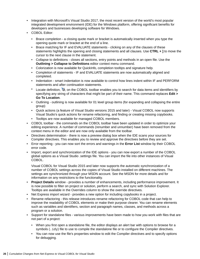- Integration with Microsoft's Visual Studio 2017, the most recent version of the world's most popular integrated development environment (IDE) for the Windows platform, offering significant benefits for developers and businesses developing software for Windows.
- COBOL Editor:
	- Brace completion a closing quote mark or bracket is automatically inserted when you type the opening quote mark or bracket at the end of a line.
	- Brace matching for IF and EVALUATE statements clicking on any of the clauses of these statements highlights the opening and closing statements and all clauses. Use **CTRL + ]** to move the cursor to the next clause in the statement.
	- Collapse to definitions closes all sections, entry points and methods in an open file. Use the **Outlining > Collapse to Definitions** editor context menu command.
	- Colorization is now available for QuickInfo, completion tooltips and signature help.
	- Completion of statements IF and EVALUATE statements are now automatically aligned and completed.
	- Indentation smart indentation is now available to control how lines indent within IF and PERFORM statements and after continuation statements.
	- Locate definition,  $\ddot{\bullet}$ , on the COBOL toolbar enables you to search for data items and identifiers by specifying any string of characters that might be part of their name. This command replaces **Edit > Go To Location**.
	- Outlining outlining is now available for 01 level group items (for expanding and collapsing the entire group)
	- Quick actions (a feature of Visual Studio versions 2015 and later) Visual COBOL now supports Visual Studio's quick actions for rename refactoring, and finding or creating missing copybooks.
	- Tooltips are now available for managed COBOL members.
- COBOL toolbar the commands on the COBOL toolbar have been updated in order to optimize your editing experience. A number of commands (renumber and unnumber) have been removed from the context menu in the editor and are now only available from the toolbar.
- Directives determination there is now a preview dialog box when the IDE scans your sources for Compiler directives. This enables you to review and approve the directives before they are set.
- Error reporting you can now sort the errors and warnings in the **Error List** window by their COBOL error code.
- Import, export and synchronization of the IDE options you can now export a number of the COBOL global options as a Visual Studio .settings file. You can import the file into other instances of Visual COBOL.

Visual COBOL for Visual Studio 2015 and later now supports the automatic synchronization of a number of COBOL settings across the copies of Visual Studio installed on different machines. The settings are synchronized through your MSDN account. See the MSDN for more details and for information on any restrictions to the functionality.

- **Project Details** window provides a number of enhancements, including performance improvement. It is now possible to filter on project or solution, perform a search, and sync with Solution Explorer. Tooltips are available in the Overrides column to show the override directives.
- Net Express import wizard provides a new option for including copybooks in a project.
- Rename refactoring this release introduces rename refactoring for COBOL code that can help to improve the readability of COBOL elements or make their purpose clearer. You can rename elements such as variables and identifiers, section and paragraph names, classes, and methods across a program or a solution.
- Support for standalone files various improvements have been made to how you work with files that are not part of a project:
	- When you first open a standalone file, the editor displays an alert bar with options to browse for a symbols  $(.idy)$  file to use to compile the standalone file or to configure the Compiler directives.
	- You can now use the file's properties window to edit the Compiler directives and to specify options for debugging.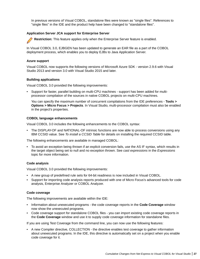<span id="page-26-0"></span>In previous versions of Visual COBOL, standalone files were known as "single files". References to "single files" in the IDE and the product help have been changed to "standalone files".

# **Application Server JCA support for Enterprise Server**

**Restriction:** This feature applies only when the Enterprise Server feature is enabled.

In Visual COBOL 3.0, EJBGEN has been updated to generate an EAR file as a part of the COBOL deployment process, which enables you to deploy EJBs to Java Application Server.

# **Azure support**

Visual COBOL now supports the following versions of Microsoft Azure SDK - version 2.9.6 with Visual Studio 2013 and version 3.0 with Visual Studio 2015 and later.

# **Building applications**

Visual COBOL 3.0 provided the following improvements:

• Support for faster, parallel building on multi-CPU machines - support has been added for multiprocessor compilation of the sources in native COBOL projects on multi-CPU machines.

You can specify the maximum number of concurrent compilations from the IDE preferences - **Tools > Options > Micro Focus > Projects**. In Visual Studio, multi-processor compilation must also be enabled in the project's properties.

# **COBOL language enhancements**

Visual COBOL 3.0 includes the following enhancements to the COBOL syntax:

• The DISPLAY-OF and NATIONAL-OF intrinsic functions are now able to process conversions using any IBM CCSID value. See *To install a CCSID Table* for details on installing the required CCSID table.

The following enhancements are available in managed COBOL:

• To avoid an exception being thrown if an explicit conversion fails, use the AS IF syntax, which results in the target object being set to null and no exception thrown. See *cast expressions* in the *Expressions* topic for more information.

# **Code analysis**

Visual COBOL 3.0 provided the following improvements:

- A new group of predefined rule sets for 64-bit readiness is now included in Visual COBOL.
- Support for importing code analysis reports produced with one of Micro Focus's advanced tools for code analysis, Enterprise Analyzer or COBOL Analyzer.

# **Code coverage**

The following improvements are available within the IDE:

- Information about unexecuted programs the code coverage reports in the **Code Coverage** window now show the unexecuted programs.
- Code coverage support for standalone COBOL files you can import existing code coverage reports in the **Code Coverage** window and use it to supply code coverage information for standalone files.

If you are using Test Coverage from the command line, you can now use the following features:

• A new Compiler directive, COLLECTION - the directive enables test coverage to gather information about unexecuted programs. In the IDE, this directive is automatically set on a project when you enable code coverage for it.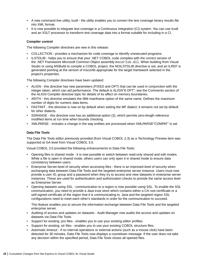- <span id="page-27-0"></span>• A new command line utility, tcutil - the utility enables you to convert the test coverage binary results file into XML format.
- It is now possible to integrate test coverage in a Continuous Integration (CI) system. You can use tcutil and an XSLT processor to transform test coverage data into a format suitable for including in a CI.

# **Compiler control**

The following Compiler directives are new in this release:

- COLLECTION provides a mechanism for code coverage to identify unexecuted programs.
- ILSTDLIB helps you to ensure that your .NET COBOL code compiles with the correct version of the .NET Framework Microsoft Common Object assembly mscorlib.dll. When building from Visual Studio or using MSBuild to compile a COBOL project, the NOILSTDLIB directive is set, and an ILREF is generated pointing at the version of mscorlib appropriate for the target framework selected in the project's properties.

The following Compiler directives have been updated:

- ALIGN this directive has new parameters (FIXED and OPT) that can be used in conjunction with the integer taken, which can aid performance. The default is ALIGN"8 OPT"; see the Comments section of the *ALIGN* Compiler directive topic for details of its affect on memory boundaries.
- ARITH this directive emulates the IBM mainframe option of the same name. Defines the maximum number of digits for numeric data items.
- FASTINIT this directive is now on by default when setting the MF dialect; it remains not set by default for other dialects.
- SSRANGE this directive now has an additional option (3), which permits zero-length reference modified items at run time when bounds checking.
- XMLPARSE includes a change in the way entities are processed when XMLPARSE"COMPAT" is set

# **Data File Tools**

The Data File Tools editor previously provided (from Visual COBOL 2.3) as a Technology Preview item was supported at GA level from Visual COBOL 3.0.

Visual COBOL 3.0 provided the following enhancements to Data File Tools:

- Opening files in shared mode it is now possible to switch between read-only shared and edit modes. While a file is open in shared mode, others users can only open it in shared mode to ensure data consistency between users.
- Enterprise Server-level of security when accessing files there is an improved level of security when exchanging data between Data File Tools and the targeted enterprise server instance. Users must now provide a user ID, group and a password when they try to access and view datasets in enterprise server instances. These are used for authentication and authorization checks to provide the same access level as Enterprise Server.
- Opening datasets using SSL communication to a region is now possible using SSL. To enable the SSL communication, you need to provide a Java trust store which contains either a CA root certificate or a self-signed certificate of the region that it is communicating to. Java and the targeted region SSL configurations need to meet each other's standards in order for the communication to succeed.

This feature enables you to secure the information exchange between Data File Tools and the targeted enterprise server.

- Auditing of access and updates on datasets Audit Manager now audits the access and updates on datasets via Data File Tools.
- Support for existing .pro files enables you to use your existing editor profiles.
- Support for existing .str files enables you to use your existing COBOL structure files.
- Automatic timeout if no internal operations or external actions (such as a mouse click) have been detected for 30 minutes, Data File Tools now displays a countdown message. If the user does not take any decision within the specified period, Data File Tools closes all opened files.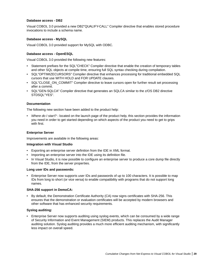# <span id="page-28-0"></span>**Database access - DB2**

Visual COBOL 3.0 provided a new DB2"QUALIFY-CALL" Compiler directive that enables stored procedure invocations to include a schema name.

# **Database access - MySQL**

Visual COBOL 3.0 provided support for MySQL with ODBC.

# **Database access - OpenESQL**

Visual COBOL 3.0 provided the following new features:

- Statement prefixes for the SQL"CHECK" Compiler directive that enable the creation of temporary tables and other SQL objects at compile time, ensuring full SQL syntax checking during compilation.
- SQL"OPTIMIZECURSORS" Compiler directive that enhances processing for traditional embedded SQL cursors that use WITH HOLD and FOR UPDATE clauses.
- SQL"CLOSE\_ON\_COMMIT" Compiler directive to leave cursors open for further result set processing after a commit.
- SQL"GEN-SQLCA" Compiler directive that generates an SQLCA similar to the z/OS DB2 directive STDSQL"YES".

# **Documentation**

The following new section have been added to the product help:

• *Where do I start?* - located on the launch page of the product help, this section provides the information you need in order to get started depending on which aspects of the product you need to get to grips with first.

# **Enterprise Server**

Improvements are available in the following areas:

# **Integration with Visual Studio**

- Exporting an enterprise server definition from the IDE in XML format.
- Importing an enterprise server into the IDE using its definition file.
- In Visual Studio, it is now possible to configure an enterprise server to produce a core dump file directly from the IDE, from the server properties.

# **Long user IDs and passwords:**

• Enterprise Server now supports user IDs and passwords of up to 100 characters. It is possible to map IDs from long to short (or vice versa) to enable compatibility with programs that do not support long names.

# **SHA-256 support in DemoCA:**

• By default, the Demonstration Certificate Authority (CA) now signs certificates with SHA-256. This ensures that the demonstration or evaluation certificates will be accepted by modern browsers and other software that has enhanced security requirements.

# **Syslog auditing:**

• Enterprise Server now supports auditing using syslog events, which can be consumed by a wide range of Security Information and Event Management (SIEM) products. This replaces the Audit Manager auditing solution. Syslog auditing provides a much more efficient auditing mechanism, with significantly less impact on overall speed.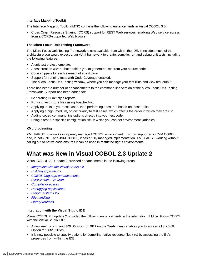# <span id="page-29-0"></span>**Interface Mapping Toolkit**

The Interface Mapping Toolkit (IMTK) contains the following enhancements in Visual COBOL 3.0:

• Cross Origin Resource Sharing (CORS) support for REST Web services, enabling Web service access from a CORS-supported Web browser.

# **The Micro Focus Unit Testing Framework**

The Micro Focus Unit Testing Framework is now available from within the IDE. It includes much of the architecture you would expect of an xUnit framework to create, compile, run and debug unit tests, including the following features:

- A unit test project template.
- A test creation wizard that enables you to generate tests from your source code.
- Code snippets for each element of a test case.
- Support for running tests with Code Coverage enabled.
- The Micro Focus Unit Testing window, where you can manage your test runs and view test output.

There has been a number of enhancements to the command line version of the Micro Focus Unit Testing Framework. Support has been added for:

- Generating NUnit-style reports.
- Running test fixture files using Apache Ant.
- Applying traits to your test cases, then performing a test run based on those traits.
- Applying a high, medium, or low priority to test cases, which affects the order in which they are run.
- Adding coded command line options directly into your test code.
- Using a test run-specific configuration file, in which you can set environment variables.

# **XML processing**

XML PARSE now works in a purely managed COBOL environment. It is now supported in JVM COBOL and, in both .NET and JVM COBOL, it has a fully managed implementation. XML PARSE working without calling out to native code ensures it can be used in restricted rights environments.

# **What was New in Visual COBOL 2.3 Update 2**

Visual COBOL 2.3 Update 2 provided enhancements in the following areas:

- *Integration with the Visual Studio IDE*
- *[Building applications](#page-30-0)*
- *[COBOL language enhancements](#page-30-0)*
- *[Classic Data File Tools](#page-30-0)*
- *[Compiler directives](#page-30-0)*
- *[Debugging applications](#page-30-0)*
- *[Dialog System GUI](#page-30-0)*
- *[File handling](#page-30-0)*
- *[Library routines](#page-31-0)*

# **Integration with the Visual Studio IDE**

Visual COBOL 2.3 update 2 provided the following enhancements in the integration of Micro Focus COBOL with the Visual Studio IDE:

- A new menu command **SQL Option for DB2** on the **Tools** menu enables you to access all the SQL Option for DB2 utilities.
- It is now possible to specify options for compiling native resource files (.rc) by accessing the file's properties from within the IDE.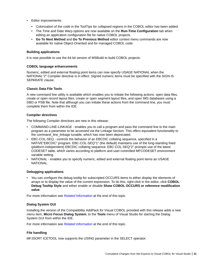- <span id="page-30-0"></span>• Editor improvements:
	- Colorization of the code in the ToolTips for collapsed regions in the COBOL editor has been added.
	- The Time and Date Warp options are now available on the **Run-Time Configuration** tab when editing an application configuration file for native COBOL projects.
	- **Go To Next Method** and **Go To Previous Method** editor context menu commands are now available for native Object-Oriented and for managed COBOL code.

# **Building applications**

It is now possible to use the 64-bit version of MSBuild to build COBOL projects.

# **COBOL language enhancements**

Numeric, edited and external floating point items can now specify USAGE NATIONAL when the NATIONAL"2" Compiler directive is in effect. Signed numeric items must be specified with the SIGN IS SEPARATE clause.

# **Classic Data File Tools**

A new command line utility is available which enables you to initiate the following actions: open data files, create or open record layout files, create or open segment layout files, and open IMS databases using a DBD or PSB file. Note that although you can initiate these actions from the command line, you must complete them from within the IDE.

# **Compiler directives**

The following Compiler directives are new in this release:

- COMMAND-LINE-LINKAGE enables you to call a program and pass the command line to the main program as a parameter to be accessed via the Linkage Section. This offers equivalent functionality to the command\_line\_linkage tunable, which has now been deprecated.
- EBC-COL-SEQ controls the behavior of an EBCDIC collating sequence, specified in a NATIVE"EBCDIC" program. EBC-COL-SEQ"1" (the default) maintains use of the long-standing fixed (platform-independent) EBCDIC collating sequence. EBC-COL-SEQ"2" prompts use of the latest CODESET table, which varies according to platform and user-controlled MFCODESET environment variable setting.
- NATIONAL enables you to specify numeric, edited and external floating point items as USAGE NATIONAL.

# **Debugging applications**

• You can configure the debug tooltip for subscripted OCCURS items to either display the elements of arrays or to display the value of the current expression. To do this, right-click in the editor, click **COBOL Debug Tooltip Style** and either enable or disable **Show COBOL OCCURS or reference modification value**.

For more information see *Related Information* at the end of this topic.

# **Dialog System GUI**

Installing the version of the Compatibility AddPack for Visual COBOL provided with this release adds a new menu item, **Micro Focus Dialog System**, to the **Tools** menu of Visual Studio for starting the Dialog System GUI from within the IDE.

For more information see *Related Information* at the end of this topic.

# **File handling**

MFJSORT ICETOOL now supports the USING parameter in the SELECT operator.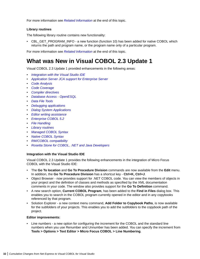<span id="page-31-0"></span>For more information see *Related Information* at the end of this topic.

# **Library routines**

The following library routine contains new functionality:

• CBL\_GET\_PROGRAM\_INFO - a new function (function 10) has been added for native COBOL which returns the path and program name, or the program name only of a particular program.

For more information see *Related Information* at the end of this topic.

# **What was New in Visual COBOL 2.3 Update 1**

Visual COBOL 2.3 Update 1 provided enhancements in the following areas:

- *Integration with the Visual Studio IDE*
- *Application Server JCA support for Enterprise Server*
- *[Code Analysis](#page-32-0)*
- *[Code Coverage](#page-32-0)*
- *[Compiler directives](#page-32-0)*
- *[Database Access OpenESQL](#page-32-0)*
- *[Data File Tools](#page-32-0)*
- *[Debugging applications](#page-33-0)*
- *[Dialog System Applications](#page-33-0)*
- *Editor writing assistance*
- *[Enterprise COBOL 5.2](#page-33-0)*
- *[File Handling](#page-34-0)*
- *[Library routines](#page-34-0)*
- *[Managed COBOL Syntax](#page-34-0)*
- *[Native COBOL Syntax](#page-34-0)*
- *[RM/COBOL compatibility](#page-34-0)*
- *[Rosetta Stone for COBOL, .NET and Java Developers](#page-34-0)*

# **Integration with the Visual Studio IDE**

Visual COBOL 2.3 Update 1 provides the following enhancements in the integration of Micro Focus COBOL with the Visual Studio IDE:

- The **Go To location** and **Go To Procedure Division** commands are now available from the **Edit** menu. In addition, the **Go To Procedure Division** has a shortcut key - **Ctrl+K, Ctrl+J**.
- Object Browser now provides support for .NET COBOL code. You can view the members of objects in your project and the definition of classes and methods as specified by the XML documentation comments in your code. The window also provides support for the **Go To Definition** command.
- A new search option, **Current COBOL Program**, has been added to the **Find in Files** dialog box. This enables you to search in the COBOL program currently opened in the editor and in any copybooks referenced by that program.
- Solution Explorer a new context menu command, **Add Folder to Copybook Paths**, is now available for the subfolders of your projects. This enables you to add the subfolders to the copybook path of the project.

# **Editor improvements:**

• Line numbers - a new option for configuring the increment for the COBOL and the standard line numbers when you use Renumber and Unnumber has been added. You can specify the increment from **Tools > Options > Text Editor > Micro Focus COBOL > Line Numbering**.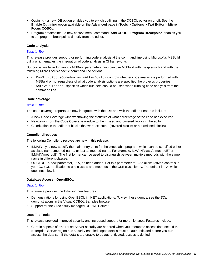- <span id="page-32-0"></span>• Outlining - a new IDE option enables you to switch outlining in the COBOL editor on or off. See the **Enable Outlining** option available on the **Advanced** page in **Tools > Options > Text Editor > Micro Focus COBOL**.
- Program breakpoints a new context menu command, **Add COBOL Program Breakpoint**, enables you to set program breakpoints directly from the editor.

# **Code analysis**

#### *Back to Top*

This release provides support for performing code analysis at the command line using Microsoft's MSBuild utility which enables the integration of code analysis in CI frameworks.

Support is available for various MSBuild parameters. You can use MSBuild with the /p switch and with the following Micro Focus-specific command line options:

- • RunMicroFocusCodeAnalysisAfterBuild controls whether code analysis is performed with MSBuild or not regardless of what code analysis options are specified the project's properties.
	- ActiveRulesets specifies which rule sets should be used when running code analysis from the command line.

#### **Code coverage**

#### *Back to Top*

The code coverage reports are now integrated with the IDE and with the editor. Features include:

- A new Code Coverage window showing the statistics of what percentage of the code has executed.
- Navigation from the Code Coverage window to the missed and covered blocks in the editor.
- Colorization in the editor of blocks that were executed (covered blocks) or not (missed blocks).

#### **Compiler directives**

The following Compiler directives are new in this release:

- ILMAIN you now specify the main entry point for the executable program, which can be specified either as class-name::method-name, or just as method-name. For example, ILMAIN"classA::methodB" or ILMAIN"methodB". The first format can be used to distinguish between multiple methods with the same name in different classes.
- OOCTRL a new parameter, +/-A, as been added. Set this parameter to -A to allow ActiveX controls in your COBOL application to use classes and methods in the OLE class library. The default is +A, which does not allow it

# **Database Access - OpenESQL**

#### *Back to Top*

This release provides the following new features:

- Demonstrations for using OpenESQL in .NET applications. To view these demos, see the *SQL* demonstrations in the Visual COBOL Samples browser.
- Support for the Oracle fully managed ODP.NET driver.

# **Data File Tools**

This release provided improved security and increased support for more file types. Features include:

• Certain aspects of Enterprise Server security are honored when you attempt to access data sets. If the Enterprise Server region has security enabled, logon details must be authenticated before you can access the data set. If the details are unable to be authenticated, access is denied.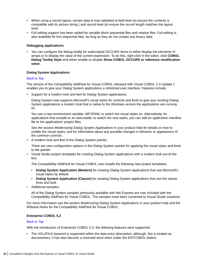- <span id="page-33-0"></span>• When using a record layout, certain data is now validated at field level (to ensure the contents is compatible with its picture string ) and record level (to ensure the record length matches the layout size).
- Full editing support has been added for variable block sequential files and relative files. Full editing is also available for line sequential files, as long as they do not contain any binary data

# **Debugging applications**

• You can configure the debug tooltip for subscripted OCCURS items to either display the elements of arrays or to display the value of the current expression. To do this, right-click in the editor, click **COBOL Debug Tooltip Style** and either enable or disable **Show COBOL OCCURS or reference modification value**.

#### **Dialog System Applications**

#### *Back to Top*

The version of the Compatibility AddPack for Visual COBOL released with Visual COBOL 2.3 Update 1 enables you to give your Dialog System applications a refreshed user interface. Features include:

• Support for a modern look and feel for Dialog System applications.

Dialog System now supports Microsoft's visual styles for controls and fonts to give your existing Dialog System applications a modern look that is native to the Windows version the applications are running on.

You use a new environment variable, MFVSSW, to switch the visual styles on. Alternatively, for applications that compile to an executable, to switch the new styles, you can add an application manifest file to the applications' project files.

See the section *Modernizing Dialog System Applications* in your product help for details on how to enable the visual styles, and for information about any possible changes in behavior or appearance of the common controls.

• A modern look and feel of the Dialog System painter.

There are new configuration options in the Dialog System painter for applying the visual styles and fonts to the painter.

• Visual Studio project templates for creating Dialog System applications with a modern look out-of-the box.

The Compatibility AddPack for Visual COBOL now installs the following new project templates:

- **Dialog System Application (Modern)** for creating Dialog System applications that use Microsoft's visual styles by default.
- **Dialog System Application (Classic)** for creating Dialog System applications that use the classic fonts and look.
- Additional samples:

All of the Dialog System samples previously available with Net Express are now included with the Compatibility AddPack for Visual COBOL. The samples have been converted to Visual Studio solutions.

For more information see the section *Modernizing Dialog System Applications* in your product help and the Release Notes for the Compatibility AddPack for Visual COBOL.

# **Enterprise COBOL 5.2**

# *Back to Top*

With the introduction of Enterprise COBOL 5.2, the following features were supported:

• The VOLATILE keyword is supported within the data entry description; although, this is treated as documentary. It has also become a reserved word when under the ENTCOBOL dialect.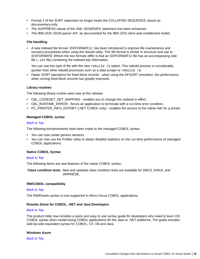- <span id="page-34-0"></span>• Format 2 of the SORT statement no longer treats the COLLATING SEQUENCE clause as documentary-only.
- The SUPPRESS clause of the XML GENERATE statement has been enhanced.
- The IBM z/OS JSON parser API, as documented for the IBM z/OS client web enablement toolkit.

# **File Handling**

• A new indexed file format, IDXFORMAT12, has been introduced to improve file maintenance and recovery procedures when using the rebuild utility. This file format is similar in structure and use to IDXFORMAT8. Where the two formats differ is that an IDXFORMAT12 file has an accompanying side file  $(i, idx$  file) containing the indexed key information.

You can use this type of file with the new  $\text{rebuild } /q$  option. This rebuild process is considerably quicker than other rebuild processes such as a data scrape or rebuild /p.

• Faster SORT operations for fixed block records - when using the DFSORT emulation, the performance when sorting fixed block records has greatly improved.

# **Library routines**

The following library routine were new at this release:

- CBL\_CODESET\_SET\_MAPPING enables you to change the codeset in effect.
- CBL\_RUNTIME\_ERROR forces an application to terminate with a run-time error condition.
- PC\_PRINTER\_INFO\_DOTNET (.NET COBOL only) enables the access to the native Hdc for a printer.

# **Managed COBOL syntax**

# *Back to Top*

The following enhancements have been made to the managed COBOL syntax:

- You can now create generic iterators.
- You can now use the Profiler utility to obtain detailed statistics on the run-time performance of managed COBOL applications.

# **Native COBOL Syntax**

#### *Back to Top*

The following items are new features of the native COBOL syntax:

**Class condition tests** New and updated class condition tests are available for DBCS, KANJI, and JAPANESE.

# **RM/COBOL compatibility**

#### *Back to Top*

The RM/Panels syntax is now supported in Micro Focus COBOL applications.

# **Rosetta Stone for COBOL, .NET and Java Developers**

#### *Back to Top*

The product Help now includes a quick and easy to use syntax guide for developers who need to learn OO COBOL syntax when modernizing COBOL applications for the Java or .NET platforms. The guide includes side-by-side equivalent syntax for COBOL, C#, VB and Java.

# **Windows Azure**

*Back to Top*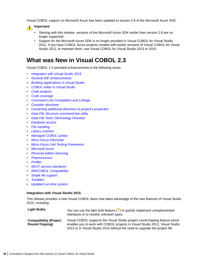<span id="page-35-0"></span>Visual COBOL support on Microsoft Azure has been updated to version 2.8 of the Microsoft Azure SDK.

# **Important:**

- Starting with this release, versions of the Microsoft Azure SDK earlier than version 2.8 are no longer supported.
- Support for the Microsoft Azure SDK is no longer provided in Visual COBOL for Visual Studio 2012. If you have COBOL Azure projects created with earlier versions of Visual COBOL for Visual Studio 2012, to maintain them, use Visual COBOL for Visual Studio 2013 or 2015.

# **What was New in Visual COBOL 2.3**

Visual COBOL 2.3 provided enhancements in the following areas:

- *Integration with Visual Studio 2015*
- *[General IDE enhancements](#page-36-0)*
- *[Building applications in Visual Studio](#page-36-0)*
- *[COBOL editor in Visual Studio](#page-36-0)*
- *[Code analysis](#page-37-0)*
- *[Code coverage](#page-37-0)*
- *[Command Line Compilation and Linkage](#page-37-0)*
- *[Compiler directives](#page-37-0)*
- *[Converting additional directives to project's properties](#page-38-0)*
- *[Data File Structure command line utility](#page-38-0)*
- *[Data File Tools \(Technology Preview\)](#page-38-0)*
- *[Database access](#page-38-0)*
- *[File handling](#page-39-0)*
- *[Library routines](#page-40-0)*
- *[Managed COBOL syntax](#page-40-0)*
- *[Micro Focus Infocenter](#page-40-0)*
- *[Micro Focus Unit Testing Framework](#page-40-0)*
- *[Microsoft Azure](#page-41-0)*
- *[Personal edition licensing](#page-41-0)*
- *[Preprocessors](#page-41-0)*
- *[Profiler](#page-41-0)*
- *[REST service interfaces](#page-41-0)*
- *[RM/COBOL Compatibility](#page-41-0)*
- *[Single file support](#page-41-0)*
- *[Tunables](#page-42-0)*
- *[Updated run-time system](#page-42-0)*

#### **Integration with Visual Studio 2015**

This release provides a new Visual COBOL flavor that takes advantage of the new features of Visual Studio 2015, including:

| <b>Light Bulbs</b>                               | You can use the light bulb feature $(\frac{w}{n})$ to quickly implement unimplemented<br>interfaces or to resolve unknown types.                                                                                                            |
|--------------------------------------------------|---------------------------------------------------------------------------------------------------------------------------------------------------------------------------------------------------------------------------------------------|
| <b>Compatibility (Project</b><br>Round-Tripping) | Visual COBOL supports the Visual Studio project round-tripping feature which<br>enables you to work with COBOL projects in Visual Studio 2012, Visual Studio<br>2013 or in Visual Studio 2015 without the need to upgrade the project file. |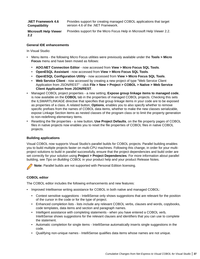| <b>NET Framework 4.6.</b> | Provides support for creating managed COBOL applications that target |  |  |
|---------------------------|----------------------------------------------------------------------|--|--|
| <b>Compatibility</b>      | version 4.6 of the .NET Framework.                                   |  |  |
| ---                       |                                                                      |  |  |

**Microsoft Help Viewer 2.2** Provides support for the Micro Focus Help in Microsoft Help Viewer 2.2.

#### **General IDE enhancements**

In Visual Studio:

- Menu items the following Micro Focus utilities were previously available under the **Tools > Micro Focus** menu and have been moved as follows:
	- **ADO.NET Connection Editor** now accessed from **View > Micro Focus SQL Tools**.
	- **OpenESQL Assistant** now accessed from **View > Micro Focus SQL Tools**.
	- **OpenESQL Configuration Utility** now accessed from **View > Micro Focus SQL Tools**.
	- **Web Service Client** now accessed by creating a new project of type "Web Service Client Application from JSON/REST" - click **File > New > Project > COBOL > Native > Web Service Client Application from JSON/REST**.
- Managed COBOL project properties a new setting, **Expose group linkage items to managed code**, is now available on the **COBOL** tab in the properties of managed COBOL projects. Checking this sets the ILSMARTLINKAGE directive that specifies that group linkage items in your code are to be exposed as properties of a class. A related button, **Options**, enables you to also specify whether to remove specific prefixes from the names of COBOL data items, whether to make the new classes serializable, expose Linkage Section items as nested classes of the program class or to limit the property generation to non-redefining elementary items.
- Resetting the file properties a new button, **Use Project Defaults**, on the file property pages of COBOL files in native projects now enables you to reset the file properties of COBOL files in native COBOL projects.

#### **Building applications**

Visual COBOL now supports Visual Studio's parallel builds for COBOL projects. Parallel building enables you to build multiple projects faster on multi-CPU machines. Following this change, in order for your multiproject solutions to build in parallel successfully, ensure that the project dependencies and build order are set correctly for your solution using **Project > Project Dependencies**. For more information about parallel building, see *Tips on Building COBOL* in your product help and your product Release Notes.

**Note:** Parallel builds are not supported with Personal Edition licensing.

#### **COBOL editor**

The COBOL editor includes the following enhancements and new features:

- Improved Intellisense writing assistance for COBOL in both native and managed COBOL:
	- Context sensitive suggestions IntelliSense only shows suggestions that are relevant for the position of the cursor in the code or for the type of project.
	- Enhanced completion lists lists include any relevant COBOL verbs, clauses and words, copybooks, code templates, data items and section and paragraph names.
	- Intelligent assistance with completing statements when you have entered a COBOL verb, IntelliSense shows suggestions for the relevant clauses and identifiers that you can use to complete the statement.
	- Automatic completion for single items IntelliSense automatically inserts single suggestions in the code.
	- Qualifying non-unique names IntelliSense qualifies data items whose names are not unique.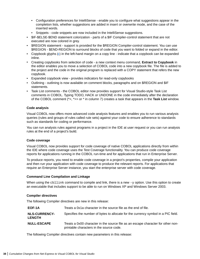- Configuration preferences for IntelliSense enable you to configure what suggestions appear in the completion lists, whether suggestions are added in insert or overwrite mode, and the case of the inserted words.
- Snippets code snippets are now included in the IntelliSense suggestions.
- \$IF-\$ELSE-\$END statement colorization parts of a \$IF Compiler-control statement that are not executed are now colored in grey.
- **SREGION statement support is provided for the SREGION Compiler-control statement. You can use** \$REGION - \$END-REGION to surround blocks of code that you want to folded or expand in the editor.
- Copybook glyphs (b) in the left-hand margin on a copy line indicate that a copybook can be expanded inline.
- Creating copybooks from selection of code a new context menu command, **Extract to Copybook** in the editor enables you to move a selection of COBOL code into a new copybook file. The file is added to the project and the code in the original program is replaced with a COPY statement that refers the new copybook.
- Expanded copybook view provides indicators for read-only copybooks
- Outlining outlining is now available on comment blocks, paragraphs and on \$REGION and \$IF statements.
- Task List comments the COBOL editor now provides support for Visual Studio-style Task List comments in COBOL. Typing TODO, HACK or UNDONE in the code immediately after the declaration of the COBOL comment (\*>, \*>> or \* in column 7) creates a task that appears in the **Task List** window.

#### **Code analysis**

Visual COBOL now offers more advanced code analysis features and enables you to run various analysis queries (rules and groups of rules called rule sets) against your code to ensure adherence to standards such as standards for coding or performance.

You can run analysis rules against programs in a project in the IDE at user request or you can run analysis rules at the end of a project's build.

#### **Code coverage**

Visual COBOL now provides support for code coverage of native COBOL applications directly from within the IDE where code coverage uses the Test Coverage functionality. You can produce code coverage reports for applications running in the COBOL run-time and for applications that run in Enterprise Server.

To produce reports, you need to enable code coverage in a project's properties, compile your application and then run your application with code coverage to produce the relevant reports. For applications that require an Enterprise Server instance, you start the enterprise server with code coverage.

#### **Command Line Compilation and Linkage**

When using the  $cbllink$  command to compile and link, there is a new  $-y$  option. Use this option to create an executable that includes support to be able to run on Windows XP and Windows Server 2003.

#### **Compiler directives**

The following Compiler directives are new in this release:

| EOF-1A                                | Treats a 0x1a character in the source file as the end of file.                                                               |
|---------------------------------------|------------------------------------------------------------------------------------------------------------------------------|
| <b>NLS-CURRENCY-</b><br><b>LENGTH</b> | Specifies the number of bytes to allocate for the currency symbol in a PIC field.                                            |
| <b>NULL-ESCAPE</b>                    | Treats a 0x00 character in the source file as an escape character for other non-<br>printable characters in the source code. |

The following Compiler directives contain new parameters in this release: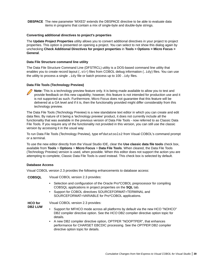**DBSPACE** The new parameter 'MIXED' extends the DBSPACE directive to be able to evaluate data items in programs that contain a mix of single-byte and double-byte strings.

#### **Converting additional directives to project's properties**

The **Update Project Properties** utility allows you to convert additional directives in your project to project properties. This option is presented on opening a project. You can select to not show this dialog again by unchecking **Check Additional Directives for project properties** in **Tools > Options > Micro Focus > General**.

#### **Data File Structure command line utility**

The Data File Structure Command Line (DFSTRCL) utility is a DOS-based command line utility that enables you to create record layout  $(. str)$  files from COBOL debug information  $(. idy)$  files. You can use the utility to process a single  $.i\text{dy}$  file or batch process up to 100  $.i\text{dy}$  files.

#### **Data File Tools (Technology Preview)**



**Note:** This is a technology preview feature only. It is being made available to allow you to test and provide feedback on this new capability; however, this feature is not intended for production use and it is not supported as such. Furthermore, Micro Focus does not guarantee that this feature will be delivered at a GA level and if it is, then the functionality provided might differ considerably from this technology preview.

The Data File Tools (Technology Preview) is a new standalone text editor in which you can create and edit data files. By nature of it being a 'technology preview' product, it does not currently include all the functionality that was available in the previous version of Data File Tools - now referred to as Classic Data File Tools. If you require any of the functionality not provided in this version, you can still use the classic version by accessing it in the usual way.

To run Data File Tools (Technology Preview), type mfdatatools2 from Visual COBOL's command prompt or a terminal.

To use the new editor directly from the Visual Studio IDE, clear the **Use classic data file tools** check box, available from **Tools** > **Options** > **Micro Focus** > **Data File Tools**. When cleared, the Data File Tools (Technology Preview) version is used, when possible. When this editor does not support the action you are attempting to complete, Classic Data File Tools is used instead. This check box is selected by default.

#### **Database Access**

Visual COBOL version 2.3 provides the following enhancements to database access:

**COBSQL** Visual COBOL version 2.3 provides:

- Selection and configuration of the Oracle Pro\*COBOL preprocessor for compiling COBSQL applications in project properties on the **SQL** tab.
- Support for COBOL directives SOURCEFORMAT=TERMINAL and SOURCEFORMAT=VARIABLE for Pro\*COBOL applications.

**HCO for DB2 LUW** Visual COBOL version 2.3 provides:

- Support for MFHCO mode across all platforms by default via the new HCO "NOHCO" DB2 compiler directive option. See the *HCO* DB2 compiler directive option topic for details.
- A new DB2 compiler directive option, OPTPER "NOOPTPER", that enhances performance for CHARSET EBCDIC processing. See the *OPTPER* DB2 compiler directive option topic for details.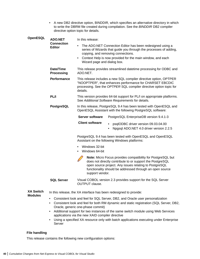• A new DB2 directive option, BINDDIR, which specifies an alternative directory in which to write the DBRM file created during compilation. See the *BINDDIR* DB2 compiler directive option topic for details.

| OpenESQL         | <b>ADO.NET</b>                     | In this release:                                                                                                                                                                                                                                                               |
|------------------|------------------------------------|--------------------------------------------------------------------------------------------------------------------------------------------------------------------------------------------------------------------------------------------------------------------------------|
|                  | <b>Connection</b><br><b>Editor</b> | The ADO.NET Connection Editor has been redesigned using a<br>$\bullet$<br>series of Wizards that guide you through the processes of adding,<br>copying, and removing connections.<br>Context Help is now provided for the main window, and each<br>Wizard page and dialog box. |
|                  | Date/Time<br><b>Processing</b>     | This release provides streamlined datetime processing for ODBC and<br>ADO.NET.                                                                                                                                                                                                 |
|                  | Performance                        | This release includes a new SQL compiler directive option, OPTPER<br>"NOOPTPER", that enhances performance for CHARSET EBCDIC<br>processing. See the OPTPER SQL compiler directive option topic for<br>details.                                                                |
|                  | PL/I                               | This version provides 64-bit support for PL/I on appropriate platforms.<br>See Additional Software Requirements for details.                                                                                                                                                   |
|                  | PostgreSQL                         | In this release, PostgreSQL 9.4 has been tested with OpenESQL and<br>OpenESQL Assistant with the following PostgreSQL software:                                                                                                                                                |
|                  |                                    | <b>Server software</b><br>PostgreSQL EnterpriseDB version 9.4.1-3                                                                                                                                                                                                              |
|                  |                                    | <b>Client software</b><br>psqlODBC driver version 09.03.04.00<br>Npgsql ADO.NET 4.0 driver version 2.2.5<br>$\bullet$                                                                                                                                                          |
|                  |                                    | PostgreSQL 9.4 has been tested with OpenESQL and OpenESQL<br>Assistant on the following Windows platforms:                                                                                                                                                                     |
|                  |                                    | Windows 32-bit<br>Windows 64-bit                                                                                                                                                                                                                                               |
|                  |                                    | Note: Micro Focus provides compatibility for PostgreSQL but<br>does not directly contribute to or support the PostgreSQL<br>open source project. Any issues relating to PostgreSQL<br>functionality should be addressed through an open source<br>support vendor.              |
|                  | <b>SQL Server</b>                  | Visual COBOL version 2.3 provides support for the SQL Server<br><b>OUTPUT</b> clause.                                                                                                                                                                                          |
| <b>XA Switch</b> |                                    | In this release, the XA interface has been redesigned to provide:                                                                                                                                                                                                              |

- **Modules**
- Consistent look and feel for SQL Server, DB2, and Oracle user personalization
- Consistent look and feel for both RM dynamic and static registration (SQL Server, DB2, Oracle, generic one-phase commit)
- Additional support for two instances of the same switch module using Web Services applications via the new XAID compiler directive
- Using a specified XA resource only with batch applications executing under Enterprise Server

#### **File handling**

This release contains the following new configuration options: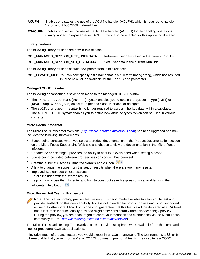- **ACUFH** Enables or disables the use of the ACU file handler (ACUFH), which is required to handle Vision and RM/COBOL indexed files.
- **ESACUFH** Enables or disables the use of the ACU file handler (ACUFH) for file handling operations running under Enterprise Server. ACUFH must also be enabled for this option to take effect.

#### **Library routines**

The following library routines are new in this release:

| <b>CBL MANAGED SESSION GET USERDATA</b> | Retrieves user data saved in the current RunUnit. |
|-----------------------------------------|---------------------------------------------------|
|-----------------------------------------|---------------------------------------------------|

**CBL MANAGED SESSION SET USERDATA** Sets user data in the current RunUnit.

The following library routines contain new parameters in this release:

**CBL\_LOCATE\_FILE** You can now specify a file name that is a null-terminating string, which has resulted in three new values available for the user-mode parameter.

#### **Managed COBOL syntax**

The following enhancements have been made to the managed COBOL syntax:

- The TYPE OF type-name [ANY...] syntax enables you to obtain the System. Type (.NET) or java.lang.Class (JVM) object for a generic class, interface, or delegate.
- The self: or super:  $\frac{1}{2}$  syntax is no longer required to access inherited data within a subclass.
- The ATTRIBUTE-ID syntax enables you to define new attribute types, which can be used in various contexts.

#### **Micro Focus Infocenter**

The Micro Focus Infocenter Web site (*<http://documentation.microfocus.com>*) has been upgraded and now includes the following improvements:

- Scope being persisted when you select a product documentation in the Product Documentation section on the Micro Focus SupportLine Web site and choose to view the documentation in the Micro Focus Infocenter.
- Updated **Scope** settings provides the ability to nest four levels deep when setting a scope.
- Scope being persisted between browser sessions once it has been set.
- Creating automatic scopes using the **Search Topics** icon, .
- A link to change the scope from the search results when there are too many results.
- Improved Boolean search expressions.
- Details included with the search results.
- Help on how to use the Infocenter and how to construct search expressions available using the Infocenter Help button,  $\Omega$ .

#### **Micro Focus Unit Testing Framework**

**Note:** This is a technology preview feature only. It is being made available to allow you to test and provide feedback on this new capability, but it is not intended for production use and is not supported as such. Furthermore, Micro Focus does not guarantee that this feature will be delivered at a GA level and if it is, then the functionality provided might differ considerably from this technology preview. During the preview, you are encouraged to share your feedback and experiences via the Micro Focus community forum - *<http://community.microfocus.com/microfocus/>*).

The Micro Focus Unit Testing Framework is an xUnit style testing framework, available from the command line, for procedural COBOL applications.

It includes much of the architecture you would expect in an xUnit framework. The test runner is a 32- or 64 bit executable that you run from a Visual COBOL command prompt. A test fixture or suite is a COBOL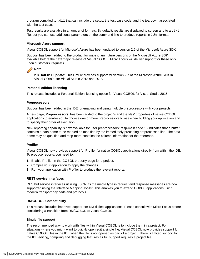program compiled to .dll that can include the setup, the test case code, and the teardown associated with the test case.

Test results are available in a number of formats. By default, results are displayed to screen and to a . txt file, but you can use additional parameters on the command line to produce reports in JUnit format.

#### **Microsoft Azure support**

Visual COBOL support for Microsoft Azure has been updated to version 2.6 of the Microsoft Azure SDK.

Support has been added to the product for making any future versions of the Microsoft Azure SDK available before the next major release of Visual COBOL. Micro Focus will deliver support for these only upon customers' requests.

### **Note:**

**2.3 HotFix 1 update:** This HotFix provides support for version 2.7 of the Microsoft Azure SDK in Visual COBOL for Visual Studio 2013 and 2015.

#### **Personal edition licensing**

This release includes a Personal Edition licensing option for Visual COBOL for Visual Studio 2015.

#### **Preprocessors**

Support has been added in the IDE for enabling and using multiple preprocessors with your projects.

A new page, **Preprocessors**, has been added to the project's and the files' properties of native COBOL applications to enable you to choose one or more preprocessors to use when building your application and to specify their order of execution.

New reporting capability is now available for user preprocessors: resp-main code 18 indicates that a buffer contains a data name to be marked as modified by the immediately preceding preprocessed line. The data name may be qualified and resp-more contains the column information for the reference.

#### **Profiler**

Visual COBOL now provides support for Profiler for native COBOL applications directly from within the IDE. To produce reports, you need to:

- **1.** Enable Profiler in the COBOL property page for a project.
- **2.** Compile your application to apply the changes.
- **3.** Run your application with Profiler to produce the relevant reports.

#### **REST service interfaces**

RESTful service interfaces utilizing JSON as the media type in request and response messages are now supported using the Interface Mapping Toolkit. This enables you to extend COBOL applications using modern transport payloads and protocols.

#### **RM/COBOL Compatibility**

This release includes improved support for RM dialect applications. Please consult with Micro Focus before considering a transition from RM/COBOL to Visual COBOL.

#### **Single file support**

The recommended way to work with files within Visual COBOL is to include them in a project. For situations where you might want to quickly open edit a single file, Visual COBOL now provides support for native COBOL files in the IDE when the file is not opened as part of a project. There is limited support for the IDE editing, compiling and debugging features as full support requires a project file.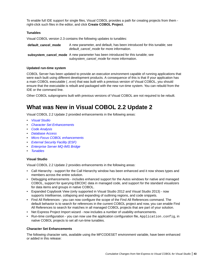To enable full IDE support for single files, Visual COBOL provides a path for creating projects from them right-click such files in the editor, and click **Create COBOL Project**.

#### **Tunables**

Visual COBOL version 2.3 contains the following updates to tunables:

| default cancel mode | A new parameter, and default, has been introduced for this tunable; see<br>default cancel mode for more information.           |
|---------------------|--------------------------------------------------------------------------------------------------------------------------------|
|                     | subsystem_cancel_mode A new parameter has been introduced for this tunable; see<br>subsystem cancel mode for more information. |

#### **Updated run-time system**

COBOL Server has been updated to provide an execution environment capable of running applications that were each built using different development products. A consequence of this is that If your application has a main COBOL executable  $(.exc)$  that was built with a previous version of Visual COBOL, you should ensure that the executable is rebuilt and packaged with the new run-time system. You can rebuild from the IDE or the command line.

Other COBOL subprograms built with previous versions of Visual COBOL are not required to be rebuilt.

# **What was New in Visual COBOL 2.2 Update 2**

Visual COBOL 2.2 Update 2 provided enhancements in the following areas:

- *Visual Studio*
- *Character Set Enhancements*
- *[Code Analysis](#page-43-0)*
- *Database Access*
- *[Micro Focus COBOL enhancements](#page-44-0)*
- *[External Security Facility \(ESF\)](#page-44-0)*
- *Enterprise Server MQ-IMS Bridge*
- *[Tunables](#page-44-0)*

#### **Visual Studio**

Visual COBOL 2.2 Update 2 provides enhancements in the following areas:

- Call Hierarchy support for the Call Hierarchy window has been enhanced and it now shows types and members across the entire solution.
- Debugging enhancements includes enhanced support for the Autos windows for native and managed COBOL, support for querying EBCDIC data in managed code, and support for the standard visualizers for data items and groups in native COBOL.
- Expanded Copybook View (only supported in Visual Studio 2012 and Visual Studio 2013) now supports Intellisense, collapsing and expanding of outlining regions, and code snippets.
- Find All References you can now configure the scope of the Find All References command. The default behavior is to search for references in the current COBOL project and now, you can enable Find All References to search for matches in all managed COBOL projects that are part of your solution.
- Net Express Project Import wizard now includes a number of usability enhancements.
- Run-time configuration you can now use the application configuration file, Application.config, in native COBOL projects to set all run-time tunables.

#### **Character Set Enhancements**

The following character sets, available using the MFCODESET environment variable, have been enhanced or added in this release: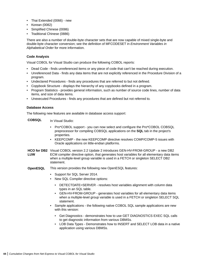- <span id="page-43-0"></span>• Thai Extended (0066) - new
- Korean (0082)
- Simplified Chinese (0086)
- Traditional Chinese (0886)

There are also a number of double-byte character sets that are now capable of mixed single-byte and double-byte character conversion; see the definition of MFCODESET in *Environment Variables in Alphabetical Order* for more information.

#### **Code Analysis**

Visual COBOL for Visual Studio can produce the following COBOL reports:

- Dead Code finds unreferenced items or any piece of code that can't be reached during execution.
- Unreferenced Data finds any data items that are not explicitly referenced in the Procedure Division of a program.
- Undeclared Procedures finds any procedures that are referred to but not defined.
- Copybook Structure displays the hierarchy of any copybooks defined in a program.
- Program Statistics provides general information, such as number of source code lines, number of data items, and size of data items.
- Unexecuted Procedures finds any procedures that are defined but not referred to.

#### **Database Access**

The following new features are available in database access support:

**COBSQL** In Visual Studio:

- Pro\*COBOL support you can now select and configure the Pro\*COBOL COBSQL preprocessor for compiling COBSQL applications on the **SQL** tab in the project's properties.
- KEEPCOMP the new KEEPCOMP directive resolves COMP/COMP-5 issues with Oracle applications on little-endian platforms.
- **HCO for DB2** Visual COBOL version 2.2 Update 2 introduces GEN-HV-FROM-GROUP a new DB2 **LUW** ECM compiler directive option, that generates host variables for all elementary data items when a multiple-level group variable is used in a FETCH or singleton SELECT DB2 statement.
- **OpenESQL** This version provides the following new OpenESQL features:
	- Support for SQL Server 2014.
	- New SQL Compiler directive options:
		- DETECTDATE=SERVER resolves host variables alignment with column data types in an SQL table.
		- GEN-HV-FROM-GROUP generates host variables for all elementary data items when a multiple-level group variable is used in a FETCH or singleton SELECT SQL statement.
	- Sample applications the following native COBOL SQL sample applications are new with this version:
		- Get Diagnostics demonstrates how to use GET DIAGNOSTICS EXEC SQL calls to get diagnostic information from various DBMSs.
		- LOB Data Types Demonstrates how to INSERT and SELECT LOB data in a native application using various DBMSs.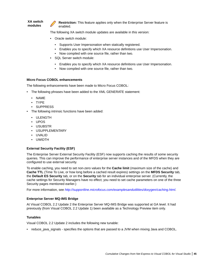<span id="page-44-0"></span>**XA switch modules Restriction:** This feature applies only when the Enterprise Server feature is enabled.

The following XA switch module updates are available in this version:

- Oracle switch module:
	- Supports User Impersonation when statically registered.
	- Enables you to specify which XA resource definitions use User Impersonation.
	- Now compiled with one source file, rather than two.
- SQL Server switch module:
	- Enables you to specify which XA resource definitions use User Impersonation.
	- Now compiled with one source file, rather than two.

#### **Micro Focus COBOL enhancements**

The following enhancements have been made to Micro Focus COBOL:

- The following phrases have been added to the XML GENERATE statement:
	- NAME
	- TYPE
	- SUPPRESS
- The following intrinsic functions have been added:
	- ULENGTH
	- UPOS
	- USUBSTR
	- USUPPLEMENTARY
	- UVALID
	- UWIDTH

#### **External Security Facility (ESF)**

The Enterprise Server External Security Facility (ESF) now supports caching the results of some security queries. This can improve the performance of enterprise server instances and of the MFDS when they are configured to use external security.

To enable caching, you need to set non-zero values for the **Cache limit** (maximum size of the cache) and **Cache TTL** (Time To Live, or how long before a cached result expires) settings on the **MFDS Security** tab, the **Default ES Security** tab, or on the **Security** tab for an individual enterprise server. (Currently, the cache settings for Security Managers have no effect; you need to set cache parameters on one of the three Security pages mentioned earlier.)

For more information, see *<http://supportline.microfocus.com/examplesandutilities/doxygen/caching.html>*.

#### **Enterprise Server MQ-IMS Bridge**

At Visual COBOL 2.2 Update 2 the Enterprise Server MQ-IMS Bridge was supported at GA level. It had previously (from Visual COBOL 2.2 Update 1) been available as a Technology Preview item only.

#### **Tunables**

Visual COBOL 2.2 Update 2 includes the following new tunable:

• reduce\_java\_signals - specifies the options that are passed to a JVM when mixing Java and COBOL.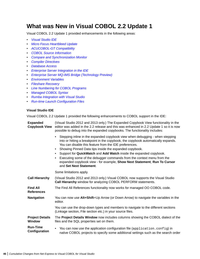## **What was New in Visual COBOL 2.2 Update 1**

Visual COBOL 2.2 Update 1 provided enhancements in the following areas:

- *Visual Studio IDE*
- *[Micro Focus Heartbleed Update](#page-46-0)*
- *[ACUCOBOL-GT Compatibility](#page-46-0)*
- *[COBOL Source Information](#page-46-0)*
- *[Compare and Synchronization Monitor](#page-46-0)*
- *[Compiler Directives](#page-46-0)*
- *[Database Access](#page-47-0)*
- *[Enterprise Server Integration in the IDE](#page-47-0)*
- *[Enterprise Server MQ-IMS Bridge \(Technology Preview\)](#page-47-0)*
- *[Environment Variables](#page-47-0)*
- *[Fileshare Recovery](#page-48-0)*
- *[Line Numbering for COBOL Programs](#page-48-0)*
- *[Managed COBOL Syntax](#page-48-0)*
- *[Rumba Integration with Visual Studio](#page-48-0)*
- *[Run-time Launch Configuration Files](#page-48-0)*

#### **Visual Studio IDE**

Visual COBOL 2.2 Update 1 provided the following enhancements to COBOL support in the IDE:

| <b>Expanded</b><br><b>Copybook View</b> | (Visual Studio 2012 and 2013 only.) The Expanded Copybook View functionality in the<br>editor was added in the 2.2 release and this was enhanced in 2.2 Update 1 so it is now<br>possible to debug into the expanded copybooks. The functionality includes:                                                                                                                                                                                                                                                                                                                      |
|-----------------------------------------|----------------------------------------------------------------------------------------------------------------------------------------------------------------------------------------------------------------------------------------------------------------------------------------------------------------------------------------------------------------------------------------------------------------------------------------------------------------------------------------------------------------------------------------------------------------------------------|
|                                         | Stepping inline in the expanded copybook view when debugging - when stepping<br>$\bullet$<br>into or hitting a breakpoint in the copybook, the copybook automatically expands.<br>You can disable this feature from the IDE preferences.<br>Showing Pinned Data tips inside the expanded copybook.<br>٠<br>Support for QuickWatch and Add Watch inside the expanded copybook.<br>$\bullet$<br>Executing some of the debugger commands from the context menu from the<br>٠<br>expanded copybook view - for example, Show Next Statement, Run To Cursor<br>and Set Next Statement. |
|                                         | Some limitations apply.                                                                                                                                                                                                                                                                                                                                                                                                                                                                                                                                                          |
| <b>Call Hierarchy</b>                   | (Visual Studio 2012 and 2013 only.) Visual COBOL now supports the Visual Studio<br><b>Call Hierarchy</b> window for analyzing COBOL PERFORM statements.                                                                                                                                                                                                                                                                                                                                                                                                                          |
| <b>Find All</b><br><b>References</b>    | The Find All References functionality now works for managed OO COBOL code.                                                                                                                                                                                                                                                                                                                                                                                                                                                                                                       |
| <b>Navigation</b>                       | You can now use Alt+Shift+Up Arrow (or Down Arrow) to navigate the variables in the<br>editor.                                                                                                                                                                                                                                                                                                                                                                                                                                                                                   |
|                                         | You can use the drop-down types and members to navigate to the different sections<br>(Linkage section, File section etc.) in your source files.                                                                                                                                                                                                                                                                                                                                                                                                                                  |
| <b>Project Details</b><br><b>Window</b> | The Project Details Window now includes columns showing the COBOL dialect of the<br>files and the SQL properties set on them.                                                                                                                                                                                                                                                                                                                                                                                                                                                    |
| <b>Run-Time</b><br>Configuration        | You can now use the application configuration file (application.config) in<br>$\bullet$<br>native COBOL projects to specify some additional settings such as the search order                                                                                                                                                                                                                                                                                                                                                                                                    |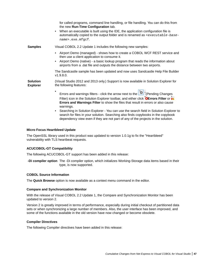<span id="page-46-0"></span>

|                                    | for called programs, command line handling, or file handling. You can do this from<br>the new Run-Time Configuration tab.<br>When an executable is built using the IDE, the application configuration file is<br>$\bullet$<br>automatically copied to the output folder and is renamed as <executable-base-<br>name&gt;.exe.mfgcf.</executable-base-<br>                                                                                                                           |
|------------------------------------|------------------------------------------------------------------------------------------------------------------------------------------------------------------------------------------------------------------------------------------------------------------------------------------------------------------------------------------------------------------------------------------------------------------------------------------------------------------------------------|
| <b>Samples</b>                     | Visual COBOL 2.2 Update 1 includes the following new samples:                                                                                                                                                                                                                                                                                                                                                                                                                      |
|                                    | Airport Demo (managed) - shows how to create a COBOL WCF REST service and<br>$\bullet$<br>then use a client application to consume it.<br>Airport Demo (native) - a basic lookup program that reads the information about<br>airports from a .dat file and outputs the distance between two airports.                                                                                                                                                                              |
|                                    | The Sandcastle sample has been updated and now uses Sandcastle Help File Builder<br>v1.9.8.0.                                                                                                                                                                                                                                                                                                                                                                                      |
| <b>Solution</b><br><b>Explorer</b> | (Visual Studio 2012 and 2013 only.) Support is now available in Solution Explorer for<br>the following features:                                                                                                                                                                                                                                                                                                                                                                   |
|                                    | Errors and warnings filters - click the arrow next to the $\boxed{\circ}$ (Pending Changes<br>Filter) icon in the Solution Explorer toolbar, and either click <b>@Errors Filter</b> or<br>Errors and Warnings Filter to show the files that result in errors or also cause<br>warnings.<br>Searching in Solution Explorer - You can use the search field in Solution Explorer to<br>$\bullet$<br>search for files in your solution. Searching also finds copybooks in the copybook |

#### **Micro Focus Heartbleed Update**

The OpenSSL library used in this product was updated to version 1.0.1g to fix the "Heartbleed" vulnerability with TLS heartbeat requests.

#### **ACUCOBOL-GT Compatibility**

The following ACUCOBOL-GT support has been added in this release:

**-Di compiler option** The -Di compiler option, which initializes Working-Storage data items based in their type, is now supported.

dependency view even if they are not part of any of the projects in the solution.

#### **COBOL Source Information**

The **Quick Browse** option is now available as a context menu command in the editor.

#### **Compare and Synchronization Monitor**

With the release of Visual COBOL 2.2 Update 1, the Compare and Synchronization Monitor has been updated to version 2.

Version 2 is greatly improved in terms of performance, especially during initial checkout of partitioned data sets or when synchronizing a large number of members. Also, the user interface has been improved, and some of the functions available in the old version have now changed or become obsolete.

#### **Compiler Directives**

The following Compiler directives have been added in this release: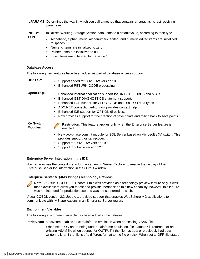- <span id="page-47-0"></span>**ILPARAMS** Determines the way in which you call a method that contains an array as its last receiving parameter.
- **INIT-BY-**Initializes Working-Storage Section data items to a default value, according to their type.
	- Alphabetic, alphanumeric, alphanumeric edited, and numeric edited items are initialized to spaces.
		- Numeric items are initialized to zero.
		- Pointer items are initialized to null.
		- Index items are initialized to the value 1.

#### **Database Access**

The following new features have been added as part of database access support:

**TYPE**

- **DB2 ECM** Support added for DB2 LUW version 10.5.
	- Enhanced RETURN-CODE processing.

- **OpenESQL** Enhanced internationalization support for UNICODE, DBCS and MBCS.
	- Enhanced GET DIAGNOSTICS statement support.
	- Enhanced LOB support for CLOB, BLOB and DBCLOB data types.
	- ADO.NET connection editor now provides context help.
	- Enhanced IDE support for OPTION directives.
	- Now provides support for the creation of save points and rolling back to save points.

**XA Switch Modules**

**Restriction:** This feature applies only when the Enterprise Server feature is enabled.

- New two-phase commit module for SQL Server based on Microsoft's XA switch. This provides support for xa\_recover.
- Support for DB2 LUW version 10.5.
- Support for Oracle version 12.1.

#### **Enterprise Server Integration in the IDE**

You can now use the context menu for the servers in Server Explorer to enable the display of the Enterprise Server log information in the Output window.

#### **Enterprise Server MQ-IMS Bridge (Technology Preview)**

**Note:** At Visual COBOL 2.2 Update 1 this was provided as a technology preview feature only. It was made available to allow you to test and provide feedback on this new capability; however, this feature was not intended for production use and was not supported as such.

Visual COBOL version 2.2 Update 1 provided support that enables WebSphere MQ applications to communicate with IMS applications in an Enterprise Server region.

#### **Environment Variables**

The following environment variable has been added in this release:

**strictvsam** strictvsam enables strict mainframe emulation when processing VSAM files.

When set to ON and running under mainframe emulation, file status 37 is returned for an existing VSAM file when opened for OUTPUT if the file has data or previously had data written to it, or if the file is of a different format to the file on disk. When set to OFF, file status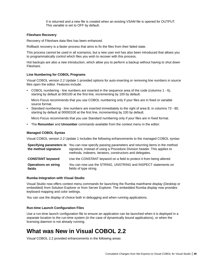0 is returned and a new file is created when an existing VSAM file is opened for OUTPUT. This variable is set to OFF by default.

#### <span id="page-48-0"></span>**Fileshare Recovery**

Recovery of Fileshare data files has been enhanced.

Rollback recovery is a faster process that aims to fix the files from their failed state.

This process cannot be used in all scenarios, but a new user exit has also been introduced that allows you to programmatically control which files you wish to recover with this process.

Hot backups are also a new introduction, which allow you to perform a backup without having to shut down Fileshare.

#### **Line Numbering for COBOL Programs**

Visual COBOL version 2.2 Update 1 provided options for auto-inserting or removing line numbers in source files open the editor. Features include:

• COBOL numbering - line numbers are inserted in the sequence area of the code (columns  $1 - 6$ ), starting by default at 000100 at the first line, incrementing by 100 by default.

Micro Focus recommends that you use COBOL numbering only if your files are in fixed or variable source format.

• Standard numbering - line numbers are inserted immediately to the right of area B, in columns 73 - 80, starting by default at 00000100 at the first line, incrementing by 100 by default.

Micro Focus recommends that you use Standard numbering only if your files are in fixed format.

• The **Renumber** and **Unnumber** commands available from the context menu in the editor.

#### **Managed COBOL Syntax**

Visual COBOL version 2.2 Update 1 includes the following enhancements to the managed COBOL syntax:

| the method signature                  | <b>Specifying parameters in</b> You can now specify passing parameters and returning items in the method<br>signature, instead of using a Procedure Division header. This applies to<br>methods, indexers, iterators, constructors and delegates. |
|---------------------------------------|---------------------------------------------------------------------------------------------------------------------------------------------------------------------------------------------------------------------------------------------------|
| <b>CONSTANT keyword</b>               | Use the CONSTANT keyword on a field to protect it from being altered.                                                                                                                                                                             |
| <b>Operations on string</b><br>fields | You can now use the STRING, UNSTRING and INSPECT statements on<br>fields of type string.                                                                                                                                                          |

#### **Rumba Integration with Visual Studio**

Visual Studio now offers context menu commands for launching the Rumba mainframe display (Desktop or embedded) from Solution Explorer or from Server Explorer. The embedded Rumba display now provides keyboard mapping and color settings.

You can use the display of choice both in debugging and when running applications.

#### **Run-time Launch Configuration Files**

Use a run-time launch configuration file to ensure an application can be launched when it is deployed in a separate location to the run-time system (in the case of dynamically bound applications), or when the licensing daemon is not already running.

### **What was New in Visual COBOL 2.2**

Visual COBOL 2.2 provided enhancements in the following areas: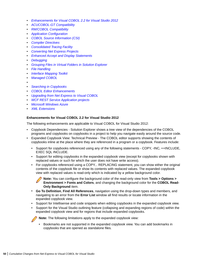- *Enhancements for Visual COBOL 2.2 for Visual Studio 2012*
- *[ACUCOBOL-GT Compatibility](#page-50-0)*
- *[RM/COBOL Compatibility](#page-51-0)*
- *[Application Configuration](#page-51-0)*
- *[COBOL Source Information \(CSI\)](#page-51-0)*
- *[Compiler Directives](#page-51-0)*
- *[Consolidated Tracing Facility](#page-51-0)*
- *[Converting Net Express Projects](#page-52-0)*
- *[Enhanced Accept and Display Statements](#page-52-0)*
- *[Debugging](#page-52-0)*
- *[Grouping Files in Virtual Folders in Solution Explorer](#page-53-0)*
- *[File Handling](#page-53-0)*
- *[Interface Mapping Toolkit](#page-53-0)*
- *[Managed COBOL](#page-53-0)*
- •
- *[Searching in Copybooks](#page-54-0)*
- *[COBOL Editor Enhancements](#page-54-0)*
- *[Upgrading from Net Express to Visual COBOL](#page-54-0)*
- *[WCF REST Service Application projects](#page-55-0)*
- *[Microsoft Windows Azure](#page-55-0)*
- *[XML Extensions](#page-55-0)*

#### **Enhancements for Visual COBOL 2.2 for Visual Studio 2012**

The following enhancements are applicable to Visual COBOL for Visual Studio 2012:

- Copybook Dependencies Solution Explorer shows a tree view of the dependencies of the COBOL programs and copybooks on copybooks in a project to help you navigate easily around the source code.
- Expanded Copybook View: Technical Preview The COBOL editor supports showing the contents of copybooks inline at the place where they are referenced in a program or a copybook. Features include:
	- Support for copybooks referenced using any of the following statements COPY, -INC, ++INCLUDE, EXEC SQL INCLUDE.
	- Support for editing copybooks in the expanded copybook view (except for copybooks shown with replaced values or such for which the user does not have write access).
	- For copybooks referenced using a COPY... REPLACING statement, you can show either the original contents of the copybook file or show its contents with replaced values. The expanded copybook view with replaced values is read-only which is indicated by a yellow background color.

**Note:** You can configure the background color of the read-only view from **Tools > Options > Environment > Fonts and Colors**, and changing the background color for the **COBOL Read-Only Background** item.

- **Go To Definition**, **Find All References**, navigation using the drop-down types and members, and navigating to an error from the **Error List** window all find results or locate information in the expanded copybook view.
- Support for Intellisense and code snippets when editing copybooks in the expanded copybook view.
- Support for the Visual Studio outlining feature (collapsing and expanding regions of code) within the expanded copybook view and for regions that include expanded copybooks.

**Note:** The following limitations apply to the expanded copybook view:

• Bookmarks are not supported in the expanded copybook view. You can add bookmarks in copybooks that are opened as standalone files.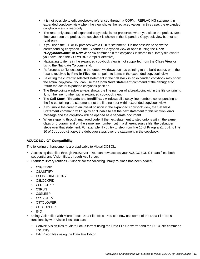- <span id="page-50-0"></span>• It is not possible to edit copybooks referenced through a COPY... REPLACING statement in expanded copybook view when the view shows the replaced values. In this case, the expanded copybook view is read-only.
- The read-only status of expanded copybooks is not preserved when you close the project. Next time you open the project, the copybook is shown in the Expanded Copybook view but not as read-only.
- If you used the OF or IN phrases with a COPY statement, it is not possible to show the corresponding copybook in the Expanded Copybook view or open it using the **Open "CopybookName" in New Window** command if the copybook is stored in a library file (where you have used the COPYLBR Compiler directive).
- Navigating to items in the expanded copybook view is not supported from the **Class View** or using the **Navigate To** command.
- References to file locations in the output windows such as pointing to the build output, or in the results received by **Find in Files**, do not point to items in the expanded copybook view.
- Selecting the currently selected statement in the call stack in an expanded copybook may show the actual copybook. You can use the **Show Next Statement** command of the debugger to return the actual expanded copybook position.
- The Breakpoints window always shows the line number of a breakpoint within the file containing it, not the line number within expanded copybook view.
- The **Call Stack**, **Threads** and **IntelliTrace** windows all display line numbers corresponding to the file containing the statement, not the line number within expanded copybook view.
- If you move the caret to an invalid position in the expanded copybook view, the **Set Next Statement** command will display an 'Unable to set the next statement to this location' error message and the copybook will be opened as a separate document.
- When stepping through managed code, if the next statement to step onto is within the same class or program, and on the same line number, but in a different source file, the debugger steps over that statement. For example, if you try to step from line 10 of Program1.cbl to line 10 of Copybook1.cpy, the debugger steps over the statement in the copybook.

### **ACUCOBOL-GT Compatibility**

The following enhancements are applicable to Visual COBOL:

- Accessing data files through AcuServer You can now access your ACUCOBOL-GT data files, both sequential and Vision files, through AcuServer.
- Standard library routines Support for the following library routines has been added:
	- C\$GETPID
	- C\$JUSTIFY
	- C\$LIST-DIRECTORY
	- C\$LOCKPID
	- C\$REGEXP
	- C\$RUN
	- C\$SLEEP
	- C\$SYSTEM
	- C\$TOLOWER
	- C\$TOUPPER
	- I\$IO
- Using Vision files with Micro Focus Data File Tools You can now use some of the Data File Tools functionality with Vision files. You can:
	- Convert Vision files to Micro Focus format using the Data File Converter and the DFCONV command line utility.
	- Edit Vision files using the Data File Editor.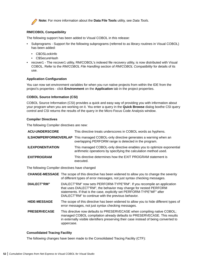<span id="page-51-0"></span>

**Note:** For more information about the **Data File Tools** utility, see *Data Tools*.

#### **RM/COBOL Compatibility**

The following support has been added to Visual COBOL in this release:

- Subprograms Support for the following subprograms (referred to as library routines in Visual COBOL) has been added:
	- C\$OSLockInfo
	- C\$SecureHash
- recover1 The recover1 utility, RM/COBOL's indexed file recovery utility, is now distributed with Visual COBOL. Refer to the *RM/COBOL File Handling* section of *RM/COBOL Compatibility* for details of its use.

#### **Application Configuration**

You can now set environment variables for when you run native projects from within the IDE from the project's properties - click **Environment** on the **Application** tab in the project properties.

#### **COBOL Source Information (CSI)**

COBOL Source Information (CSI) provides a quick and easy way of providing you with information about your program when you are working on it. You enter a query in the **Quick Browse** dialog boxthe CSI query control and CSI returns the results of the query in the Micro Focus Code Analysis window.

#### **Compiler Directives**

The following Compiler directives are new:

| <b>ACU-UNDERSCORE</b>   | This directive treats underscores in COBOL words as hyphens.                                                                                       |
|-------------------------|----------------------------------------------------------------------------------------------------------------------------------------------------|
|                         | <b>ILSHOWPERFORMOVERLAP</b> This managed COBOL-only directive generates a warning when an<br>overlapping PERFORM range is detected in the program. |
| <b>ILEXPONENTIATION</b> | This managed COBOL-only directive enables you to optimize exponential<br>arithmetic operations by specifying the calculation method used.          |
| <b>EXITPROGRAM</b>      | This directive determines how the EXIT PROGRAM statement is<br>executed.                                                                           |

The following Compiler directives have changed

|                     | <b>CHANGE-MESSAGE</b> The scope of this directive has been widened to allow you to change the severity<br>of different types of error messages, not just syntax checking messages.                                                                                           |
|---------------------|------------------------------------------------------------------------------------------------------------------------------------------------------------------------------------------------------------------------------------------------------------------------------|
| DIALECT"RM"         | DIALECT"RM" now sets PERFORM-TYPE"RM". If you recompile an application<br>that uses DIALECT"RM", the behavior may change for nested PERFORM<br>statements. If that is the case, explicitly set PERFORM-TYPE"MF" after<br>DIALECT"RM" to continue with the previous behavior. |
| <b>HIDE-MESSAGE</b> | The scope of this directive has been widened to allow you to hide different types of<br>error messages, not just syntax checking messages.                                                                                                                                   |
| <b>PRESERVECASE</b> | This directive now defaults to PRESERVECASE when compiling native COBOL;<br>managed COBOL compilation already defaults to PRESERVECASE. This results<br>in externally visible identifiers preserving their case instead of being converted to<br>uppercase.                  |

#### **Consolidated Tracing Facility**

The following changes have been made to the Consolidated Tracing Facility (CTF):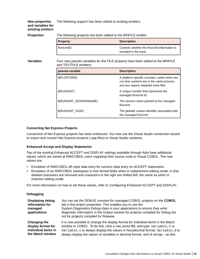The following support has been added to existing emitters.

#### <span id="page-52-0"></span>**New properties and variables for existing emitters**

**Properties** The following property has been added to the BINFILE emitter:

| <b>Property</b> | <b>Description</b>                                                    |
|-----------------|-----------------------------------------------------------------------|
| RunUnitID       | Controls whether the RunUnit information is<br>included in the trace. |

**Variables** Four new pseudo-variables for the FILE property have been added to the BINFILE and TEXTFILE emitters:

| pseudo-variable         | <b>Description</b>                                                                                                                 |
|-------------------------|------------------------------------------------------------------------------------------------------------------------------------|
| \$(PLATFORM)            | A platform specific constant, useful when two<br>run-time systems are in the same process,<br>and you require separate trace files |
| \$(RUNUNIT)             | A unique number that represents the<br>managed RunUnit ID                                                                          |
| \$(RUNUNIT_SESSIONNAME) | The session name passed to the managed<br>RunUnit                                                                                  |
| \$(RUNUNIT_GUID)        | The globally unique identifier associated with<br>the managed RunUnit                                                              |

#### **Converting Net Express Projects**

Conversion of Net Express projects has been enhanced. You now use the Visual Studio conversion wizard to import and convert Net Express projects (.app files) to Visual Studio solutions.

#### **Enhanced Accept and Display Statements**

Two of the existing Enhanced ACCEPT and DISPLAY settings available through Adis have additional values, which are aimed at RM/COBOL users migrating their source code to Visual COBOL. The new values are:

- Emulation of RM/COBOL-85 style data entry for numeric data entry on ACCEPT statements.
- Emulation of an RM/COBOL backspace in free format fields when in replacement editing mode, in that deleted characters are removed and characters to the right are shifted left, the same as when in insertion editing mode.

For more information on how to set these values, refer to *Configuring Enhanced ACCEPT and DISPLAY*.

#### **Debugging**

| <b>Displaying debug</b><br>information for<br>managed<br>applications | You can set the DEBUG constant for managed COBOL projects on the COBOL<br>tab in the project properties. This enables you to use the<br>System. Diagnostics. Debug class in your applications to ensure they write<br>diagnostic information in the Output window for projects compiled for Debug but<br>not for projects compiled for Release. |
|-----------------------------------------------------------------------|-------------------------------------------------------------------------------------------------------------------------------------------------------------------------------------------------------------------------------------------------------------------------------------------------------------------------------------------------|
| Changing the                                                          | It is now possible to change the display format for individual items in the Watch                                                                                                                                                                                                                                                               |
| display format for                                                    | window in COBOL. To do this, click a row, press F2, and type: Variable, h or                                                                                                                                                                                                                                                                    |
| individual items in                                                   | Variable, x to always display the values in hexadecimal format; Variable, d to                                                                                                                                                                                                                                                                  |
| the Watch window                                                      | always display the values of variables in decimal format, and of strings - as text.                                                                                                                                                                                                                                                             |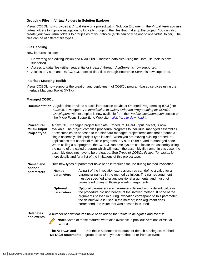#### <span id="page-53-0"></span>**Grouping Files in Virtual Folders in Solution Explorer**

Visual COBOL now provides a Virtual View of a project within Solution Explorer. In the Virtual View you use virtual folders to improve navigation by logically grouping the files that make up the project. You can also create your own virtual folders to group files of your choice (a file can only belong to one virtual folder). The files can be of different file types.

#### **File Handling**

New features include:

- Converting and editing Vision and RM/COBOL indexed data files using the Data File tools is now supported.
- Access to data files (either sequential or indexed) through AcuServer is now supported.
- Access to Vision and RM/COBOL indexed data files through Enterprise Server is now supported.

#### **Interface Mapping Toolkit**

Visual COBOL now supports the creation and deployment of COBOL program-based services using the Interface Mapping Toolkit (IMTK).

#### **Managed COBOL**

|                                                          | Documentation A guide that provides a basic introduction to Object-Oriented Programming (OOP) for<br>COBOL developers, An Introduction to Object-Oriented Programming for COBOL<br>Developers, with examples is now available from the Product Documentation section on<br>the Micro Focus SupportLine Web site - click here to download it. |                                                                                                                                                                                                                                                                                                                                                                                                                                                                                                                                                                                                                                                                                                                                                                                          |  |  |
|----------------------------------------------------------|----------------------------------------------------------------------------------------------------------------------------------------------------------------------------------------------------------------------------------------------------------------------------------------------------------------------------------------------|------------------------------------------------------------------------------------------------------------------------------------------------------------------------------------------------------------------------------------------------------------------------------------------------------------------------------------------------------------------------------------------------------------------------------------------------------------------------------------------------------------------------------------------------------------------------------------------------------------------------------------------------------------------------------------------------------------------------------------------------------------------------------------------|--|--|
| <b>Procedural</b><br><b>Multi-Output</b><br>Project type |                                                                                                                                                                                                                                                                                                                                              | A new .NET managed project template, Procedural Multi-Output Project, is now<br>available. The project compiles procedural programs to individual managed assemblies<br>or executables as opposed to the standard managed project templates that produce a<br>single assembly. This project type is useful when you are moving existing procedural<br>applications that consist of multiple programs to Visual COBOL and to managed code.<br>When calling a subprogram, the COBOL run-time system can locate the assembly using<br>the name of the called program which will match the assembly file name. In this case, the<br>assembly does not have to be preloaded. See Types of COBOL Project Templates for<br>more details and for a list of the limitations of this project type. |  |  |
| Named and                                                |                                                                                                                                                                                                                                                                                                                                              | Two new types of parameter have been introduced for use during method invocation:                                                                                                                                                                                                                                                                                                                                                                                                                                                                                                                                                                                                                                                                                                        |  |  |
| optional<br>parameters                                   | <b>Named</b><br>parameters                                                                                                                                                                                                                                                                                                                   | As part of the invocation expression, you can define a value for a<br>parameter named in the method definition. The named argument<br>must be specified after any positional arguments, and must not<br>correspond to any of those preceding arguments.                                                                                                                                                                                                                                                                                                                                                                                                                                                                                                                                  |  |  |
|                                                          | <b>Optional</b><br>parameters                                                                                                                                                                                                                                                                                                                | Optional parameters are parameters defined with a default value in<br>the procedure division header of the invoked method. If none of the<br>arguments passed in during invocation correspond to this parameter,<br>the default value is used in the method; if an argument does<br>correspond, the value that was passed in is used.                                                                                                                                                                                                                                                                                                                                                                                                                                                    |  |  |
| <b>Delegates</b>                                         |                                                                                                                                                                                                                                                                                                                                              | A number of new features have been added that relate to delegates and events:                                                                                                                                                                                                                                                                                                                                                                                                                                                                                                                                                                                                                                                                                                            |  |  |
| and events                                               | COBOL                                                                                                                                                                                                                                                                                                                                        | Note: Some of these features were also available in previous versions of Visual                                                                                                                                                                                                                                                                                                                                                                                                                                                                                                                                                                                                                                                                                                          |  |  |

**The ATTACH and DETACH statements** Use these statements to attach or detach a delegate, method group or an anonymous method to or from an event.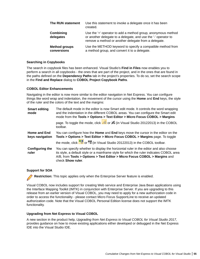<span id="page-54-0"></span>

| The RUN statement                   | Use this statement to invoke a delegate once it has been<br>created.                                                                                                                   |
|-------------------------------------|----------------------------------------------------------------------------------------------------------------------------------------------------------------------------------------|
| Combining<br>delegates              | Use the '+' operator to add a method group, anonymous method<br>or another delegate to a delegate, and use the '-' operator to<br>remove a method or another delegate from a delegate. |
| <b>Method groups</b><br>conversions | Use the METHOD keyword to specify a compatible method from<br>a method group, and convert it to a delegate.                                                                            |

#### **Searching in Copybooks**

The search in copybook files has been enhanced. Visual Studio's **Find in Files** now enables you to perform a search in all copybooks - the ones that are part of the project, and in the ones that are found in the paths defined on the **Dependency Paths** tab in the project's properties. To do so, set the search scope in the **Find and Replace** dialog to **COBOL Project Copybook Paths**.

#### **COBOL Editor Enhancements**

Navigating in the editor is now more similar to the editor navigation in Net Express. You can configure things like word wrap and indentation, the movement of the cursor using the **Home** and **End** keys, the style of the ruler and the colors of the text and the margins:

| <b>Smart editing</b><br>mode    | The default mode in the editor is now Smart edit mode. It controls the word wrapping<br>and the indentation in the different COBOL areas. You can configure the Smart edit<br>mode from the Tools > Options > Text Editor > Micro Focus COBOL > Margins                             |
|---------------------------------|-------------------------------------------------------------------------------------------------------------------------------------------------------------------------------------------------------------------------------------------------------------------------------------|
|                                 | page. To toggle the mode, click or $\frac{1}{2}$ or $\frac{1}{2}$ (in Visual Studio 20122013) in the COBOL<br>toolbar.                                                                                                                                                              |
| Home and End<br>keys navigation | You can configure how the Home and End keys move the cursor in the editor on the<br>Tools > Options > Text Editor > Micro Focus COBOL > Margins page. To toggle                                                                                                                     |
|                                 | the mode, click or $\frac{M}{2}$ or $\frac{M}{2}$ (in Visual Studio 20122013) in the COBOL toolbar.                                                                                                                                                                                 |
| <b>Configuring the</b><br>ruler | You can specify whether to display the horizontal ruler in the editor and also choose<br>its style, a default style or a mainframe style for which the ruler indicates COBOL area<br>A/B, from Tools > Options > Text Editor > Micro Focus COBOL > Margins and<br>check Show ruler. |

#### **Support for SOA**

**Restriction:** This topic applies only when the Enterprise Server feature is enabled.

Visual COBOL now includes support for creating Web service and Enterprise Java Bean applications using the Interface Mapping Toolkit (IMTK) in conjunction with Enterprise Server. If you are upgrading to this release from an earlier version of Visual COBOL, you may need to apply for a new authorization code in order to access the functionality - please contact Micro Focus SupportLine to receive an updated authorization code. Note that the Visual COBOL Personal Edition license does not support the IMTK functionality.

#### **Upgrading from Net Express to Visual COBOL**

A new section in the product help, *Upgrading from Net Express to Visual COBOL for Visual Studio 2017*, provides guidance on how to move existing applications either developed or debugged in the Net Express IDE into the Visual Studio IDE.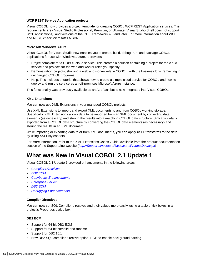#### <span id="page-55-0"></span>**WCF REST Service Application projects**

Visual COBOL now provides a project template for creating COBOL WCF REST Application services. The requirements are - Visual Studio Professional, Premium, or Ultimate (Visual Studio Shell does not support WCF applications), and versions of the .NET Framework 4.0 and later. For more information about WCF and REST, check Microsoft's MSDN.

#### **Microsoft Windows Azure**

Visual COBOL for Visual Studio now enables you to create, build, debug, run, and package COBOL applications for use with Windows Azure. It provides:

- Project template for a COBOL cloud service. This creates a solution containing a project for the cloud service and projects for the web and worker roles you specify.
- Demonstration projects, showing a web and worker role in COBOL, with the business logic remaining in unchanged COBOL programs.
- Help. This includes a tutorial that shows how to create a simple cloud service for COBOL and how to deploy and run the service as an off-premises Microsoft Azure instance.

This functionality was previously available as an AddPack but is now integrated into Visual COBOL.

#### **XML Extensions**

You can now use XML Extensions in your managed COBOL projects.

Use XML Extensions to import and export XML documents to and from COBOL working storage. Specifically, XML Extensions allows data to be imported from an XML document by converting data elements (as necessary) and storing the results into a matching COBOL data structure. Similarly, data is exported from a COBOL data structure by converting the COBOL data elements (as necessary) and storing the results in an XML document.

While importing or exporting data to or from XML documents, you can apply XSLT transforms to the data by using XSLT stylesheets.

For more information, refer to the XML Extensions User's Guide, available from the product documentation section of the SupportLine website (*<http://SupportLine.MicroFocus.com/ProductDoc.aspx>*)

### **What was New in Visual COBOL 2.1 Update 1**

Visual COBOL 2.1 Update 1 provided enhancements in the following areas:

- *Compiler Directives*
- *DB2 ECM*
- *[Copybooks Enhancements](#page-56-0)*
- *[Enterprise Server](#page-56-0)*
- *[DB2 ECM](#page-56-0)*
- *[Debugging Enhancements](#page-56-0)*

#### **Compiler Directives**

You can now set SQL Compiler directives and their values more easily, using a table of tick boxes in a project's Properties dialog box.

#### **DB2 ECM**

- Support for 64-bit DB2 ECM
- Support for 64-bit compile and runtime
- Support for DB2 10.1
- New DB2 SQL compiler directive option, BGP, to enable background parsing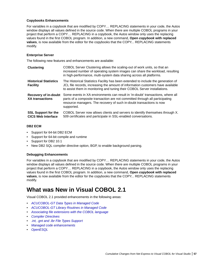#### <span id="page-56-0"></span>**Copybooks Enhancements**

For variables in a copybook that are modified by COPY… REPLACING statements in your code, the Autos window displays all values defined in the source code. When there are multiple COBOL programs in your project that perform a COPY… REPLACING in a copybook, the Autos window only uses the replacing values found in the first COBOL program. In addition, a new command, **Open copybook with replaced values**, is now available from the editor for the copybooks that the COPY... REPLACING statements modify.

#### **Enterprise Server**

The following new features and enhancements are available:

| <b>Clustering</b>                                       | COBOL Server Clustering allows the scaling-out of work units, so that an<br>increased number of operating system images can share the workload, resulting<br>in high-performance, multi-system data sharing across all platforms.                     |
|---------------------------------------------------------|-------------------------------------------------------------------------------------------------------------------------------------------------------------------------------------------------------------------------------------------------------|
| <b>Historical Statistics</b><br><b>Facility</b>         | The Historical Statistics Facility has been extended to include the generation of<br>JCL file records, increasing the amount of information customers have available<br>to assist them in monitoring and tuning their COBOL Server installations.     |
| <b>Recovery of in-doubt</b><br><b>XA transactions</b>   | Some events in XA environments can result in 'in-doubt' transactions, where all<br>parts of a composite transaction are not committed through all participating<br>resource managers. The recovery of such in-doubt transactions is now<br>supported. |
| <b>SSL Support for the</b><br><b>CICS Web Interface</b> | COBOL Server now allows clients and servers to identify themselves through X.<br>509 certificates and participate in SSL-enabled conversations.                                                                                                       |

#### **DB2 ECM**

- Support for 64-bit DB2 ECM
- Support for 64-bit compile and runtime
- Support for DB2 10.1
- New DB2 SQL compiler directive option, BGP, to enable background parsing.

### **Debugging Enhancements**

For variables in a copybook that are modified by COPY… REPLACING statements in your code, the Autos window displays all values defined in the source code. When there are multiple COBOL programs in your project that perform a COPY… REPLACING in a copybook, the Autos window only uses the replacing values found in the first COBOL program. In addition, a new command, **Open copybook with replaced values**, is now available from the editor for the copybooks that the COPY... REPLACING statements modify.

# **What was New in Visual COBOL 2.1**

Visual COBOL 2.1 provided enhancements in the following areas:

- *[ACUCOBOL-GT Data Types in Managed Code](#page-57-0)*
- *[ACUCOBOL-GT Library Routines in Managed Code](#page-57-0)*
- *[Associating file extensions with the COBOL language](#page-57-0)*
- *[Compiler Directives](#page-57-0)*
- *[.int, .gnt and .lbr File Types Support](#page-57-0)*
- *[Managed code enhancements](#page-57-0)*
- *[OpenESQL](#page-58-0)*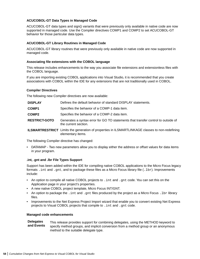#### <span id="page-57-0"></span>**ACUCOBOL-GT Data Types in Managed Code**

ACUCOBOL-GT data types and sign() variants that were previously only available in native code are now supported in managed code. Use the Compiler directives COMP1 and COMP2 to set ACUCOBOL-GT behavior for those particular data types.

#### **ACUCOBOL-GT Library Routines in Managed Code**

ACUCOBOL-GT library routines that were previously only available in native code are now supported in managed code.

#### **Associating file extensions with the COBOL language**

This release includes enhancements to the way you associate file extensions and extensionless files with the COBOL language.

If you are importing existing COBOL applications into Visual Studio, it is recommended that you create associations with COBOL within the IDE for any extensions that are not traditionally used in COBOL.

#### **Compiler Directives**

The following new Compiler directives are now available:

| <b>DISPLAY</b>       | Defines the default behavior of standard DISPLAY statements.                                                                |
|----------------------|-----------------------------------------------------------------------------------------------------------------------------|
| <b>COMP1</b>         | Specifies the behavior of a COMP-1 data item.                                                                               |
| COMP2                | Specifies the behavior of a COMP-2 data item.                                                                               |
| <b>RESTRICT-GOTO</b> | Generates a syntax error for GO TO statements that transfer control to outside of<br>the current section.                   |
|                      | <b>ILSMARTRESTRICT</b> Limits the generation of properties in ILSMARTLINKAGE classes to non-redefining<br>elementary items. |

The following Compiler directive has changed:

• DATAMAP - Two new parameters allow you to display either the address or offset values for data items in your program.

#### **.int, .gnt and .lbr File Types Support**

Support has been added within the IDE for compiling native COBOL applications to the Micro Focus legacy formats . int and .  $qnt$ , and to package these files as a Micro Focus library file (. 1br). Improvements include:

- An option to compile all native COBOL projects to . int and . gnt code. You can set this on the Application page in your project's properties.
- A new native COBOL project template, Micro Focus INT/GNT.
- An option to package the .int and .gnt files produced by the project as a Micro Focus . 1br library files.
- Improvements to the Net Express Project Import wizard that enable you to convert existing Net Express projects to Visual COBOL projects that compile to .int and .gnt code.

#### **Managed code enhancements**

#### **Delegates and Events** This release provides support for combining delegates, using the METHOD keyword to specify method groups, and implicit conversion from a method group or an anonymous method to the suitable delegate type.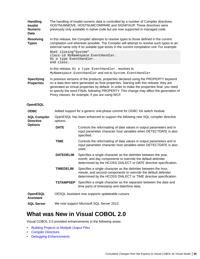<span id="page-58-0"></span>

| <b>Handling</b><br><b>Invalid</b><br><b>Numeric</b><br>Data |                  | The handling of invalid numeric data is controlled by a number of Compiler directives:<br>HOSTNUMMOVE, HOSTNUMCOMPARE and SIGNFIXUP. These directives were<br>previously only available in native code but are now supported in managed code.                                                                                                                                                                                 |  |  |
|-------------------------------------------------------------|------------------|-------------------------------------------------------------------------------------------------------------------------------------------------------------------------------------------------------------------------------------------------------------------------------------------------------------------------------------------------------------------------------------------------------------------------------|--|--|
| <b>Resolving</b><br><b>Types</b>                            |                  | In this release, the Compiler attempts to resolve types to those defined in the current<br>compilation unit wherever possible. The Compiler will attempt to resolve such types to an<br>external name only if no suitable type exists in the current compilation unit. For example:                                                                                                                                           |  |  |
|                                                             | end class.       | \$set ilusing"System"<br>class-id MyNamespace.EventHandler.<br>01 o type EventHandler.                                                                                                                                                                                                                                                                                                                                        |  |  |
|                                                             |                  | In this release, 01 o type EventHandler. resolves to<br>MyNamespace. EventHandler and not to System. EventHandler.                                                                                                                                                                                                                                                                                                            |  |  |
| <b>Specifying</b><br><b>Properties</b>                      |                  | In previous versions of the products, properties declared using the PROPERTY keyword<br>on a data item were generated as final properties. Starting with this release, they are<br>generated as virtual properties by default. In order to make the properties final, you need<br>to specify the word FINAL following PROPERTY. This change may affect the generation of<br>Proxy classes, for example, if you are using WCF. |  |  |
| <b>OpenESQL</b>                                             |                  |                                                                                                                                                                                                                                                                                                                                                                                                                               |  |  |
| <b>ODBC</b>                                                 |                  | Added support for a generic one-phase commit for ODBC XA switch module.                                                                                                                                                                                                                                                                                                                                                       |  |  |
| <b>SQL Compiler</b><br><b>Directive</b>                     | options:         | OpenESQL has been enhanced to support the following new SQL compiler directive                                                                                                                                                                                                                                                                                                                                                |  |  |
| <b>Options</b>                                              | <b>DATE</b>      | Controls the reformatting of date values in output parameters and in<br>input parameter character host variables when DETECTDATE is also<br>specified.                                                                                                                                                                                                                                                                        |  |  |
|                                                             | <b>TIME</b>      | Controls the reformatting of date values in output parameters and in<br>input parameter character host variables when DETECTDATE is also<br>used.                                                                                                                                                                                                                                                                             |  |  |
|                                                             | <b>DATEDELIM</b> | Specifies a single character as the delimiter between the year,<br>month, and day components to override the default delimiter<br>determined by the HCOSS DIALECT or DATE directive specification.                                                                                                                                                                                                                            |  |  |
|                                                             | <b>TIMEDELIM</b> | Specifies a single character as the delimiter between the hour,<br>minute, and second components to override the default delimiter<br>determined by the HCOSS DIALECT or TIME directive specification.                                                                                                                                                                                                                        |  |  |
|                                                             | <b>TSTAMPSEP</b> | Specifies a single character as the separator between the date and<br>time parts of timestamp and date/time data.                                                                                                                                                                                                                                                                                                             |  |  |
| <b>OpenESQL</b><br><b>Assistant</b>                         |                  | OESQL Assistant now supports updateable cursors.                                                                                                                                                                                                                                                                                                                                                                              |  |  |
| <b>SQL Server</b>                                           |                  | We now support Microsoft SQL Server 2012.                                                                                                                                                                                                                                                                                                                                                                                     |  |  |

## **What was New in Visual COBOL 2.0**

Visual COBOL 2.0 provided enhancements in the following areas:

- *[Building Projects to Multiple Output Files](#page-59-0)*
- *[Compiler Directives](#page-59-0)*
- *[Debugging Enhancements](#page-59-0)*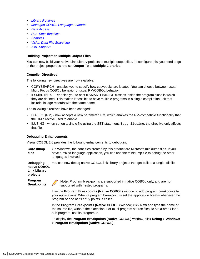- <span id="page-59-0"></span>• *[Library Routines](#page-60-0)*
- *[Managed COBOL Language Features](#page-60-0)*
- *[Data Access](#page-61-0)*
- *[Run-Time Tunables](#page-58-0)*
- *[Samples](#page-61-0)*
- *[Vision Data File Searching](#page-61-0)*
- *[XML Support](#page-62-0)*

#### **Building Projects to Multiple Output Files**

You can now build your native Link Library projects to multiple output files. To configure this, you need to go in the project properties and set **Output To** to **Multiple Libraries**.

#### **Compiler Directives**

The following new directives are now available:

- COPYSEARCH enables you to specify how copybooks are located. You can choose between usual Micro Focus COBOL behavior or usual RM/COBOL behavior.
- ILSMARTNEST enables you to nest ILSMARTLINKAGE classes inside the program class in which they are defined. This makes it possible to have multiple programs in a single compilation unit that include linkage records with the same name.

The following directives have been changed:

- DIALECT(RM) now accepts a new parameter, RM, which enables the RM-compatible functionality that the RM directive used to enable.
- ILUSING when set on a single file using the SET statement,  $s$ set ilusing, the directive only affects that file.

#### **Debugging Enhancements**

Visual COBOL 2.0 provides the following enhancements to debugging:

**Core dump files** On Windows, the core files created by this product are Microsoft minidump files. If you have a mixed-language application, you can use the minidump file to debug the other languages involved.

You can now debug native COBOL link library projects that get built to a single .dll file.

**Debugging native COBOL Link Library projects**

**Program Breakpoints**



**Note:** Program breakpoints are supported in native COBOL only, and are not supported with nested programs.

Use the **Program Breakpoints (Native COBOL)** window to add program breakpoints to your applications. When a program breakpoint is set the application breaks whenever the program or one of its entry points is called.

In the **Program Breakpoints (Native COBOL)** window, click **New** and type the name of the source file, without the extension. For multi-program source files, to set a break for a sub-program, use its program-id.

To display the **Program Breakpoints (Native COBOL)** window, click **Debug** > **Windows** > **Program Breakpoints (Native COBOL)**.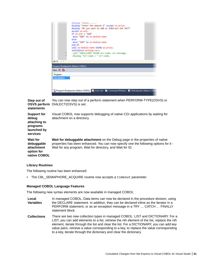<span id="page-60-0"></span>

|                     | display "hello"<br>display "enter the amount £" accept ws-price.                                   |  |
|---------------------|----------------------------------------------------------------------------------------------------|--|
|                     |                                                                                                    |  |
|                     | display "do you want to ADD or SUBtract the VAT?"                                                  |  |
|                     | accept ws-wch.                                                                                     |  |
|                     | if $ws$ -wch $-$ "add"                                                                             |  |
|                     | move "ADD" to ws-module-name                                                                       |  |
|                     | else                                                                                               |  |
|                     | move "SUB" to ws-module-name                                                                       |  |
|                     | $end - if.$                                                                                        |  |
|                     | call ws-module-name USING ws-price.                                                                |  |
|                     | initialize working-vars.                                                                           |  |
|                     | call "C\$CALLERR" USING err-code, err-message.                                                     |  |
|                     | display "err-code = " err-code.                                                                    |  |
|                     |                                                                                                    |  |
| $100\% - 4$         |                                                                                                    |  |
|                     | Program Breakpoints (Native COBOL)                                                                 |  |
| New $\times$ 80     |                                                                                                    |  |
| Program             |                                                                                                    |  |
| <b>Calculations</b> |                                                                                                    |  |
|                     |                                                                                                    |  |
|                     |                                                                                                    |  |
|                     |                                                                                                    |  |
|                     |                                                                                                    |  |
|                     | O Program Breakpoints (Native COBOL)   Ex Error List   Command Window   E Watchpoints (Native COBO |  |
|                     |                                                                                                    |  |

**Step out of OSVS perform** DIALECT(OSVS) is set. **statements** You can now step out of a perform statement when PERFORM-TYPE(OSVS) or

| awww.na                                                                            |                                                                                                                                                                                                                                    |
|------------------------------------------------------------------------------------|------------------------------------------------------------------------------------------------------------------------------------------------------------------------------------------------------------------------------------|
| <b>Support for</b><br>debug<br>attaching to<br>programs<br>launched by<br>services | Visual COBOL now supports debugging of native CGI applications by waiting for<br>attachment on a directory.                                                                                                                        |
| <b>Wait for</b><br>debuggable<br>attachment<br>option for<br>native COBOL          | Wait for debuggable attachment on the Debug page in the properties of native<br>properties has been enhanced. You can now specify one the following options for it -<br>Wait for any program, Wait for directory, and Wait for ID. |

#### **Library Routines**

The following routine has been enhanced:

• The CBL\_SEMAPHORE\_ACQUIRE routine now accepts a timeout parameter.

#### **Managed COBOL Language Features**

The following new syntax elements are now available in managed COBOL:

- **Local Variables** In managed COBOL, Data items can now be declared in the procedure division, using the DECLARE statement. In addition, they can be declared inline as the iterator in a PERFORM statement, or as an exception message in a TRY … CATCH … FINALLY statement block.
- **Collections** There are two new collection types in managed COBOL: LIST and DICTIONARY. For a LIST, you can add elements to a list, retrieve the nth element of the list, replace the nth element, iterate through the list and clear the list. For a DICTIONARY, you can add key value pairs, retrieve a value corresponding to a key, to replace the value corresponding to a key, iterate through the dictionary and clear the dictionary.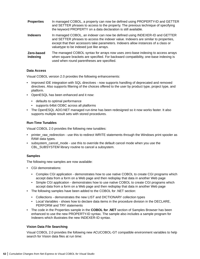<span id="page-61-0"></span>

| <b>Properties</b>      | In managed COBOL, a property can now be defined using PROPERTY-ID and GETTER<br>and SETTER phrases to access to the property. The previous technique of specifying<br>the keyword PROPERTY on a data declaration is still available.                                                                   |
|------------------------|--------------------------------------------------------------------------------------------------------------------------------------------------------------------------------------------------------------------------------------------------------------------------------------------------------|
| <b>Indexers</b>        | In managed COBOL, an indexer can now be defined using INDEXER-ID and GETTER<br>and SETTER phrases to access the indexer value. Indexers are similar to properties,<br>except that their accessors take parameters. Indexers allow instances of a class or<br>valuetype to be indexed just like arrays. |
| Zero-based<br>Indexing | The managed COBOL syntax for arrays now uses zero-base indexing to access arrays<br>when square brackets are specified. For backward compatibility, one-base indexing is<br>used when round parentheses are specified.                                                                                 |

#### **Data Access**

Visual COBOL version 2.0 provides the following enhancements:

- Improved IDE integration with SQL directives now supports handling of deprecated and removed directives. Also supports filtering of the choices offered to the user by product type, project type, and platform.
- OpenESQL has been enhanced and it now:
	- defaults to optimal performance
	- supports 64bit ODBC across all platforms
- The OpenESQL ADO.NET managed run-time has been redesigned so it now works faster. It also supports multiple result sets with stored procedures.

#### **Run-Time Tunables**

Visual COBOL 2.0 provides the following new tunables:

- printer\_raw\_redirection use this to redirect WRITE statements through the Windows print spooler as RAW data types.
- subsystem cancel mode use this to override the default cancel mode when you use the CBL\_SUBSYSTEM library routine to cancel a subsystem.

#### **Samples**

The following new samples are now available:

- CGI demonstrations:
	- Complex CGI application demonstrates how to use native COBOL to create CGI programs which accept data from a form on a Web page and then redisplay that data in another Web page
	- Simple CGI application demonstrates how to use native COBOL to create CGI programs which accept data from a form on a Web page and then redisplay that data in another Web page
- The following samples have been added to the COBOL for .NET section:
	- Collections demonstrates the new LIST and DICTIONARY collection types
	- Local Variables shows how to declare data items in the procedure division in the DECLARE, PERFORM and TRY statements
- The code in the Properties sample in the **COBOL for .NET** section of Samples Browser has been enhanced to use the new PROPERTY-ID syntax. The sample also includes a sample program for Indexers which illustrates the new INDEXER-ID syntax.

#### **Vision Data File Searching**

Visual COBOL 2.0 provides the following new ACUCOBOL-GT compatible environment variables to help search for Vision data files at run time: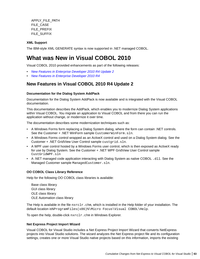<span id="page-62-0"></span>APPLY\_FILE\_PATH FILE\_CASE FILE\_PREFIX FILE\_SUFFIX

#### **XML Support**

The IBM-style XML GENERATE syntax is now supported in .NET managed COBOL.

# **What was New in Visual COBOL 2010**

Visual COBOL 2010 provided enhancements as part of the following releases:

- *New Features in Enterprise Developer 2010 R4 Update 2*
- *[New Features in Enterprise Developer 2010 R4](#page-63-0)*

### **New Features in Visual COBOL 2010 R4 Update 2**

#### **Documentation for the Dialog System AddPack**

Documentation for the Dialog System AddPack is now available and is integrated with the Visual COBOL documentation.

This documentation describes the AddPack, which enables you to modernize Dialog System applications within Visual COBOL. You migrate an application to Visual COBOL and from there you can run the application without change, or modernize it over time.

The documentation describes some modernization techniques such as:

- A Windows Forms form replacing a Dialog System dialog, where the form can contain .NET controls. See the Customer + .NET WinForm sample CustomerWinForm.sln.
- A Windows Forms control wrapped as an ActiveX control and used on a Dialog System dialog. See the Customer + .NET GridView User Control sample custgrid.sln.
- A WPF user control hosted by a Windows Forms user control, which is then exposed as ActiveX ready for use by Dialog System. See the Customer + .NET WPF GridView User Control sample CustGridWPF.sln
- A .NET managed code application interacting with Dialog System as native COBOL .dll. See the Managed Customer sample ManagedCustomer.sln.

#### **OO COBOL Class Library Reference**

Help for the following OO COBOL class libraries is available:

Base class library GUI class library OLE class library OLE Automation class library

The Help is available in the file  $nxxclr.chn$ , which is installed in the Help folder of your installation. The default location is%ProgramFiles(x86)%\Micro Focus\Visual COBOL\Help.

To open the help, double-click nxrclr.chm in Windows Explorer.

#### **Net Express Project Import Wizard**

Visual COBOL for Visual Studio includes a Net Express Project Import Wizard that converts NetExpress projects into Visual Studio solutions. The wizard analyzes the Net Express project file and its configuration settings, creates one or more Visual Studio native projects based on this information, imports the existing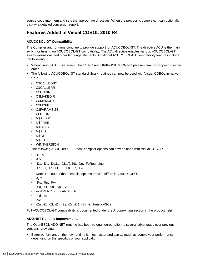<span id="page-63-0"></span>source code into them and sets the appropriate directives. When the process is complete, it can optionally display a detailed conversion report.

### **Features Added in Visual COBOL 2010 R4**

### **ACUCOBOL-GT Compatibility**

The Compiler and run-time continue to provide support for ACUCOBOL-GT. The directive ACU is the main switch for turning on ACUCOBOL-GT compatibility. The ACU directive enables various ACUCOBOL-GT syntax extensions and other language elements. Additional ACUCOBOL-GT compatibility features include the following:

- When using a CALL statement, the USING and GIVING/RETURNING phrases can now appear in either order.
- The following ACUCOBOL-GT standard library routines can now be used with Visual COBOL in native code:
	- C\$CALLEDBY
	- C\$CALLERR
	- C\$CHDIR
	- C\$MAKEDIR
	- C\$MEMCPY
	- C\$MYFILE
	- C\$PARAMSIZE
	- C\$RERR
	- M\$ALLOC
	- M\$FREE
	- M\$COPY
	- M\$FILL
	- M\$GET
	- M\$PUT
	- WIN\$VERSION
- The following ACUCOBOL-GT 'ccbl' compiler options can now be used with Visual COBOL:
	- $\bullet$  -E, -V
	- $\bullet$  -Cv
	- -Da, -Db, -Dd31, -DL1/2/4/8, -Dq, -FpRounding
	- -La, -Li, -Lc, -Lf, -Ll, -Lo, -Ls, -Lw

Note: The output that these list options provide differs in Visual COBOL.

- -Qm
- -Rc, -Rn, -Rw
- -Sa, -St, -Sd, -Sp, -S1...-S9
- -noTRUNC, -truncANSI, -Dz
- -Td, -Te
- $\bullet$  -Vc
- -Za, -Zc, -Zl, -Zn, -Zs, -Zi, -Zr1, -Zy, -arithmeticVSC2

Full ACUCOBOL-GT compatibility is documented under the *Programming* section in the product help.

#### **ADO.NET Runtime Improvements**

The OpenESQL ADO.NET runtime has been re-engineered, offering several advantages over previous versions, providing:

• Better performance - the new runtime is much faster and can as much as double your performance, depending on the specifics of your application.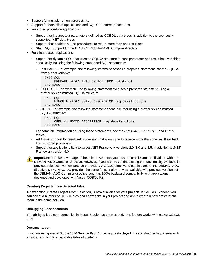- Support for multiple run unit processing.
- Support for both client applications and SQL CLR stored procedures.
- For stored procedure applications:
	- Support for input/output parameters defined as COBOL data types, in addition to the previously supported .NET data types
	- Support that enables stored procedures to return more than one result set.
	- Static SQL Support for the DIALECT=MAINFRAME Compiler directive.
- For client-based applications:
	- Support for dynamic SQL that uses an SQLDA structure to pass parameter and result host variables, specifically including the following embedded SQL statements:
		- PREPARE For example, the following statement passes a prepared statement into the SQLDA from a host variable:

```
 EXEC SQL 
     PREPARE stmt1 INTO :sqlda FROM :stmt-buf
END-EXEC
```
• EXECUTE - For example, the following statement executes a prepared statement using a previously constructed SQLDA structure:

```
 EXEC SQL 
     EXECUTE stmt1 USING DESCRIPTOR :sqlda-structure 
END-EXEC
```
• OPEN - For example, the following statement opens a cursor using a previously constructed SQLDA structure:

```
 EXEC SQL 
     OPEN c1 USING DESCRIPTOR :sqlda-structure 
END-EXEC
```
For complete information on using these statements, see the *PREPARE*, *EXECUTE*, and *OPEN* topics.

- Additional support for result set processing that allows you to receive more than one result set back from a stored procedure.
- Support for applications built to target .NET Framework versions 2.0, 3.0 and 3.5, in addition to .NET Framework version 4.0.



**Important:** To take advantage of these improvements you must recompile your applications with the DBMAN=ADO Compiler directive. However, if you want to continue using the functionality available in previous releases, we now provide the DBMAN=OADO directive to use in place of the DBMAN=ADO directive. DBMAN=OADO provides the same functionality as was available with previous versions of the DBMAN=ADO Compiler directive, and has 100% backward compatibility with applications designed and developed with Visual COBOL R3.

#### **Creating Projects from Selected Files**

A new option, Create Project From Selection, is now available for your projects in Solution Explorer. You can select a number of COBOL files and copybooks in your project and opt to create a new project from them in the same solution.

#### **Debugging Enhancements**

The ability to load core dump files in Visual Studio has been added. This feature works with native COBOL only.

#### **Documentation**

If you are using Visual Studio 2010 Service Pack 1, the help is displayed in a stand-alone help viewer with an index and a fully expandable table of contents.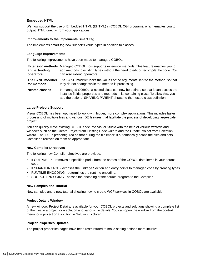#### **Embedded HTML**

We now support the use of Embedded HTML (EHTML) in COBOL CGI programs, which enables you to output HTML directly from your applications.

#### **Improvements to the Implements Smart Tag**

The implements smart tag now supports value-types in addition to classes.

#### **Language Improvements**

The following improvements have been made to managed COBOL:

| and extending<br>operators       | <b>Extension methods</b> Managed COBOL now supports extension methods. This feature enables you to<br>add methods to existing types without the need to edit or recompile the code. You<br>can also extend operators.                          |
|----------------------------------|------------------------------------------------------------------------------------------------------------------------------------------------------------------------------------------------------------------------------------------------|
| The SYNC modifier<br>for methods | The SYNC modifier locks the values of the arguments sent to the method, so that<br>they do not change while the method is processing.                                                                                                          |
| <b>Nested classes</b>            | In managed COBOL, a nested class can now be defined so that it can access the<br>instance fields, properties and methods in its containing class. To allow this, you<br>add the optional SHARING PARENT phrase to the nested class definition. |

#### **Large Projects Support**

Visual COBOL has been optimized to work with bigger, more complex applications. This includes faster processing of multiple files and various IDE features that facilitate the process of developing large-scale project.

You can quickly move existing COBOL code into Visual Studio with the help of various wizards and windows such as the Create Project from Existing Code wizard and the Create Project from Selection wizard. The IDE is preconfigured so that during the file import it automatically scans the files and sets Compiler directives on them as appropriate.

#### **New Compiler Directives**

The following new Compiler directives are provided:

- ILCUTPREFIX removes a specified prefix from the names of the COBOL data items in your source code.
- ILSMARTLINKAGE exposes the Linkage Section and entry points to managed code by creating types.
- RUNTIME-ENCODING determines the runtime encoding.
- SOURCE-ENCODING passes the encoding of the source program to the Compiler.

#### **New Samples and Tutorial**

New samples and a new tutorial showing how to create WCF services in COBOL are available.

#### **Project Details Window**

A new window, Project Details, is available for your COBOL projects and solutions showing a complete list of the files in a project or a solution and various file details. You can open the window from the context menu for a project or a solution in Solution Explorer.

#### **Project Properties Updates**

The project properties pages have been restructured to make setting options more intuitive.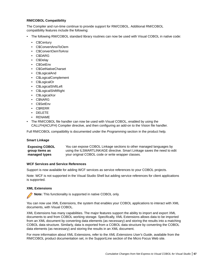#### **RM/COBOL Compatibility**

The Compiler and run-time continue to provide support for RM/COBOL. Additional RM/COBOL compatibility features include the following:

- The following RM/COBOL standard library routines can now be used with Visual COBOL in native code:
	- C\$Century
	- C\$ConvertAnsiToOem
	- C\$ConvertOemToAnsi
	- C\$DARG
	- C\$Delay
	- C\$GetEnv
	- C\$GetNativeCharset
	- C\$LogicalAnd
	- C\$LogicalComplement
	- C\$LogicalOr
	- C\$LogicalShiftLeft
	- C\$LogicalShiftRight
	- C\$LogicalXor
	- C\$NARG
	- C\$SetEnv
	- C\$RERR
	- DELETE
	- RENAME
- The RM/COBOL file handler can now be used with Visual COBOL, enabled by using the CALLFH(ACUFH) Compiler directive, and then configuring an add-on to the Vision file handler.

Full RM/COBOL compatibility is documented under the *Programming* section in the product help.

#### **Smart Linkage**

| <b>Exposing COBOL</b> | You can expose COBOL Linkage sections to other managed languages by      |
|-----------------------|--------------------------------------------------------------------------|
| group items as        | using the ILSMARTLINKAGE directive. Smart Linkage saves the need to edit |
| managed types         | your original COBOL code or write wrapper classes.                       |

#### **WCF Services and Service References**

Support is now available for adding WCF services as service references to your COBOL projects.

Note: WCF is not supported in the Visual Studio Shell but adding service references for client applications is supported.

#### **XML Extensions**

**Note:** This functionality is supported in native COBOL only.

You can now use XML Extensions, the system that enables your COBOL applications to interact with XML documents, with Visual COBOL.

XML Extensions has many capabilities. The major features support the ability to import and export XML documents to and from COBOL working storage. Specifically, XML Extensions allows data to be imported from an XML document by converting data elements (as necessary) and storing the results into a matching COBOL data structure. Similarly, data is exported from a COBOL data structure by converting the COBOL data elements (as necessary) and storing the results in an XML document.

For more information about XML Extensions, refer to the *XML Extensions User's Guide*, available from the RM/COBOL product documentation set, in the SupportLine section of the Micro Focus Web site.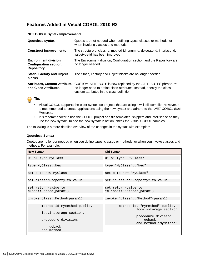### **Features Added in Visual COBOL 2010 R3**

#### **.NET COBOL Syntax Improvements**

| <b>Quoteless syntax</b>                                                            | Quotes are not needed when defining types, classes or methods, or<br>when invoking classes and methods.                                                                               |  |
|------------------------------------------------------------------------------------|---------------------------------------------------------------------------------------------------------------------------------------------------------------------------------------|--|
| <b>Construct improvements</b>                                                      | The structure of class-id, method-id, enum-id, delegate-id, interface-id,<br>valuetype-id has been improved.                                                                          |  |
| <b>Environment division,</b><br><b>Configuration section,</b><br><b>Repository</b> | The Environment division, Configuration section and the Repository are<br>no longer needed.                                                                                           |  |
| <b>Static, Factory and Object</b><br><b>blocks</b>                                 | The Static, Factory and Object blocks are no longer needed.                                                                                                                           |  |
| <b>Attributes, Custom-Attribute</b><br>and Class-Attributes                        | CUSTOM-ATTRIBUTE is now replaced by the ATTRIBUTES phrase. You<br>no longer need to define class-attributes. Instead, specify the class<br>custom attributes in the class definition. |  |



- Visual COBOL supports the older syntax, so projects that are using it will still compile. However, it is recommended to create applications using the new syntax and adhere to the *.NET COBOL Best Practices*.
- It is recommended to use the COBOL project and file templates, snippets and Intellisense as they use the new syntax. To see the new syntax in action, check the Visual COBOL samples.

The following is a more detailed overview of the changes in the syntax with examples:

#### **Quoteless Syntax**

Quotes are no longer needed when you define types, classes or methods, or when you invoke classes and methods. For example:

| <b>New Syntax</b>                                    | <b>Old Syntax</b>                                                              |  |
|------------------------------------------------------|--------------------------------------------------------------------------------|--|
| 01 o1 type MyClass                                   | 01 o1 type "MyClass"                                                           |  |
| type MyClass: : New                                  | type "MyClass":: "New"                                                         |  |
| set o to new MyClass                                 | set o to new "MyClass"                                                         |  |
| set class:: Property to value                        | set "class":: "Property" to value                                              |  |
| set return-value to<br>class::Method(param1)         | set return-value to<br>"class"::"Method"(param1)                               |  |
| invoke class::Method(param1)                         | invoke "class":: "Method" (param1)                                             |  |
| method-id MyMethod public.<br>local-storage section. | method-id. "MyMethod" public.<br>local-storage section.<br>procedure division. |  |
| procedure division.                                  | goback.<br>end method "MyMethod".                                              |  |
| goback.<br>end method.                               |                                                                                |  |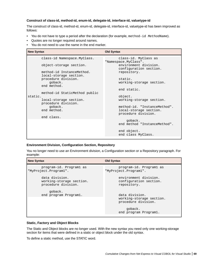#### **Construct of class-id, method-id, enum-id, delegate-id, interface-id, valuetype-id**

The construct of class-id, method-id, enum-id, delegate-id, interface-id, valuetype-id has been improved as follows:

- You do not have to type a period after the declaration (for example, method-id MethodName).
- Quotes are no longer required around names.
- You do not need to use the name in the end marker.

| <b>New Syntax</b> |                                                     | <b>Old Syntax</b>                                      |  |
|-------------------|-----------------------------------------------------|--------------------------------------------------------|--|
|                   | class-id Namespace.MyClass.                         | class-id. MyClass as<br>"Namespace.MyClass".           |  |
|                   | object-storage section.                             | environment division.<br>configuration section.        |  |
|                   | method-id InstanceMethod.<br>local-storage section. | repository.                                            |  |
|                   | procedure division.<br>qoback.                      | static.<br>working-storage section.                    |  |
|                   | end method.                                         | end static.                                            |  |
| static.           | method-id StaticMethod public                       | object.                                                |  |
|                   | local-storage section.<br>procedure division.       | working-storage section.                               |  |
|                   | qoback.<br>end method.                              | method-id. "InstanceMethod".<br>local-storage section. |  |
|                   | end class.                                          | procedure division.                                    |  |
|                   |                                                     | qoback.<br>end method "InstanceMethod".                |  |
|                   |                                                     | end object.<br>end class MyClass.                      |  |

#### **Environment Division, Configuration Section, Repository**

You no longer need to use an Environment division, a Configuration section or a Repository paragraph. For example:

| <b>New Syntax</b>                                                            | <b>Old Syntax</b>                                                                                     |  |  |
|------------------------------------------------------------------------------|-------------------------------------------------------------------------------------------------------|--|--|
| program-id. Programl as<br>"MyProject.Program1".                             | program-id. Programl as<br>"MyProject.Program1".                                                      |  |  |
| data division.<br>working-storage section.<br>procedure division.<br>qoback. | environment division.<br>configuration section.<br>repository.                                        |  |  |
| end program Program1.                                                        | data division.<br>working-storage section.<br>procedure division.<br>qoback.<br>end program Program1. |  |  |
|                                                                              |                                                                                                       |  |  |

#### **Static, Factory and Object Blocks**

The Static and Object blocks are no longer used. With the new syntax you need only one working-storage section for items that were defined in a static or object block under the old syntax.

To define a static method, use the STATIC word.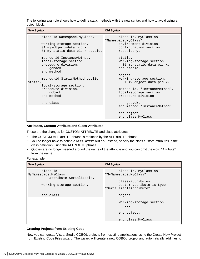The following example shows how to define static methods with the new syntax and how to avoid using an object block:

| <b>New Syntax</b> |                                                                                                                                                                                                                                                                                            | <b>Old Syntax</b>                                                                                                                                                                                                                                                   |  |
|-------------------|--------------------------------------------------------------------------------------------------------------------------------------------------------------------------------------------------------------------------------------------------------------------------------------------|---------------------------------------------------------------------------------------------------------------------------------------------------------------------------------------------------------------------------------------------------------------------|--|
| static.           | class-id Namespace. MyClass.<br>working-storage section.<br>01 my-object-data pic x.<br>01 my-static-data pic x static.<br>method-id InstanceMethod.<br>local-storage section.<br>procedure division.<br>qoback.<br>end method.<br>method-id StaticMethod public<br>local-storage section. | class-id. MyClass as<br>"Namespace.MyClass".<br>environment division.<br>configuration section.<br>repository.<br>static.<br>working-storage section.<br>01 my-static-data pic x.<br>end static.<br>object.<br>working-storage section.<br>01 my-object-data pic x. |  |
|                   | procedure division.<br>qoback.<br>end method.<br>end class.                                                                                                                                                                                                                                | method-id. "InstanceMethod".<br>local-storage section.<br>procedure division.<br>goback.                                                                                                                                                                            |  |
|                   |                                                                                                                                                                                                                                                                                            | end method "InstanceMethod".<br>end object.<br>end class MyClass.                                                                                                                                                                                                   |  |

#### **Attributes, Custom-Attribute and Class-Attributes**

These are the changes for CUSTOM-ATTRIBUTE and class-attributes:

- The CUSTOM-ATTRIBUTE phrase is replaced by the ATTRIBUTE phrase.
- You no longer have to define class-attributes. Instead, specify the class custom-attributes in the class definition using the ATTRIBUTE phrase.
- Quotes are no longer needed around the name of the attribute and you can omit the word "Attribute" from the name.

#### For example:

| <b>New Syntax</b>                                           | <b>Old Syntax</b>                                                         |
|-------------------------------------------------------------|---------------------------------------------------------------------------|
| class-id<br>MyNamespace.MyClass.<br>attribute Serializable. | class-id. MyClass as<br>"MyNamespace.MyClass".                            |
| working-storage section.<br>$\cdots$                        | class-attributes.<br>custom-attribute is type<br>"SerializableAttribute". |
| end class.                                                  | object.                                                                   |
|                                                             | working-storage section.<br>.                                             |
|                                                             | end object.                                                               |
|                                                             | end class MyClass.                                                        |

#### **Creating Projects from Existing Code**

Now you can create Visual Studio COBOL projects from existing applications using the Create New Project from Existing Code Files wizard. The wizard will create a new COBOL project and automatically add files to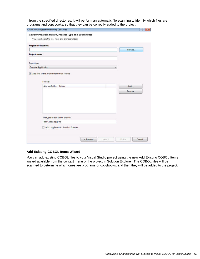it from the specified directories. It will perform an automatic file scanning to identify which files are programs and copybooks, so that they can be correctly added to the project.

|                               | Specify Project Location, Project Type and Source Files |  |        |
|-------------------------------|---------------------------------------------------------|--|--------|
|                               | You can choose the files from one or more folders       |  |        |
| <b>Project file location:</b> |                                                         |  |        |
|                               |                                                         |  | Browse |
| Project name:                 |                                                         |  |        |
|                               |                                                         |  |        |
| Project type:                 |                                                         |  |        |
| <b>Console Application</b>    |                                                         |  | ۳      |
|                               | Add files to the project from these folders             |  |        |
|                               |                                                         |  |        |
|                               |                                                         |  |        |
|                               | Folders:                                                |  |        |
|                               | Add subfolders Folder                                   |  | Add    |
|                               |                                                         |  | Remove |
|                               |                                                         |  |        |
|                               |                                                         |  |        |
|                               |                                                         |  |        |
|                               |                                                         |  |        |
|                               |                                                         |  |        |
|                               | File types to add to the project:                       |  |        |
|                               | ".cbl;".cob;".cpy;".rc                                  |  |        |
|                               | Add copybooks to Solution Explorer                      |  |        |

#### **Add Existing COBOL Items Wizard**

You can add existing COBOL files to your Visual Studio project using the new Add Existing COBOL Items wizard available from the context menu of the project in Solution Explorer. The COBOL files will be scanned to determine which ones are programs or copybooks, and then they will be added to the project.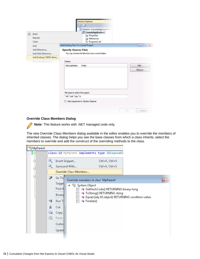| 凿 | <b>Build</b><br>Rebuild<br>Clean                   | Solution 'ConsoleApplication1'<br>cal ConsoleApplication1<br><b>Properties</b><br><b>References</b><br>Program1.cbl        |                                  |
|---|----------------------------------------------------|----------------------------------------------------------------------------------------------------------------------------|----------------------------------|
|   | Add<br>Add Reference<br>Add Web Reference          | Add Existing Files To Current Project<br><b>Specify Source Files</b><br>You can choose the files from one or more folders. | $\bullet$ or $\bullet$ $\bullet$ |
|   | Add Existing COBOL Items<br>Set as StartUp Project | Folders:                                                                                                                   |                                  |
|   |                                                    | Add subfolders<br>Folder                                                                                                   | Add                              |
|   |                                                    |                                                                                                                            | Remove                           |
|   |                                                    |                                                                                                                            |                                  |
|   |                                                    | File types to add to the project:                                                                                          |                                  |
|   |                                                    | ".cbl.".cob.".cpy.".rc                                                                                                     |                                  |

#### **Override Class Members Dialog**

 $\blacksquare$ 

**Note:** This feature works with .NET managed code only.

The new Override Class Members dialog available in the editor enables you to override the members of inherited classes. The dialog helps you see the base classes from which a class inherits, select the members to override and add the construct of the overriding methods to the class.

| <b>SMyParent</b> |                                                                                                                    |                        |                                                                                                                                                                                                    |       |  |
|------------------|--------------------------------------------------------------------------------------------------------------------|------------------------|----------------------------------------------------------------------------------------------------------------------------------------------------------------------------------------------------|-------|--|
| $\boxdot$        | class-id MyParent implements type IDisposabl                                                                       |                        |                                                                                                                                                                                                    |       |  |
| ⊟                | U.<br>Insert Snippet                                                                                               |                        | Ctrl+K, Ctrl+X                                                                                                                                                                                     |       |  |
| È                | Q.<br>Surround With                                                                                                |                        | Ctrl+K, Ctrl+S                                                                                                                                                                                     |       |  |
|                  |                                                                                                                    | Override Class Members |                                                                                                                                                                                                    |       |  |
| É                | ÷<br>Go To<br>Sugge<br>Find A<br>Breakp<br>٠Ξ<br>Run To<br>Ж<br>Cut<br>la<br>Copy<br>ë<br>Paste<br>Outlin<br>Updat | System.Object<br>◢     | Override members in class 'MyParent'<br>≡● GetHashCode() RETURNING binary-long<br>≡♦ ToString() RETURNING string<br>≡● Equals(obj AS object) RETURNING condition-value<br>$\Rightarrow$ Finalize() | $-23$ |  |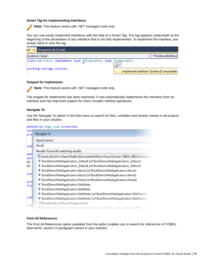#### **Smart Tag for Implementing Interfaces**

**Note:** This feature works with .NET managed code only.

You can now easily implement interfaces with the help of a Smart Tag. The tag appears underneath at the beginning of the declaration of any interface that is not fully implemented. To implement the interface, you simply need to click the tag.

| le]* X Program1.cbl [Code]                                     |  |  |    |                                          |
|----------------------------------------------------------------|--|--|----|------------------------------------------|
| plication1.Class1                                              |  |  |    | $\mathbf{v}$ = InstanceMethod(           |
| class-id Class1 implements type IDisposable, type IComparable. |  |  | 心的 |                                          |
| working-storage section.                                       |  |  |    | Implement interface 'System.IComparable' |

#### **Snippet for Implements**

**Note:** This feature works with .NET managed code only.

The snippet for implements has been improved. It now automatically implements the members from an interface and has improved support for more complex method signatures.

#### **Navigate To**

Use the Navigate To option in the Edit menu to search for files, variables and section names in all projects and files in your solution.

|            | method-id Page Load protected.                                                  |
|------------|---------------------------------------------------------------------------------|
| loq        |                                                                                 |
| pro        | Navigate To                                                                     |
|            | Search terms:                                                                   |
| end        | Book                                                                            |
|            | Results: Found 42 matching results.                                             |
| met<br>wor | book.cbl [of c:\Users\Public\Documents\Micro Focus\Visual COBOL 2010\Samples\Fo |
| 01         | BookDemoWebApplication._Default [of BookDemoWebApplication._Default]            |
| 01         | BookDemoWebApplication._Default [of BookDemoWebApplication._Default]            |
|            | BookDemoWebApplication.About [of BookDemoWebApplication.About]                  |
| loc        | BookDemoWebApplication.About [of BookDemoWebApplication.About]                  |
|            | BookDemoWebApplication.Global [of BookDemoWebApplication.Global]<br>9           |
| pro<br>try | BookDemoWebApplication.SiteMaste                                                |
|            | 9<br>BookDemoWebApplication.SiteMaste                                           |
|            | 9<br>BookDemoWebApplication.SiteMaster [of BookDemoWebApplication.SiteMaster]   |
| cat        | BookDemoWebApplication.SiteMaster [of BookDemoWebApplication.SiteMaster]        |
| end        | <sup>≡●</sup> BookDetails [of BookWrapper.Book]                                 |
|            | BookException.cbl [of c:\Users\Public\Documents\Micro Focus\Visual COBOL 2010\S |

#### **Find All References**

The Find All References option available from the editor enables you to search for references of COBOL data items, section or paragraph names in your solution.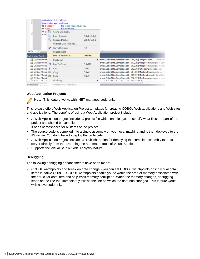|                                                                      | 01 baseSpr<br>01 xpos                |                       | method-id Initialize.<br>local-storage section.<br>type CobolBlitz.Base.<br>float-short. |                                    |                                                                                                                                                                                                                                                                                                    |  |
|----------------------------------------------------------------------|--------------------------------------|-----------------------|------------------------------------------------------------------------------------------|------------------------------------|----------------------------------------------------------------------------------------------------------------------------------------------------------------------------------------------------------------------------------------------------------------------------------------------------|--|
|                                                                      | $91 \,$ y <sub>i</sub> $\frac{6}{9}$ |                       | Create Unit Tests                                                                        |                                    |                                                                                                                                                                                                                                                                                                    |  |
|                                                                      | proce                                | Q,<br>G)              | <b>Insert Snippet</b><br>Surround With<br>Override Class Members                         | Ctrl+K, Ctrl+X<br>Ctrl+K. Ctrl+S   |                                                                                                                                                                                                                                                                                                    |  |
| 100 %<br>$+1$                                                        |                                      | æ                     | Go To Definition<br><b>Suggest Word</b>                                                  | F12                                | m.                                                                                                                                                                                                                                                                                                 |  |
| Find Symbol Results -                                                |                                      |                       | <b>Find All References</b>                                                               | Shift+F12                          |                                                                                                                                                                                                                                                                                                    |  |
| C:\Users\Publi                                                       |                                      | ×<br>d.<br><b>Lin</b> | Breakpoint                                                                               |                                    | > ames\CobolBlitz\GameState.cbl - (294, 10)[Defn] : 01 xpos<br>float-sho                                                                                                                                                                                                                           |  |
| C:\Users\Publi<br>C:\Users\Publi                                     | $2.09 - 2.21$                        |                       | <b>Run To Cursor</b>                                                                     | $Ctrl + F10$                       | ames\CobolBlitz\GameState.cbl - (301, 19)[Mod] : compute xpos = Gam<br>ames\CobolBlitz\GameState.cbl - (302, 19)[Mod] : compute xpos = xpos                                                                                                                                                        |  |
| C:\Users\Publi<br>C:\Users\Publi<br>C:\Users\Publi<br>C:\Users\Publi |                                      |                       | Cut<br>Copy<br>Paste                                                                     | $Ctrl+X$<br>$Ctrl + C$<br>$Ctrl+V$ | ames\CobolBlitz\GameState.cbl - (302, 26)[Ref] : compute xpos = xpos -<br>ames\CobolBlitz\GameState.cbl - (304, 61)[Mod] : set baseShip to new to<br>ames\CobolBlitz\GameState.cbl - (309, 15)[Mod] : set xpos to GameArea<br>ames\CobolBlitz\GameState.cbl - (310, 19)[Mod] : compute xpos = xpos |  |
| $\epsilon$                                                           |                                      |                       | Outlining                                                                                |                                    | ٠<br>calculation of the<br>$-0.1$                                                                                                                                                                                                                                                                  |  |
| Output Pl Cod                                                        |                                      |                       | Undate Syntax Reporting                                                                  |                                    |                                                                                                                                                                                                                                                                                                    |  |

#### **Web Application Projects**

**Note:** This feature works with .NET managed code only.

This release offers Web Application Project templates for creating COBOL Web applications and Web sites and applications. The benefits of using a Web Application project include:

- A Web Application project includes a project file which enables you to specify what files are part of the project and should be compiled.
- It adds namespaces for all items of the project.
- The source code is compiled into a single assembly on your local machine and is then deployed to the IIS server. You don't have to deploy the code behind.
- A Web Application project includes a "Publish" option for deploying the compiled assembly to an IIS server directly from the IDE using the automated tools of Visual Studio.
- Supports the Visual Studio Code Analysis feature.

#### **Debugging**

The following debugging enhancements have been made:

• COBOL watchpoints and break on data change - you can set COBOL watchpoints on individual data items in native COBOL. COBOL watchpoints enable you to watch the area of memory associated with the particular data item and help track memory corruption. When the memory changes, debugging stops on the line that immediately follows the line on which the data has changed. This feature works with native code only.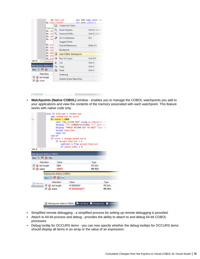| 01 tail-length                  |           | 03 tail-col                      | $n/r$ $9(4)$ value 3 | pic s99 comp value 10. |                |
|---------------------------------|-----------|----------------------------------|----------------------|------------------------|----------------|
|                                 | ST.       | Create Unit Tests                |                      |                        |                |
| >Varia<br>01 ran                | G)        | <b>Insert Snippet</b>            |                      | Ctrl+K, Ctrl+X         |                |
| 01 ran al                       |           | Surround With                    |                      |                        | Ctrl+K, Ctrl+S |
| $01$ ran<br>01 ran              | n.        | Go To Definition<br>Suggest Word |                      | F12                    |                |
| 01 acc<br>01 spe                |           | <b>Find All References</b>       |                      | $Shift + F12$          |                |
| 01 cha                          |           | Breakpoint                       |                      |                        | x              |
| 01 add<br>$01$ ins              | <b>To</b> | Add COBOL Watchpoint             |                      |                        |                |
| 01 scc <sup>+</sup>             |           | <b>Run To Curson</b>             |                      | $Ctrl + F10$           |                |
| 100 %                           | ×         | Cut                              |                      | $Ctrl + X$             |                |
| <b>Watchpoints (Native CC</b>   | ū,        | <b>Copy</b>                      |                      | $Ctrl * C$             |                |
| New $\times$ 10 $\circledcirc$  | m.        | Paste                            |                      | $Ctrl + V$             |                |
| Data Item                       |           | Outlining                        |                      |                        | ь              |
| tail-length<br>$\circ$<br>score |           | <b>Update Syntax Reporting</b>   |                      |                        |                |

• **Watchpoints (Native COBOL)** window - enables you to manage the COBOL watchpoints you add to your applications and view the contents of the memory associated with each watchpoint. This feature works with native code only.





- Simplified remote debugging a simplified process for setting up remote debugging is provided.
- Attach to 64-bit process and debug provides the ability to attach to and debug 64-bit COBOL processes.
- Debug tooltip for OCCURS items you can now specify whether the debug tooltips for OCCURS items should display all items in an array or the value of an expression.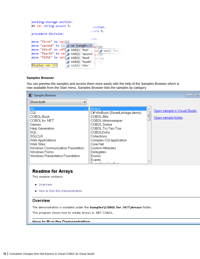| working-storage section.<br>01 var string occurs 5.                                 | e section.                                      |
|-------------------------------------------------------------------------------------|-------------------------------------------------|
| procedure division.                                                                 | $\circ$ ccurs 5.                                |
|                                                                                     | sion.                                           |
| move "first" to var(1)                                                              |                                                 |
| move "second" to $\sqrt{\square}$ $\mathscr{P}$ var {Length = 5} <sub>Var</sub> (1) |                                                 |
| move "third" to var( ) VAR(1) "first" to var( ) var(1) "first"                      |                                                 |
| move "fourth" to var $\phi$ VAR(2) "second"var (3)                                  |                                                 |
| move "fifth" to var( $\mathcal{P}$ VAR(3) "third" $\mathcal{P}$ $\mathcal{P}$ ar(4) |                                                 |
|                                                                                     | $\mathscr{P}$ VAR(4) "fourth" $\mathscr{P}$ (5) |
| display var (1)<br>$\bullet$ VAR(5) "fifth"                                         |                                                 |
| goback.                                                                             |                                                 |

#### **Samples Browser**

You can preview the samples and access them more easily with the help of the Samples Browser which is now available from the Start menu. Samples Browser lists the samples by category

| <b>■ Samples Browser</b>                                                                                                                                                                                                        |                                                                                                                                                                                                                                                                                                |        | 回                                                  |
|---------------------------------------------------------------------------------------------------------------------------------------------------------------------------------------------------------------------------------|------------------------------------------------------------------------------------------------------------------------------------------------------------------------------------------------------------------------------------------------------------------------------------------------|--------|----------------------------------------------------|
| Show both                                                                                                                                                                                                                       |                                                                                                                                                                                                                                                                                                |        |                                                    |
| All.<br>CGI<br>COBOL Book<br>COBOL for .NET<br>Games<br><b>Help Generation</b><br>SQL<br><b>SQLCLR</b><br>Web Applications<br>Web Sites<br>Windows Communication Foundation<br>Windows Forms<br>Windows Presentation Foundation | Arrays<br>C# WinBook (SmartLinkage demo)<br>COBOL Blitz<br>COBOL Minesweeper<br>COBOL Snake<br>COBOL Tic-Tac-Toe<br>COBOLDoKu<br>Collections<br>Complex CGI application<br>Core.Net<br>Custom Attributes<br>Delegates<br><b>Enums</b><br>Events<br>$\Box$ . The projection of the condition of | ┻<br>Ξ | Open sample in Visual Studio<br>Open sample folder |

### **Readme for Arrays**

This readme contains:

- Overview
- . How to Run this Demonstration

#### Overview

The demonstration is installed under the Samples\COBOL for .NET\Arrays folder.

This program shows how to create arrays in .NET COBOL.

**How to Dun the Demonstration**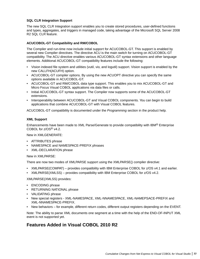#### **SQL CLR Integration Support**

The new SQL CLR Integration support enables you to create stored procedures, user-defined functions and types, aggregates, and triggers in managed code, taking advantage of the Microsoft SQL Server 2008 R2 SQL CLR feature.

#### **ACUCOBOL-GT Compatibility and RM/COBOL**

The Compiler and run-time now include initial support for ACUCOBOL-GT. This support is enabled by several new Compiler directives. The directive ACU is the main switch for turning on ACUCOBOL-GT compatibility. The ACU directive enables various ACUCOBOL-GT syntax extensions and other language elements. Additional ACUCOBOL-GT compatibility features include the following:

- Vision indexed file system and utilities (vutil, vio, and logutil) support. Vision support is enabled by the new CALLFH(ACUFH) option.
- ACUCOBOL-GT compiler options. By using the new ACUOPT directive you can specify the same options available in ACUCOBOL-GT.
- ACUCOBOL-GT and RM/COBOL data type support. This enables you to mix ACUCOBOL-GT and Micro Focus Visual COBOL applications via data files or calls.
- Initial ACUCOBOL-GT syntax support. The Compiler now supports some of the ACUCOBOL-GT extensions.
- Interoperability between ACUCOBOL-GT and Visual COBOL components. You can begin to build applications that combine ACUCOBOL-GT with Visual COBOL features.

ACUCOBOL-GT compatibility is documented under the *Programming* section in the product help.

#### **XML Support**

Enhancements have been made to XML Parse/Generate to provide compatibility with IBM® Enterprise COBOL for z/OS® v4.2.

New in XMLGENERATE:

- ATTRIBUTES phrase
- NAMESPACE and NAMESPACE-PREFIX phrases
- XML-DECLARATION phrase

#### New in XMLPARSE:

There are now two modes of XMLPARSE support using the XMLPARSE() compiler directive:

- XMLPARSE(COMPAT) provides compatibility with IBM Enterprise COBOL for z/OS v4.1 and earlier.
- XMLPARSE(XMLSS) provides compatibility with IBM Enterprise COBOL for z/OS v4.2.

XMLPARSE(XMLSS) provides:

- ENCODING phrase
- RETURNING NATIONAL phrase
- VALIDATING phrase
- New special registers XML-NAMESPACE, XML-NNAMESPACE, XML-NAMEPSACE-PREFIX and XML-NNAMESPACE-PREFIX.
- New behaviors for example, different return codes, different output registers depending on the EVENT.

Note: The ability to parse XML documents one segment at a time with the help of the END-OF-INPUT XML event is not supported yet.

### **Features Added in Visual COBOL 2010 R2**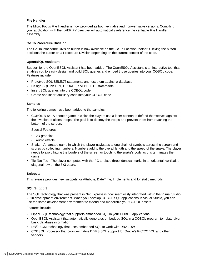#### **File Handler**

The Micro Focus File Handler is now provided as both verifiable and non-verifiable versions. Compiling your application with the ILVERIFY directive will automatically reference the verifiable File Handler assembly.

#### **Go To Procedure Division**

The Go To Procedure Division button is now available on the Go To Location toolbar. Clicking the button positions the cursor on a Procedure Division depending on the current context of the code.

#### **OpenESQL Assistant**

Support for the OpenESQL Assistant has been added. The OpenESQL Assistant is an interactive tool that enables you to easily design and build SQL queries and embed those queries into your COBOL code. Features include:

- Prototype SQL SELECT statements and test them against a database
- Design SQL INSERT, UPDATE, and DELETE statements
- Insert SQL queries into the COBOL code
- Create and insert auxiliary code into your COBOL code

#### **Samples**

The following games have been added to the samples:

• COBOL Blitz - A shooter game in which the players use a laser cannon to defend themselves against the invasion of aliens troops. The goal is to destroy the troops and prevent them from reaching the bottom of the screen.

Special Features:

- 2D graphics
- Audio effects
- Snake An arcade game in which the player navigates a long chain of symbols across the screen and scores by collecting numbers. Numbers add to the overall length and the speed of the snake. The player needs to avoid hitting the borders of the screen or touching the snake's body as this terminates the game.
- Tic-Tac-Toe The player competes with the PC to place three identical marks in a horizontal, vertical, or diagonal row on the 3x3 board.

#### **Snippets**

This release provides new snippets for Attribute, DateTime, Implements and for static methods.

#### **SQL Support**

The SQL technology that was present in Net Express is now seamlessly integrated within the Visual Studio 2010 development environment. When you develop COBOL SQL applications in Visual Studio, you can use the same development environment to extend and modernize your COBOL assets.

Features include:

- OpenESQL technology that supports embedded SQL in your COBOL applications
- OpenESQL Assistant that automatically generates embedded SQL in a COBOL program template given basic database information
- DB/2 ECM technology that uses embedded SQL to work with DB2 LUW
- COBSQL processor that provides native DBMS SQL support for Oracle's Pro\*COBOL and other vendors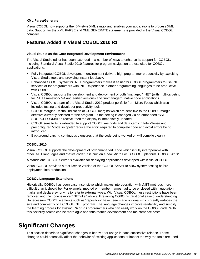#### **XML Parse/Generate**

Visual COBOL now supports the IBM-style XML syntax and enables your applications to process XML data. Support for the XML PARSE and XML GENERATE statements is provided in the Visual COBOL compiler.

### **Features Added in Visual COBOL 2010 R1**

#### **Visual Studio as the Core Integrated Development Environment**

The Visual Studio editor has been extended in a number of ways to enhance its support for COBOL, including Standard Visual Studio 2010 features for program navigation are exploited for COBOL applications.

- Fully integrated COBOL development environment delivers high programmer productivity by exploiting Visual Studio tools and providing instant feedback.
- Enhanced COBOL syntax for .NET programmers makes it easier for COBOL programmers to use .NET services or for programmers with .NET experience in other programming languages to be productive with COBOL.
- Visual COBOL supports the development and deployment of both "managed" .NET (with multi-targeting for .NET Framework V4 and earlier versions) and "unmanaged", native code applications.
- Visual COBOL is a part of the Visual Studio 2010 product portfolio from Micro Focus which also includes testing and developer productivity tools.
- COBOL Margins visual indication of COBOL margins which are sensitive to the COBOL margin directive currently selected for the program – if the setting is changed via an embedded "\$SET SOURCEFORMAT" directive, then the display is immediately updated.
- COBOL sensitivity is extended to support COBOL methods and data items in IntelliSense and preconfigured "code snippets" reduce the effort required to complete code and avoid errors being introduced.
- Background parsing continuously ensures that the code being worked on will compile cleanly.

#### **COBOL 2010**

Visual COBOL supports the development of both "managed" code which is fully interoperable with other .NET languages and "native code". It is built on a new Micro Focus COBOL platform "COBOL 2010".

A standalone COBOL Server is available for deploying applications developed within Visual COBOL.

Visual COBOL provides a test license version of the COBOL Server to allow system testing before deployment into production.

#### **COBOL Language Extensions**

Historically, COBOL has been case-insensitive which makes interoperation with .NET methods more difficult than it should be. For example, method or member names had to be enclosed within quotation marks and declare synonyms to refer to external types. With Visual COBOL these restrictions have been removed and the code is more ".NET-like" while still retaining COBOL's traditional ease of understanding. Unnecessary COBOL elements such as "repository" have been made optional which greatly reduces the size and complexity of a COBOL .NET program. The language changes improve readability and simplify the learning process for existing C# or VB programmers who can easily work on the COBOL code. With this flexibility, teams can be more agile and thus reduce development and maintenance costs.

## **Significant Changes**

This section describes significant changes in behavior or usage in each successive release. These changes could potentially affect the behavior of existing applications or impact the way the tools are used.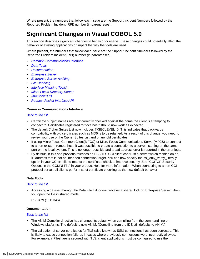<span id="page-79-0"></span>Where present, the numbers that follow each issue are the Support Incident Numbers followed by the Reported Problem Incident (RPI) number (in parentheses).

### **Significant Changes in Visual COBOL 5.0**

This section describes significant changes in behavior or usage. These changes could potentially affect the behavior of existing applications or impact the way the tools are used.

Where present, the numbers that follow each issue are the Support Incident Numbers followed by the Reported Problem Incident (RPI) number (in parentheses).

- *Common Communications Interface*
- *Data Tools*
- *Documentation*
- *[Enterprise Server](#page-80-0)*
- *[Enterprise Server Auditing](#page-80-0)*
- *[File Handling](#page-80-0)*
- *[Interface Mapping Toolkit](#page-80-0)*
- *[Micro Focus Directory Server](#page-81-0)*
- *[MFCRYPTLIB](#page-81-0)*
- *[Request Packet Interface API](#page-81-0)*

#### **Common Communications Interface**

#### *Back to the list*

- Certificate subject names are now correctly checked against the name the client is attempting to connect to. Certificates registered to "localhost" should now work as expected.
- The default Cipher Suites List now includes @SECLEVEL=0. This indicates that backwards compatibility with old certificates such as MD5 is to be retained. As a result of this change, you need to review your use of the Cipher Suites List and of any old certificates.
- If using Micro Focus Common Client(MFCC) or Micro Focus Communications Server(MFCS) to connect to a non-existent remote host, it was possible to create a connection to a server listening on the same port on the local system. This is no longer possible and a bad address error is reported in the error logs.
- By default, in this and previous releases an SSL/TLS CCI client can trust a server which resides on an IP address that is not an intended connection target. You can now specify the ssl\_only\_verify\_literally option in your CCI.INI file to restrict the certificate check to improve security. See "CCITCP Security Options in the CCI.INI File" in your product Help for more information. When connecting to a non-CCI protocol server, all clients perform strict certificate checking as the new default behavior

#### **Data Tools**

#### *Back to the list*

• Accessing a dataset through the Data File Editor now obtains a shared lock on Enterprise Server when you open the file in shared mode.

3170479 (1115346)

#### **Documentation**

#### *Back to the list*

- The ANIM Compiler directive has changed its default when compiling from the command line on Windows platforms. The default is now ANIM. (Compiling from the IDE still defaults to ANIM.)
- The validation of server certificates for TLS (also known as SSL) connections has been corrected. This is likely to cause connection failures in cases where previously connections were incorrectly allowed. For example, if Fileshare is secured with TLS, client applications must be configured to use the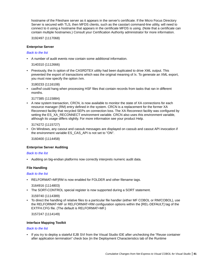<span id="page-80-0"></span>hostname of the Fileshare server as it appears in the server's certificate. If the Micro Focus Directory Server is secured with TLS, then MFDS clients, such as the casstart command-line utility, will need to connect to it using a hostname that appears in the certificate MFDS is using. (Note that a certificate can contain multiple hostnames.) Consult your Certification Authority administrator for more information.

3192497 (1117068)

#### **Enterprise Server**

#### *[Back to the list](#page-79-0)*

• A number of audit events now contain some additional information.

3140310 (1112666)

• Previously, the /x option of the CASRDTEX utility had been duplicated to drive XML output. This prevented the export of transactions which was the original meaning of /x. To generate an XML export, you must now specify the option /xm.

3180233 (1116108)

• casfhsf could hang when processing HSF files that contain records from tasks that ran in different months.

3177385 (1115884)

• A new system transaction, CRCN, is now available to monitor the state of XA connections for each resource manager (RM) entry defined in the system. CRCN is a replacement for the former XA Reconnect facility that recycled SEPs on connection loss. The XA Reconnect facility was configured by setting the ES\_XA\_RECONNECT environment variable. CRCN also uses this environment variable, although its usage differs slightly. For more information see your product Help.

3174272 (1115727)

• On Windows, any casout and cassub messages are displayed on cassub and casout API invocation if the environment variable ES\_CAS\_API is not set to "ON".

3160400 (1114458)

#### **Enterprise Server Auditing**

#### *[Back to the list](#page-79-0)*

• Auditing on big-endian platforms now correctly interprets numeric audit data.

#### **File Handling**

#### *[Back to the list](#page-79-0)*

• RELFORMAT=MF|RM is now enabled for FOLDER and other filename tags.

3164916 (1114803)

• The SORT-CONTROL special register is now supported during a SORT statement.

3159740 (1114389)

• To direct the handling of relative files to a particular file handler (either MF COBOL or RM/COBOL), use the RELFORMAT=MF or RELFORMAT=RM configuration options within the [REL-DEFAULT] tag of the EXTFH.CFG file. (The default is RELFORMAT=MF.)

3157247 (1114149)

#### **Interface Mapping Toolkit**

#### *[Back to the list](#page-79-0)*

• If you try to deploy a stateful EJB SVI from the Visual Studio IDE after unchecking the "Reuse container after application termination" check box (in the Deployment Characteristics tab of the Runtime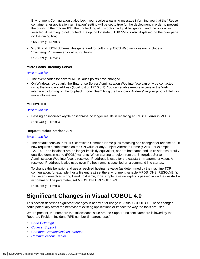<span id="page-81-0"></span>Environment Configuration dialog box), you receive a warning message informing you that the "Reuse container after application termination" setting will be set to true for the deployment in order to prevent the crash. In the Eclipse IDE, the unchecking of this option will just be ignored, and the option reselected. A warning to not uncheck the option for stateful EJB SVIs is also displayed on the prior page (to the dialog box).

2663812 (1090987)

• WSDL and JSON Schema files generated for bottom-up CICS Web services now include a "maxLength" parameter for all string fields.

3175039 (1116241)

#### **Micro Focus Directory Server**

#### *[Back to the list](#page-79-0)*

- The event codes for several MFDS audit points have changed.
- On Windows, by default, the Enterprise Server Administration Web interface can only be contacted using the loopback address (localhost or 127.0.0.1). You can enable remote access to the Web interface by turning off the loopback mode. See "Using the Loopback Address" in your product Help for more information.

#### **MFCRYPTLIB**

#### *[Back to the list](#page-79-0)*

• Passing an incorrect keyfile passphrase no longer results in receiving an RTS115 error in MFDS.

3181743 (1116186)

#### **Request Packet Interface API**

#### *[Back to the list](#page-79-0)*

• The default behaviour for TLS certificate Common Name (CN) matching has changed for release 5.0. It now requires a strict match on the CN value or any Subject Alternate Name (SAN). For example, 127.0.0.1 and localhost are no longer implicitly equivalent, nor are hostname and its IP address or fullyqualified domain name (FQDN) variants. When starting a region from the Enterprise Server Administration Web interface, a resolved IP address is used for the casstart -m parameter value. A resolved IP address is also used even if a hostname is specified on a command line startup.

To change this behavior and use a resolved hostname value (as determined by the machine TCP configuration, for example, hosts file entries.) set the environment variable MFDS\_DNS\_RESOLVE=Y. To use an unresolved string literal hostname, for example, a value explicitly passed in via the casstart – m command line parameter, set MFDS\_DNS\_RESOLVE=N.

3194613 (1117203)

### **Significant Changes in Visual COBOL 4.0**

This section describes significant changes in behavior or usage in Visual COBOL 4.0. These changes could potentially affect the behavior of existing applications or impact the way the tools are used.

Where present, the numbers that follow each issue are the Support Incident Numbers followed by the Reported Problem Incident (RPI) number (in parentheses).

- *[Code Coverage](#page-82-0)*
- *[Codeset Support](#page-82-0)*
- *[Common Communications Interface](#page-82-0)*
- *[Communications Server](#page-82-0)*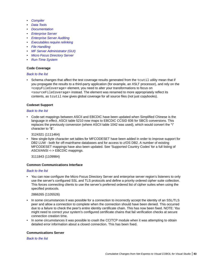- <span id="page-82-0"></span>• *[Compiler](#page-83-0)*
- *[Data Tools](#page-83-0)*
- *[Documentation](#page-83-0)*
- *[Enterprise Server](#page-84-0)*
- *[Enterprise Server Auditing](#page-84-0)*
- *[Executables require relinking](#page-85-0)*
- *[File Handling](#page-85-0)*
- *[MF Server Administrator \(GUI\)](#page-85-0)*
- *[Micro Focus Directory Server](#page-85-0)*
- *[Run-Time System](#page-86-0)*

#### **Code Coverage**

#### *[Back to the list](#page-81-0)*

• Schema changes that affect the test coverage results generated from the  $t$ cutil utility mean that if you propagate the results to a third-party application (for example, an XSLT processor), and rely on the <copyFileCoverage> element, you need to alter your transformations to focus on <sourceFileCoverage> instead. The element was renamed to more appropriately reflect its contents, as tcutil now gives global coverage for all source files (not just copybooks).

#### **Codeset Support**

#### *[Back to the list](#page-81-0)*

• Code-set mappings between ASCII and EBCDIC have been updated when Simplified Chinese is the language in effect. ASCII table 5210 now maps to EBCDIC CCSID 836 for SBCS conversions. This replaces the previously conversion (where ASCII table 1042 was used), which would convert the "\" character to "\$".

3124321 (1111464)

• New single-byte character set tables for MFCODESET have been added in order to improve support for DB2 LUW - both for off-mainframe databases and for access to z/OS DB2. A number of existing MFCODESET mappings have also been updated. See 'Supported Country Codes' for a full listing of ASCII/ANSI <-> EBCDIC mappings.

3111843 (1109984)

#### **Common Communications Interface**

#### *[Back to the list](#page-81-0)*

• You can now configure the Micro Focus Directory Server and enterprise server region's listeners to only use the server's configured SSL and TLS protocols and define a priority ordered cipher suite collection. This forces connecting clients to use the server's preferred ordered list of cipher suites when using the specified protocols.

#### 2866265 (1105526)

- In some circumstances it was possible for a connection to incorrectly accept the identity of an SSL/TLS peer and allow a connection to complete when the connection should have been denied. This occurred due to a failure to check the peer's entire identity certificate chain. This has now been fixed. NOTE: You might need to correct your system's configured certificate chains that fail verification checks at secure connection creation time.
- In some circumstances it was possible to crash the CCITCP module when it was attempting to obtain detailed error information about a closed connection. This has been fixed.

#### **Communications Server**

*[Back to the list](#page-81-0)*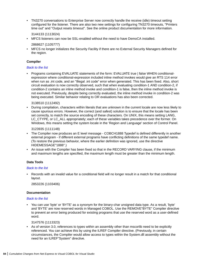<span id="page-83-0"></span>• TN3270 conversations to Enterprise Server now correctly handle the receive (idle) timeout setting configured for the listener. There are also two new settings for configuring TN3270 timeouts, "Printers time out" and "Output resets timeout". See the online product documentation for more information.

3144133 (1113024)

• MFCS listeners can now be SSL-enabled without the need to have DemoCA installed.

2868627 (1105777)

• MFCS no longer initializes the Security Facility if there are no External Security Managers defined for the region.

#### **Compiler**

#### *[Back to the list](#page-81-0)*

• Programs containing EVALUATE statements of the form: EVALUATE true | false WHEN conditionalexpression where conditional-expression included inline method invokes would give an RTS 114 error when run as .int code, and an "Illegal .int code" error when generated. This has been fixed. Also, short circuit evaluation is now correctly observed, such that when evaluating condition-1 AND condition-2, if condition-2 contains an inline method invoke and condition-1 is false, then the inline method invoke is not executed. Previously, despite being correctly evaluated, the inline method invoke in condition-2 was being executed. Similar behavior relating to OR evaluations has also been corrected.

#### 3138510 (1112492)

• During compilation, characters within literals that are unknown in the current locale are now less likely to cause spurious errors. However, the correct (and safest) solution is to ensure that the locale has been set correctly, to match the source encoding of these characters. On UNIX, this means setting LANG, LC\_CTYPE, or LC\_ALL appropriately; each of these variables takes precedence over the former. On Windows, this means setting the system locale in the 'Region and Language' section of Control Panel.

#### 3123935 (1111148)

- The Compiler now produces an E level message COBCH1888 Typedef is defined differently in another external program - if different external programs have conflicting definitions of the same typedef name. (To restore the previous behavior, where the earlier definition was ignored, use the directive HIDEMESSAGE"1888".)
- An issue with the Compiler has been fixed so that in the RECORD VARYING clause, if the minimum and maximum lengths are specified, the maximum length must be greater than the minimum length.

#### **Data Tools**

#### *[Back to the list](#page-81-0)*

• Records with an invalid value for a conditional field will no longer result in a match for that conditional layout.

2853226 (1103406)

#### **Documentation**

#### *[Back to the list](#page-81-0)*

• You can use 'byte' or 'BYTE' as a synonym for the binary-char unsigned data type. As a result, 'byte' and 'BYTE' are now reserved words in Managed COBOL. Use the REMOVE"BYTE" Compiler directive to prevent an error being produced for existing programs that use the reserved word as a user-defined word.

#### 3147576 (1113323)

• As of version 3.0, references to types within an assembly other than mscorlib need to be explicitly referenced. You can achieve this by using the ILREF Compiler directive. (Previously, in certain circumstances, the Compiler would allow access to types within the System.dll assembly without the need for an ILREF"System" directive.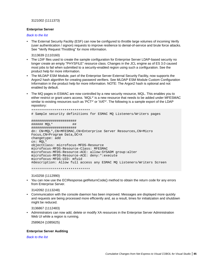<span id="page-84-0"></span>3121002 (1111373)

#### **Enterprise Server**

*[Back to the list](#page-81-0)*

• The External Security Facility (ESF) can now be configured to throttle large volumes of incoming Verify (user authentication / signon) requests to improve resilience to denial-of-service and brute force attacks. See "Verify Request Throttling" for more information.

3113639 (1110160)

- The LDIF files used to create the sample configuration for Enterprise Server LDAP-based security no longer create an empty "PHYSFILE" resource class. Changes in the JCL engine as of ES 3.0 caused most jobs to fail when submitted to a security-enabled region using such a configuration. See the product help for more information.
- The MLDAP ESM Module, part of the Enterprise Server External Security Facility, now supports the Argon2 hash algorithm for creating password verifiers. See MLDAP ESM Module Custom Configuration Information in the product help for more information. NOTE: The Argon2 hash is optional and not enabled by default.
- The MQ pages in ESMAC are now controlled by a new security resource, MQL. This enables you to either restrict or grant users access. 'MQL\*' is a new resource that needs to be added under MFESMAC similar to existing resources such as 'PCT\*' or 'XAT\*'. The following is a sample export of the LDAP repository:

```
******************************
# Sample security definitions for ESMAC MQ Listeners/Writers pages
#######################
###### MQL* ##
#######################
dn: CN=MQL*,CN=MFESMAC,CN=Enterprise Server Resources,CN=Micro 
Focus,CN=Program Data,DC=X
changetype: add
cn: MQL*
objectClass: microfocus-MFDS-Resource
microfocus-MFDS-Resource-Class: MFESMAC
microfocus-MFDS-Resource-ACE: allow:SYSADM group:alter
microfocus-MFDS-Resource-ACE: deny:*:execute
microfocus-MFDS-UID: mfuid
#description: Allow full access any ESMAC MQ Listeners/Writers Screen
```
\*\*\*\*\*\*\*\*\*\*\*\*\*\*\*\*\*\*\*\*\*\*\*\*\*\*\*\*\*\*

3143258 (1112990)

• You can now use the ECIResponse.getReturnCode() method to obtain the return code for any errors from Enterprise Server.

3142092 (1113248)

• Communication with the console daemon has been improved. Messages are displayed more quickly and requests are being processed more efficiently and, as a result, times for initialization and shutdown might be reduced.

3136867 (1112483)

• Administrators can now add, delete or modify XA resources in the Enterprise Server Administration Web UI while a region is running.

2589624 (1085625)

#### **Enterprise Server Auditing**

*[Back to the list](#page-81-0)*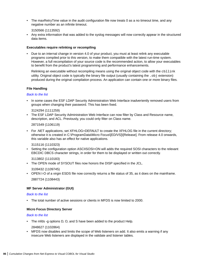<span id="page-85-0"></span>The maxRetryTime value in the audit configuration file now treats 0 as a no timeout time, and any negative number as an infinite timeout.

3150566 (1113592)

• Any extra information that was added to the syslog messages will now correctly appear in the structured data items.

#### **Executables require relinking or recompiling**

• Due to an internal change in version 4.0 of your product, you must at least relink any executable programs compiled prior to this version, to make them compatible with the latest run-time system. However, a full recompilation of your source code is the recommended action, to allow your executables to benefit from the product's latest programming and performance enhancements.

Relinking an executable without recompiling means using the original object code with the cbllink utility. Original object code is typically the binary file output (usually containing the .obj extension) produced during the original compilation process. An application can contain one or more binary files.

#### **File Handling**

#### *[Back to the list](#page-81-0)*

• In some cases the ESF LDAP Security Administration Web Interface inadvertently removed users from groups when changing their password. This has been fixed.

3124294 (1111259)

• The ESF LDAP Security Administration Web Interface can now filter by Class and Resource name, description, and ACL. Previously, you could only filter on Class name.

2871549 (1106119)

• For .NET applications, set XFHLOG=DEFAULT to create the XFHLOG file in the current directory; otherwise it is created in C:\ProgramData\Micro Focus\[ED/VS]\[Release]. From release 4.0 onwards, this variable also has an effect for native applications.

#### 3115116 (1110323)

• Setting the configuration option ASCIISOSI=ON will adds the required SOSI characters to the relevant EBCDIC DBCS character strings, in order for them to be displayed or written out correctly.

3113802 (1110183)

• The OPEN mode of SYSOUT files now honors the DISP specified in the JCL.

3109432 (1109745)

• OPEN I-O of a virgin ESDS file now correctly returns a file status of 35, as it does on the mainframe. 2887724 (1108443)

#### **MF Server Administrator (GUI)**

#### *[Back to the list](#page-81-0)*

• The total number of active sessions or clients in MFDS is now limited to 2000.

#### **Micro Focus Directory Server**

#### *[Back to the list](#page-81-0)*

• The mfds -g options D, O, and S have been added to the product Help.

2848627 (1102864)

• MFDS now disables and limits the scope of Web listeners on add. It also emits a warning if any insecure Web listeners are displayed in the validate and listener tables.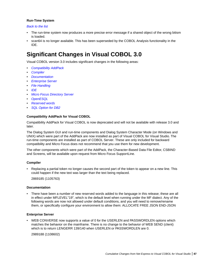#### <span id="page-86-0"></span>**Run-Time System**

#### *[Back to the list](#page-81-0)*

- The run-time system now produces a more precise error message if a shared object of the wrong bitism is loaded.
- scan64 is no longer available. This has been superseded by the COBOL Analysis functionality in the IDE.

### **Significant Changes in Visual COBOL 3.0**

Visual COBOL version 3.0 includes significant changes in the following areas:

- *Compatibility AddPack*
- *Compiler*
- *Documentation*
- *Enterprise Server*
- *[File Handling](#page-87-0)*
- *[IDE](#page-87-0)*
- *[Micro Focus Directory Server](#page-87-0)*
- *[OpenESQL](#page-87-0)*
- *[Reserved words](#page-87-0)*
- *[SQL Option for DB2](#page-87-0)*

#### **Compatibility AddPack for Visual COBOL**

Compatibility AddPack for Visual COBOL is now deprecated and will not be available with release 3.0 and later.

The Dialog System GUI and run-time components and Dialog System Character Mode (on Windows and UNIX) which were part of the AddPack are now installed as part of Visual COBOL for Visual Studio. The run-time components are installed as part of COBOL Server. These are only included for backward compatibility and Micro Focus does not recommend that you use them for new development.

The other components which were part of the AddPack, the Character-Based Data File Editor, CSBIND and Screens, will be available upon request from Micro Focus SupportLine.

#### **Compiler**

• Replacing a partial token no longer causes the second part of the token to appear on a new line. This could happen if the new text was larger than the text being replaced.

2869185 (1105763)

#### **Documentation**

• There have been a number of new reserved words added to the language in this release; these are all in effect under MFLEVEL"19", which is the default level when running under the MF dialect. Any of the following words are now not allowed under default conditions, and you will need to remove/rename them, or specifically configure your environment to allow them: ALLOCATE FREE JSON END-JSON

#### **Enterprise Server**

• WEB CONVERSE now supports a value of 0 for the USERLEN and PASSWORDLEN options which matches the behavior on the mainframe. There is no change to the behavior of WEB SEND (client) which is to return LENGERR 139/140 when USERLEN or PASSWORDLEN are 0.

2989188 (1108602)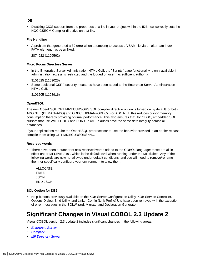#### <span id="page-87-0"></span>**IDE**

• Disabling CICS support from the properties of a file in your project within the IDE now correctly sets the NOCICSECM Compiler directive on that file.

#### **File Handling**

• A problem that generated a 39 error when attempting to access a VSAM file via an alternate index PATH element has been fixed.

2874622 (1106562)

#### **Micro Focus Directory Server**

• In the Enterprise Server Administration HTML GUI, the "Scripts" page functionality is only available if administration access is restricted and the logged on user has sufficient authority.

3101625 (1109025)

• Some additional CSRF security measures have been added to the Enterprise Server Administration HTML GUI.

3101205 (1108916)

#### **OpenESQL**

The new OpenESQL OPTIMIZECURSORS SQL compiler directive option is turned on by default for both ADO.NET (DBMAN=ADO) and ODBC (DBMAN=ODBC). For ADO.NET, this reduces cursor memory consumption thereby providing optimal performance. This also ensures that, for ODBC, embedded SQL cursors that use WITH HOLD and FOR UPDATE clauses have the same data integrity across all databases.

If your applications require the OpenESQL preprocessor to use the behavior provided in an earlier release, compile them using OPTIMIZECURSORS=NO.

#### **Reserved words**

• There have been a number of new reserved words added to the COBOL language; these are all in effect under MFLEVEL"19", which is the default level when running under the MF dialect. Any of the following words are now not allowed under default conditions, and you will need to remove/rename them, or specifically configure your environment to allow them:

ALLOCATE FREE JSON END-JSON

#### **SQL Option for DB2**

• Help buttons previously available on the XDB Server Configuration Utility, XDB Service Controller, Options Dialog, Bind Utility, and Linker Config (Link Profile) UIs have been removed with the exception of error messages in the SQLWizard, Migrate, and Declaration Generator.

### **Significant Changes in Visual COBOL 2.3 Update 2**

Visual COBOL version 2.3 update 2 includes significant changes in the following areas:

- *[Enterprise Server](#page-88-0)*
- *[Compiler](#page-88-0)*
- *[MF Directory Server](#page-88-0)*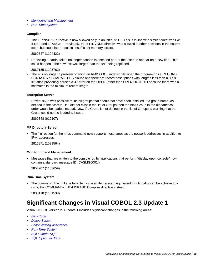- <span id="page-88-0"></span>• *Monitoring and Management*
- *Run-Time System*

#### **Compiler**

• The ILPINVOKE directive is now allowed only in an initial \$SET. This is in line with similar directives like ILREF and ILTARGET. Previously, the ILPINVOKE directive was allowed in other positions in the source code, but could later result in 'Insufficient memory' errors.

#### 2860347 (1104422)

• Replacing a partial token no longer causes the second part of the token to appear on a new line. This could happen if the new text was larger than the text being replaced.

2869185 (1105763)

• There is no longer a problem opening an RM/COBOL indexed file when the program has a RECORD CONTAINS n CHARACTERS clause and there are record descriptions with lengths less than n. This situation previously caused a 39 error on the OPEN (other than OPEN OUTPUT) because there was a mismatch in the minimum record length.

#### **Enterprise Server**

• Previously, it was possible to install groups that should not have been installed. If a group name, as defined in the Startup List, did not exist in the list of Groups then the next Group in the alphabetical order would be loaded instead. Now, if a Group is not defined in the list of Groups, a warning that the Group could not be loaded is issued.

2869848 (619107)

#### **MF Directory Server**

• The "-n" option for the mfds command now supports hostnames as the network addresses in addition to IPv4 addresses.

2816871 (1099564)

#### **Monitoring and Management**

• Messages that are written to the console log by applications that perform "display upon console" now contain a standard message ID (CASMG0001I).

2854207 (1103659)

#### **Run-Time System**

• The command\_line\_linkage tunable has been deprecated; equivalent functionality can be achieved by using the COMMAND-LINE-LINKAGE Compiler directive instead.

2838118 (1101539)

### **Significant Changes in Visual COBOL 2.3 Update 1**

Visual COBOL version 2.3 update 1 includes significant changes in the following areas:

- *[Data Tools](#page-89-0)*
- *[Dialog System](#page-89-0)*
- *[Editor Writing Assistance](#page-89-0)*
- *[Run-Time System](#page-89-0)*
- *[SQL: OpenESQL](#page-90-0)*
- *[SQL Option for DB2](#page-90-0)*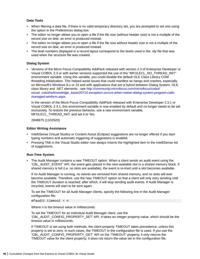#### <span id="page-89-0"></span>**Data Tools**

- When filtering a data file, if there is no valid temporary directory set, you are prompted to set one using the option in the Preferences dialog box.
- The editor no longer allows you to open a file if the file size (without header size) is not a multiple of the record size on disk; an error is produced instead.
- The editor no longer allows you to open a file if the file size without header size is not a multiple of the record size on disk; an error is produced instead.
- The level numbers displayed in a record layout correspond to the levels used in the .idy file that was used when the structure file was created.

#### **Dialog System**

• Versions of the Micro Focus Compatibility AddPack released with version 2.3 of Enterprise Developer or Visual COBOL 2.3 or with earlier versions supported the use of the "MFOLECL\_NO\_THREAD\_INIT" environment variable. Using this variable, you could disable the default OLE Class Library COM threading initialization. This helped avoid issues that could manifest as hangs and crashes, especially on Microsoft's Windows 8.x or 10 and with applications that are a hybrid between Dialog System, OLE class library and .NET elements - see *[http://community.microfocus.com/microfocus/cobol/](http://community.microfocus.com/microfocus/cobol/visual_cobol/w/knowledge_base/20715.exception-occurs-when-native-dialog-system-program-calls-managed-winform.aspx) [visual\\_cobol/w/knowledge\\_base/20715.exception-occurs-when-native-dialog-system-program-calls](http://community.microfocus.com/microfocus/cobol/visual_cobol/w/knowledge_base/20715.exception-occurs-when-native-dialog-system-program-calls-managed-winform.aspx)[managed-winform.aspx](http://community.microfocus.com/microfocus/cobol/visual_cobol/w/knowledge_base/20715.exception-occurs-when-native-dialog-system-program-calls-managed-winform.aspx)*.

In the version of the Micro Focus Compatibility AddPack released with Enterprise Developer 2.3.1 or Visual COBOL 2.3.1, this environment variable is now enabled by default and no longer needs to be set exclusively. To restore the previous behavior, use a new environment variable, MFOLECL\_THREAD\_INIT, and set it to Yes.

2848875 (1102920)

#### **Editor Writing Assistance**

- IntelliSense (Visual Studio) or Content Assist (Eclipse) suggestions are no longer offered if you start typing numbers and automatic triggering of suggestions is enabled.
- Pressing TAB in the Visual Studio editor now always inserts the highlighted item in the IntelliSense list of suggestions.

#### **Run-Time System**

• The Audit Manager contains a new TIMEOUT option. When a client sends an audit event using the 'CBL\_AUDIT\_EVENT' API, the event gets placed in the next available slot in a shared memory block. If shared memory is full (i.e. no slots are available), the event is re-tried until a slot becomes available.

If no Audit Manager is running, no events are removed from shared memory, and no slots will ever become available. Therefore, use the new TIMEOUT option so that a client will only retry sending until the TIMEOUT duration is reached; after which, it will stop sending audit events. If Audit Manager is recycled, events will start to be sent again.

To set the TIMEOUT for all Audit Manager clients, specify the following line in the Audit Manager configuration file:

mfaudit.timeout = n

Where n is the timeout value in milliseconds.

To set the TIMEOUT for an individual Audit Manager client, use the 'CBL\_AUDIT\_CONFIG\_PROPERTY\_SET' API. It takes an integer property-value, which should be the timeout value in milliseconds.

If TIMEOUT is set using both methods, the client property TIMEOUT takes precedence, unless this property is set to zero; in such cases, the TIMEOUT in the configuration file is used. If you use the 'CBL\_AUDIT\_CONFIG\_PROPERTY\_GET' API on the 'TIMEOUT' property, it only returns the TIMEOUT value for the client property; it does not return the value set in the configuration file.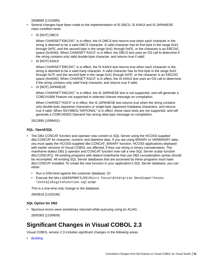2838689 (1101685)

- <span id="page-90-0"></span>• Several changes have been made to the implementation of IS DBCS, IS KANJI and IS JAPANESE class condition tests:
	- IS [NOT] DBCS

When CHARSET"EBCDIC" is in effect, the IS DBCS test returns true when each character in the string is deemed to be a valid DBCS character. A valid character has its first byte in the range 0x41 through 0xFE, and the second byte in the range 0x41 through 0xFE, or the character is an EBCDIC space (0x4040). When CHARSET"ASCII" is in effect, the DBCS test uses an OS call to determine if the string contains only valid double-byte character, and returns true if valid.

• IS [NOT] KANJI

When CHARSET"EBCDIC" is in effect, the IS KANJI test returns true when each character in the string is deemed to be a valid Kanji character. A valid character has its first byte in the range 0x41 through 0x7F, and the second byte in the range 0x41 through 0xFE, or the character is an EBCDIC space (0x4040). When CHARSET"ASCII" is in effect, the IS KANJI test uses an OS call to determine if the string contains only valid Kanji character, and returns true if valid.

• IS [NOT] JAPANESE

When CHARSET"EBCDIC" is in effect, the IS JAPANESE test is not supported, and will generate a COBCH1806 Feature not supported in selected charset message on compilation.

When CHARSET"ASCII" is in effect, the IS JAPANESE test returns true when the string contains only double-byte Japanese characters or single-byte Japanese Katakana characters, and returns true if valid. When NSYMBOL"NATIONAL" is in effect, these class tests are not supported, and will generate a COBCH0303 Operand has wrong data-type message on compilation.

2812895 (1098401)

#### **SQL: OpenESQL**

- The DB2 CONCAT function and operator now convert to SQL Server using the HCOSS-supplied dbo.CONCAT for character, numeric and datetime data. If you are using BINARY or VARBINARY data, you must apply the HCOSS-supplied dbo.CONCAT\_BINARY function. HCOSS applications deployed with earlier versions of Visual COBOL are affected, if they use string or binary concatenation. The mainframe dialect DB2 || operator and CONCAT function now call a new SQL Server scalar function dbo.CONCAT(). All existing programs with dialect=mainframe that use DB2 concatenation syntax should be recompiled. All existing SQL Server databases that are accessed by these programs must have dbo.CONCAT installed. To create the new function in your application's SQL Server database, you can either:
	- Run a DSN bind against the customer database. Or:
	- Execute the %ALLUSERSPROFILE%\Micro Focus\Enterprise Developer\hcoss \InstallDigitsFunction.sql script.

This is a one-time only change to the database.

2843818 (1102248)

#### **SQL Option for DB2**

• Spurious errors were sometimes returned while querying using an ALIAS. 2830383 (1100609)

# **Significant Changes in Visual COBOL 2.3**

Visual COBOL version 2.3 includes significant changes in the following areas:

• *[Building](#page-91-0)*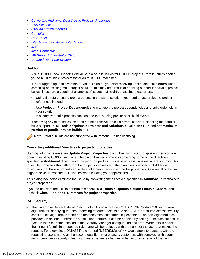- <span id="page-91-0"></span>• *Converting Additional Directives to Projects' Properties*
- *CAS Security*
- *[CAS XA Switch modules](#page-92-0)*
- *[Compiler](#page-92-0)*
- *[Data Tools](#page-92-0)*
- *[File Handling External File Handler](#page-92-0)*
- *[IDE](#page-92-0)*
- *[J2EE Connector](#page-93-0)*
- *[MF Server Administrator \(GUI\)](#page-93-0)*
- *[Updated Run-Time System](#page-93-0)*

#### **Building**

• Visual COBOL now supports Visual Studio parallel builds for COBOL projects. Parallel builds enable you to build multiple projects faster on multi-CPU machines.

If, after upgrading to this version of Visual COBOL, you start receiving unexpected build errors when compiling an existing multi-project solution, this may be a result of enabling support for parallel project builds. These are a couple of examples of issues that might be causing these errors:

• Using file references to project outputs in the same solution. You need to use project-to-project references instead.

Use **Project > Project Dependencies** to manage the project dependencies and build order within your solution.

• A customized build process such as one that is using pre- or post- build events.

If resolving any of these issues does not help resolve the build errors, consider disabling the parallel build support - click **Tools > Options > Projects and Solutions > Build and Run** and **set maximum number of parallel project builds** to 1.

**Note:** Parallel builds are not supported with Personal Edition licensing

#### **Converting Additional Directives to projects' properties**

Starting with this release, an **Update Project Properties** dialog box might start to appear when you are opening existing COBOL solutions. The dialog box recommends converting some of the directives specified in **Additional directives** to project's properties. This is to address an issue where you might try to set file properties that differ from the project directives and the directives specified in **Additional directives** that have a property equivalent take precedence over the file properties. As a result of this you might receive unexpected build issues when building your applications.

This dialog box helps eliminate the issue by converting the directives specified in **Additional directives** to project properties.

If you do not want the IDE to perform this check, click **Tools > Options > Micro Focus > General** and uncheck **Check Additional Directives for project properties**.

#### **CAS Security**

• The Enterprise Server External Security Facility now includes MLDAP ESM Module 2.0, with a new algorithm for identifying the best-matching resource-access rule and ACE for resource-access security checks. This algorithm is faster and matches most customers' expectations. The new algorithm also provides an optional "username substitution" feature. It can be enabled by setting "rule substitutions" to "yes" in the [Operation] section in the Security Manager configuration text area. When this is enabled, the string "\${user}" in a resource-rule name will be replaced with the name of the user that makes the request. For example, a DATASET rule named "USERS.\${user}.\*\*" would apply to datasets with the requesting user's name as the second qualifier. In rare cases, customers with complex, ambiguous resource-access security rules might see experience changes in behavior as a result of the new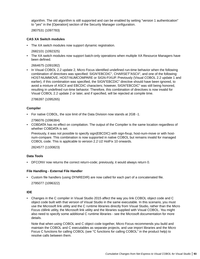<span id="page-92-0"></span>algorithm. The old algorithm is still supported and can be enabled by setting "version 1 authentication" to "yes" in the [Operation] section of the Security Manager configuration.

2807531 (1097783)

#### **CAS XA Switch modules**

• The XA switch modules now support dynamic registration.

2682101 (1092325)

• The XA switch modules now support batch-only operations when multiple XA Resource Managers have been defined.

2664675 (1091082)

• In Visual COBOL 2.2 update 2, Micro Focus identified undefined run-time behavior when the following combination of directives was specified: SIGN"EBCDIC", CHARSET"ASCII", and one of the following: HOST-NUMMOVE, HOST-NUMCOMPARE or SIGN-FIXUP. Previously (Visual COBOL 2.2 update 1 and earlier), if this combination was specified, the SIGN"EBCDIC" directive should have been ignored, to avoid a mixture of ASCII and EBCDIC characters; however, SIGN"EBCDIC" was still being honored, resulting in undefined run-time behavior. Therefore, this combination of directives is now invalid for Visual COBOL 2.2 update 2 or later, and if specified, will be rejected at compile time.

2786397 (1095265)

#### **Compiler**

• For native COBOL, the size limit of the Data Division now stands at 2GB -1.

2796076 (1096384)

• COBDATA has no effect on compilation. The output of the Compiler is the same location regardless of whether COBDATA is set.

Previously, it was not possible to specify sign(EBCDIC) with sign-fixup, host-num-move or with hostnum-compare. This combination is now supported in native COBOL but remains invalid for managed COBOL code. This is applicable to version 2.2 U2 HotFix 10 onwards.

2824577 (1100823)

#### **Data Tools**

• DFCONV now returns the correct return-code; previously, it would always return 0.

#### **File Handling - External File Handler**

• Custom file handlers (using DYNREDIR) are now called for each part of a concatenated file. 2795077 (1096322)

#### **IDE**

• Changes in the C compiler in Visual Studio 2015 affect the way you link COBOL object code and C object code built with that version of Visual Studio in the same executable. In this scenario, you must use the Microsoft link utility and the C runtime libraries directly from Visual Studio, rather than the Micro Focus cbllink utility, the Microsoft link utility and the libraries supplied with Visual COBOL. You might also need to specify some additional C runtime libraries - see the Microsoft documentation for more details.

Note that when using COBOL and C object code together, Micro Focus recommends you build and maintain the COBOL and C executables as separate projects, and use import libraries and the Micro Focus C functions for calling COBOL (see "C functions for calling COBOL" in the product help) to resolve calls between them.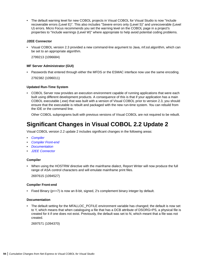<span id="page-93-0"></span>• The default warning level for new COBOL projects in Visual COBOL for Visual Studio is now "Include recoverable errors (Level E)". This also includes "Severe errors only (Level S)" and unrecoverable (Level U) errors. Micro Focus recommends you set the warning level on the COBOL page in a project's properties to "Include warnings (Level W)" where appropriate to help avoid potential coding problems.

#### **J2EE Connector**

• Visual COBOL version 2.3 provided a new command-line argument to Java, mf.ssl.algorithm, which can be set to an appropriate algorithm.

2799213 (1096684)

#### **MF Server Administrator (GUI)**

• Passwords that entered through either the MFDS or the ESMAC interface now use the same encoding. 2792382 (1096011)

#### **Updated Run-Time System**

• COBOL Server now provides an execution environment capable of running applications that were each built using different development products. A consequence of this is that if your application has a main COBOL executable (.exe) that was built with a version of Visual COBOL prior to version 2.3, you should ensure that the executable is rebuilt and packaged with the new run-time system. You can rebuild from the IDE or the command line.

Other COBOL subprograms built with previous versions of Visual COBOL are not required to be rebuilt.

### **Significant Changes in Visual COBOL 2.2 Update 2**

Visual COBOL version 2.2 update 2 includes significant changes in the following areas:

- *Compiler*
- *Compiler Front-end*
- *Documentation*
- *[J2EE Connector](#page-94-0)*

#### **Compiler**

• When using the HOSTRW directive with the mainframe dialect, Report Writer will now produce the full range of ASA control characters and will emulate mainframe print files.

2697615 (1094527)

#### **Compiler Front-end**

• Fixed Binary (p<=7) is now an 8-bit, signed, 2's complement binary integer by default.

#### **Documentation**

• The default setting for the MFALLOC PCFILE environment variable has changed; the default is now set to Y, which means that when cataloguing a file that has a DCB attribute of DSORG=PS, a physical file is created for it if one does not exist. Previously, the default was set to N, which meant that a file was not created.

2697571 (1094370)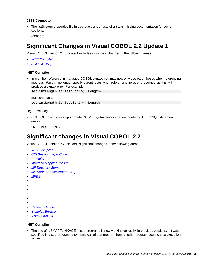#### <span id="page-94-0"></span>**J2EE Connector**

• The listSystem.properties file in package com.ibm.ctg.client was missing documentation for some sections.

(606556)

### **Significant Changes in Visual COBOL 2.2 Update 1**

Visual COBOL version 2.2 update 1 includes significant changes in the following areas:

- *.NET Compiler*
- *SQL: COBSQL*

#### **.NET Compiler**

• In member reference in managed COBOL syntax, you may now only use parentheses when referencing methods. You can no longer specify parentheses when referencing fields or properties, as this will produce a syntax error. For example:

set intLength to testString::Length()

must change to:

set intLength to testString::Length

#### **SQL: COBSQL**

• COBSQL now displays appropriate COBOL syntax errors after encountering EXEC SQL statement errors.

2673619 (1093197)

### **Significant changes in Visual COBOL 2.2**

Visual COBOL version 2.2 includeD significant changes in the following areas:

- *.NET Compiler*
- *[CCI Session Layer Code](#page-95-0)*
- *[Compiler](#page-95-0)*
- *[Interface Mapping Toolkit](#page-95-0)*
- *[MF Directory Server](#page-95-0)*
- *[MF Server Administrator \(GUI\)](#page-96-0)*
- *MFBSI*
- •
- •
- •
- •
- •
- •
- *[Request Handler](#page-96-0)*
- *[Samples Browser](#page-96-0)*
- *[Visual Studio IDE](#page-96-0)*

### **.NET Compiler**

The use of ILSMARTLINKAGE in sub-programs is now working correctly. In previous versions, if it was specified in a sub-program, a dynamic call of that program from another program could cause execution failure.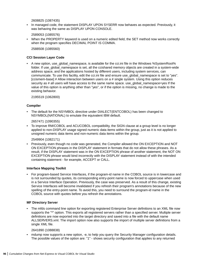2608825 (1087435)

<span id="page-95-0"></span>• In managed code, the statement DISPLAY UPON SYSERR now behaves as expected. Previously, it was behaving the same as DISPLAY UPON CONSOLE.

2589053 (1085576)

• When the PROPERTY keyword is used on a numeric edited field, the SET method now works correctly when the program specifies DECIMAL POINT IS COMMA.

2588508 (1085560)

#### **CCI Session Layer Code**

A new option, use global namespace, is available for the cci.ini file in the Windows %SystemRoot% folder. If use global namespace is set, all the ccishared memory objects are created in a system-wide address space, and the applications hosted by different users, including system services, can communicate. To use this facility, edit the cci.ini file and ensure use\_global\_namespace is set to "yes". [ccismem-base] # Allow interaction between users on a # single system. Using this option reduces security as # all users will have access to the same name space. use global namespace=yes If the value of this option is anything other than "yes", or if the option is missing, no change is made to the existing behavior.

2195519 (1062800)

#### **Compiler**

• The default for the NSYMBOL directive under DIALECT(ENTCOBOL) has been changed to NSYMBOL(NATIONAL) to emulate the equivalent IBM default.

2657471 (1090355)

• To improve RM/COBOL and ACUCOBOL compatibility, the SIGN clause at a group level is no longer applied to non-DISPLAY usage signed numeric data items within the group, just as it is not applied to unsigned numeric data items and non-numeric data items within the group.

2549904 (1082171)

• Previously, even though no code was generated, the Compiler allowed the ON EXCEPTION and NOT ON EXCEPTION phrases in the DISPLAY statement in formats that do not allow these phrases. As a result, if the DISPLAY statement was in the ON EXCEPTION phrase of another statement, the NOT ON EXCEPTION phrase would bind incorrectly with the DISPLAY statement instead of with the intended containing statement - for example, ACCEPT or CALL.

#### **Interface Mapping Toolkit**

• For program-based Service Interfaces, if the program-id name in the COBOL source is in lowercase and is not surrounded by quotes, its corresponding entry-point name is now forced to uppercase when used in a Service Interface Operation. Previously, the case was preserved. As a result of this change, existing Service Interfaces will become invalidated if you refresh their program's annotations because of the new spelling of the entry-point name. To avoid this, you need to surround the program-id name in the COBOL source with quotes before you refresh the annotations.

#### **MF Directory Server**

• The mfds command line option for exporting registered Enterprise Server definitions to an XML file now supports the "\*" option. This exports all registered servers rather than a specified server. Multiple server definitions are now exported into the target directory and saved into a file with the default name ALLSERVERS.xml. The import option now also supports the import of multiple server definitions from a single XML file.

#### 2641890 (1088838)

• mdump now supports a new option, -e, to help you query the Security Manager configuration details. The possible values of the option are: "1" - shows security configuration that applies to any returned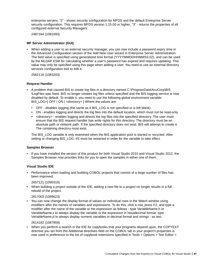<span id="page-96-0"></span>enterprise servers; "2" - shows security configuration for MFDS and the default Enterprise Server security configuration. This requires MFDS version 1.15.00 or higher; "3" - returns the properties of all configured external Security Managers.

2487164 (1081693)

#### **MF Server Administrator (GUI)**

• When adding a user to an external security manager, you can now include a password expiry time in the Advanced Configuration section of the Add New User wizard in Enterprise Server Administration. The field value is specified using generalized time format (YYYYMMDDHHMMSS.0Z), and can be used by the MLDAP ESM for calculating whether a user's password has expired and requires updating. This value may only be specified using this page when adding a user. You need to use an external directory services configuration tool to edit it.

2562118 (1083203)

#### **Request Handler**

- A problem that caused BIS to create log files in a directory named C:\ProgramData\AcuCorp\BIS \LogFiles was fixed. BIS no longer creates log files unless specified and the BIS logging service is now disabled by default. To enable it, you need to use the following global environment variable: BIS\_LOG=[ OFF | ON | <directory> ] Where the values are:
	- OFF disables logging (the same as if BIS\_LOG is not specified or is left blank)
	- ON enables logging and directs the log files into the default location, which must not be read-only.
	- <directory> enables logging and directs the log files into the specified directory. The user must ensure that the BIS request handler has write rights for this directory. The directory must be an absolute path or network path. If the specified directory does not exist, BIS will attempt to create it. The containing directory must exist.

The BIS\_LOG variable is only examined when the BIS application pool is started or recycled. After setting or changing BIS\_LOG, IIS must be restarted in order for the variable to take effect.

#### **Samples Browser**

• If you have installed the version of this product for both Visual Studio 2010 and Visual Studio 2012, the Samples Browser now provides links for you to open the samples in either one of them.

#### **Visual Studio IDE**

• Performance when loading and building COBOL projects that consist of a large number of files has been improved.

2657121 (1090316)

• When building a project outside of the IDE, adding a new file to a project no longer results in a full rebuild of the project.

#### 2617003 (1089623)

• You can now change the display format of values on individual rows in the Watch window using modifiers after the names of variables and expressions. To do this, click a row, press F2, and type a modifier after the name of the variable or the expression as follows - type VariableName,h or VariableName,x to always display the variable or the expression in hexadecimal format; type VariableName,d to always display numeric variables in decimal format and strings - as text.

#### 2614182 (1087959)

• When you perform a search in the IDE for copybooks that your programs depend upon, the COPYEXT directive you set from the Additional directives field on the COBOL tab in your project's properties is now used in preference to the list of copybook extensions specified in Tools > Options > Text Editor >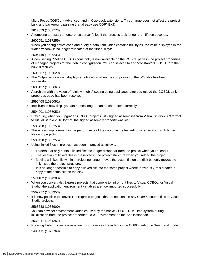Micro Focus COBOL > Advanced, and in Copybook extensions. This change does not affect the project build and background parsing that already use COPYEXT.

2612053 (1087773)

• Attempting to restart an enterprise server failed if the process took longer than fifteen seconds.

2607051 (1087259)

• When you debug native code and query a data item which contains null bytes, the value displayed in the Watch window is no longer truncated at the first null byte.

2604749 (1087235)

• A new setting, "Define DEBUG constant", is now available on the COBOL page in the project properties of managed projects for the Debug configuration. You can select it to add "constant"DEBUG(1)"" to the build directives.

2600567 (1086629)

• The Output window now displays a notification when the compilation of the IMS files has been successful.

2600137 (1086667)

• A problem with the value of "Link with objs" setting being duplicated after you reload the COBOL Link properties page has been resolved.

2595408 (1086091)

• IntelliSense now displays data names longer than 32 characters correctly.

2594901 (1086053)

• Previously, when you upgraded COBOL projects with signed assemblies from Visual Studio 2003 format to Visual Studio 2010 format, the signed assembly property was lost.

2585458 (1085258)

• There is an improvement in the performance of the cursor in the text editor when working with larger files and projects.

2585450 (1085255)

- Using linked files in projects has been improved as follows:
	- Folders that only contain linked files no longer disappear from the project when you reload it.
	- The location of linked files is preserved in the project structure when you reload the project.
	- Moving a linked file within a project no longer moves the actual file on the disk but only moves the link inside the project structure.
	- It is no longer possible to copy a linked file into the same project where, previously, this created a copy of the actual file on the disk.

2574102 (1084208)

• When you convert Net Express projects that compile to .int or .gnt files to Visual COBOL for Visual Studio, the application environment variables are now imported successfully.

2569777 (1083953)

• It is now possible to convert Net Express projects that do not contain any COBOL source files to Visual Studio projects.

2568638 (1083900)

• You can now set environment variables used by the native COBOL Run-Time system during initialization from the project properties - click Environment on the Application tab.

2539447 (1081251)

• Pressing Enter to create a new line now preserves the indent in the COBOL editor in Smart edit mode. 2496411 (1077769)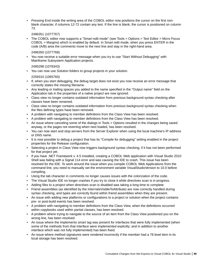• Pressing End inside the writing area of the COBOL editor now positions the cursor on the first nonblank character, if columns 12-72 contain any text. If the line is blank, the cursor is positioned on column 73.

2496351 (1077767)

• The COBOL editor now supports a "Smart edit mode" (see Tools > Options > Text Editor > Micro Focus COBOL > Margins) which is enabled by default. In Smart edit mode, when you press ENTER in the code (A/B) area the comments move to the next line and stay in the right-hand area.

2496350 (1077768)

• You now receive a suitable error message when you try to use "Start Without Debugging" with Mainframe Subsystem Application projects.

2495298 (1078343)

• You can now use Solution folders to group projects in your solution.

2259310 (1065760)

- If, when you start debugging, the debug target does not exist you now receive an error message that correctly states the missing filename.
- Any leading or trailing spaces you added to the name specified in the "Output name" field on the Application tab in the properties of a native project are now ignored.
- Class view no longer contains outdated information from previous background syntax checking after classes have been renamed.
- Class view no longer contains outdated information from previous background syntax checking when the files defining types have been removed.
- A problem with navigating to member definitions from the Class View has been resolved.
- A problem with navigating to member definitions from the Class View has been resolved.
- An issue where canceling some of the dialogs in Tools > Options resulted in the changes being saved anyway, or the pages not reverting when next loaded, has been resolved.
- You can now start and stop servers from the Server Explorer when using the local machine's IP address or DNS name.
- It is now possible to debug a project that has its "Compile for debugging" setting enabled in the project properties for the Release configuration.
- Selecting a project in Class View now triggers background syntax checking, if it has not been performed for that project yet.
- If you have .NET Framework v. 4.5 installed, creating a COBOL Web application with Visual Studio 2010 Shell was failing with a Signal 114 error and was causing the IDE to crash. This issue has been resolved for the IDE. To work around the issue when you compile COBOL Web Applications from the command line, you need to manually set the environment variable VisualStudioVersion to 10.0 before compiling.
- Using the tab character in comments no longer causes issues with the colorization of the code.
- The Visual Studio IDE no longer crashes if you try to close it while directives scan is in progress.
- Adding files to a project when directives scan is disabled was taking a long time to complete.
- Friend assemblies (as identified by the InternalsVisibleToAttribute) are now correctly handled during syntax checking, and types are correctly found within friend assemblies when they are present.
- An issue with adding new platforms or configurations to a project or solution when the project contains pre- or post-build events has been resolved.
- A problem with navigating to member definitions from the Class View, when the definitions occurred within copybooks used within partial classes, has been resolved.
- A problem where trying to navigate to the source of an item from the Class View positioned you on the wrong line, has been resolved.
- An issue where the Implements smart tag was present for interfaces that were fully implemented (when some of the methods from that interface were implemented explicitly; and in addition to another interface which was not fully implemented) has been fixed.
- An issue where method signatures were rendered incorrectly if the member had a 78 level item in its local storage has been resolved.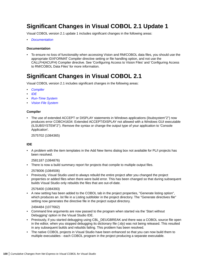## **Significant Changes in Visual COBOL 2.1 Update 1**

Visual COBOL version 2.1 update 1 includes significant changes in the following areas:

• *Documentation*

#### **Documentation**

• To ensure no loss of functionality when accessing Vision and RM/COBOL data files, you should use the appropriate IDXFORMAT Compiler directive setting or file handling option, and not use the CALLFH(ACUFH) Compiler directive. See 'Configuring Access to Vision Files' and 'Configuring Access to RM/COBOL Data Files' for more information.

### **Significant Changes in Visual COBOL 2.1**

Visual COBOL version 2.1 includes significant changes in the following areas:

- *Compiler*
- *IDE*
- *[Run-Time System](#page-100-0)*
- *[Vision File System](#page-100-0)*

#### **Compiler**

• The use of extended ACCEPT or DISPLAY statements in Windows applications (ilsubsystem"2") now produces error COBCH1634: Extended ACCEPT/DISPLAY not allowed with a Windows GUI executable (ILSUBSYSTEM"2"). Remove the syntax or change the output type of your application to 'Console Application'.

2575702 (1084365)

#### **IDE**

• A problem with the item templates in the Add New Items dialog box not available for PL/I projects has been resolved.

2581187 (1084876)

• There is now a build summary report for projects that compile to multiple output files.

2578006 (1084506)

• Previously, Visual Studio used to always rebuild the entire project after you changed the project properties or added files when there were build error. This has been changed so that during subsequent builds Visual Studio only rebuilds the files that are out-of-date.

2576400 (1084393)

• A new setting has been added to the COBOL tab in the project properties, "Generate listing option", which produces an .lst file in a Listing subfolder in the project directory. The "Generate directives file" setting now generates the directive file in the project output directory.

2494484 (1077662)

- Command line arguments are now passed to the program when started via the 'Start without Debugging' option in the Visual Studio IDE.
- Previously, if you started debugging using CBL\_DEUGBREAK and there was a COBOL source file open in the editor, when you stopped debugging its dictionary file (.idy) was not being released. This resulted in any subsequent builds and rebuilds failing. This problem has been resolved.
- The native COBOL projects in Visual Studio have been enhanced so that you can now build them to multiple executables - each COBOL program in the project producing a separate executable.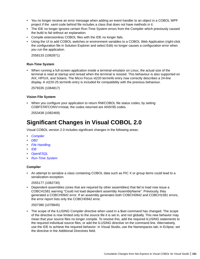- <span id="page-100-0"></span>• You no longer receive an error message when adding an event handler to an object in a COBOL WPF project if the .xaml code behind file includes a class that does not have methods in it.
- The IDE no longer ignores certain Run-Time System errors from the Compiler which previously caused the build to fail without an explanation.
- Compile extensionless COBOL files with the IDE no longer fails.
- Using the UI to add COBOL switches or environment variables to a COBOL Web Application (right-click the configuration file in Solution Explorer and select Edit) no longer causes a configuration error when you run the application.

2558133 (1082871)

#### **Run-Time System**

• When running a full-screen application inside a terminal emulator on Linux, the actual size of the terminal is read at startup and reread when the terminal is resized. This behaviour is also supported on AIX, HP/UX, and Solaris. The Micro Focus vt220 terminfo entry now correctly describes a 24-line display. A vt220-25 terminfo entry is included for compatibility with the previous behaviour.

2579335 (1084817)

#### **Vision File System**

• When you configure your application to return RM/COBOL file status codes, by setting COBFSTATCONV=rmstat, the codes returned are ANSI'85 codes.

2553438 (1082469)

### **Significant Changes in Visual COBOL 2.0**

Visual COBOL version 2.0 includes significant changes in the following areas:

- *Compiler*
- *[DB2](#page-101-0)*
- *[File Handling](#page-101-0)*
- *[IDE](#page-101-0)*
- *[OpenESQL](#page-101-0)*
- *[Run-Time System](#page-101-0)*

#### **Compiler**

• An attempt to serialize a class containing COBOL data such as PIC X or group items could lead to a serialization exception.

#### 2555177 (1082730)

• Dependent assemblies (ones that are required by other assemblies) that fail to load now issue a COBCH1581 warning "Could not load dependent assembly AssemblyName". Previously, they generated a COBCH0942 error. If an assembly generates both COBCH0942 and COBCH1581 errors, the error report lists only the COBCH0942 error.

#### 2507380 (1078845)

• The scope of the ILUSING Compiler directive when used in a \$set command has changed. The scope of the directive is now limited only to the source file it is set in, and not globally. This new behavior may mean that your source files no longer compile. To resolve this, add the required ILUSING statements to the required individual source files, or add the ILUSING directive on the command line. Alternatively, use the IDE to achieve the required behavior: in Visual Studio, use the Namespaces tab; in Eclipse, set the directive in the Additional Directives field.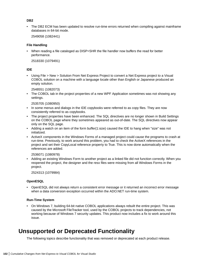#### <span id="page-101-0"></span>**DB2**

• The DB2 ECM has been updated to resolve run-time errors returned when compiling against mainframe databases in 64-bit mode.

2549058 (1082441)

#### **File Handling**

• When reading a file cataloged as DISP=SHR the file handler now buffers the read for better performance.

2518330 (1079491)

#### **IDE**

• Using File > New > Solution From Net Express Project to convert a Net Express project to a Visual COBOL solution on a machine with a language locale other than English or Japanese produced an empty solution.

2548551 (1082073)

• The COBOL tab in the project properties of a new WPF Application sometimes was not showing any settings.

2535705 (1080950)

- In some menus and dialogs in the IDE copybooks were referred to as copy files. They are now consistently referred to as copybooks.
- The project properties have been enhanced. The SQL directives are no longer shown in Build Settings on the COBOL page where they sometimes appeared as out-of-date. The SQL directives now appear only on the SQL page.
- Adding a watch on an item of the form buffer(1:size) caused the IDE to hang when "size" was not initialized.
- ActiveX components in the Windows Forms of a managed project could cause the programs to crash at run-time. Previously, to work around this problem, you had to check the ActiveX references in the project and set their CopyLocal reference property to True. This is now done automatically when the references are added.

2536071 (1080978)

Adding an existing Windows Form to another project as a linked file did not function correctly. When you reopened the project, the designer and the resx files were missing from all Windows Forms in the project.

2524313 (1079984)

#### **OpenESQL**

• OpenESQL did not always return a consistent error message or it returned an incorrect error message when a data conversion exception occurred within the ADO.NET run-time system.

#### **Run-Time System**

• On Windows 7, building 64-bit native COBOL applications always rebuilt the entire project. This was caused by the Microsoft FileTracker tool, used by the COBOL projects to track dependencies, not working because of Windows 7 security updates. This product now includes a fix to work around this issue.

### **Unsupported or Deprecated Functionality**

The following topics describe functionality that was removed or deprecated at each product release.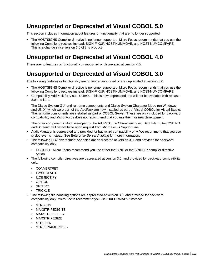## **Unsupported or Deprecated at Visual COBOL 5.0**

This section includes information about features or functionality that are no longer supported.

• The HOSTSIGNS Compiler directive is no longer supported. Micro Focus recommends that you use the following Compiler directives instead: SIGN-FIXUP, HOST-NUMMOVE, and HOST-NUMCOMPARE. This is a change since version 3.0 of this product.

### **Unsupported or Deprecated at Visual COBOL 4.0**

There are no features or functionality unsupported or deprecated at version 4.0.

# **Unsupported or Deprecated at Visual COBOL 3.0**

The following features or functionality are no longer supported or are deprecated at version 3.0:

- The HOSTSIGNS Compiler directive is no longer supported. Micro Focus recommends that you use the following Compiler directives instead: SIGN-FIXUP, HOST-NUMMOVE, and HOST-NUMCOMPARE.
- Compatibility AddPack for Visual COBOL this is now deprecated and will not be available with release 3.0 and later.

The Dialog System GUI and run-time components and Dialog System Character Mode (on Windows and UNIX) which were part of the AddPack are now installed as part of Visual COBOL for Visual Studio. The run-time components are installed as part of COBOL Server. These are only included for backward compatibility and Micro Focus does not recommend that you use them for new development.

The other components which were part of the AddPack, the Character-Based Data File Editor, CSBIND and Screens, will be available upon request from Micro Focus SupportLine.

- Audit Manager is deprecated and provided for backward compatibility only. We recommend that you use syslog events instead. See *Enterprise Server Auditing* for more information.
- The following DB2 environment variables are deprecated at version 3.0, and provided for backward compatibility only.
	- HCOBND Micro Focus recommend you use either the BIND or the BINDDIR compiler directive option.
- The following compiler directives are deprecated at version 3.0, and provided for backward compatibility only.
	- CONVERTRET
	- IDYSRCPATH
	- ILOBJECTIFY
	- OPTION
	- SPZERO
	- TRICKLE
- The following file handling options are deprecated at version 3.0, and provided for backward compatibility only. Micro Focus recommend you use IDXFORMAT"8" instead:
	- STRIPING
	- MAXSTRIPEDIGITS
	- MAXSTRIPEFILES
	- MAXSTRIPESIZE
	- STRIPE-X
	- STRIPENAMETYPE -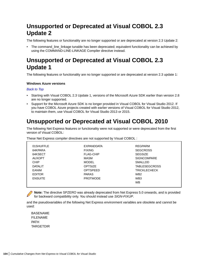# **Unsupported or Deprecated at Visual COBOL 2.3 Update 2**

The following features or functionality are no longer supported or are deprecated at version 2.3 Update 2:

• The command\_line\_linkage tunable has been deprecated; equivalent functionality can be achieved by using the COMMAND-LINE-LINKAGE Compiler directive instead.

### **Unsupported or Deprecated at Visual COBOL 2.3 Update 1**

The following features or functionality are no longer supported or are deprecated at version 2.3 update 1:

#### **Windows Azure versions**

#### *Back to Top*

- Starting with Visual COBOL 2.3 Update 1, versions of the Microsoft Azure SDK earlier than version 2.8 are no longer supported.
- Support for the Microsoft Azure SDK is no longer provided in Visual COBOL for Visual Studio 2012. If you have COBOL Azure projects created with earlier versions of Visual COBOL for Visual Studio 2012, to maintain them, use Visual COBOL for Visual Studio 2013 or 2015.

### **Unsupported or Deprecated at Visual COBOL 2010**

The following Net Express features or functionality were not supported or were deprecated from the first version of Visual COBOL:

These Net Express compiler directives are not supported by Visual COBOL :

| 01SHUFFLE      | <b>FXPANDDATA</b> | <b>REGPARM</b>       |
|----------------|-------------------|----------------------|
| 64KPARA        | <b>FIXING</b>     | <b>SEGCROSS</b>      |
| 64KSECT        | <b>FLAG-CHIP</b>  | <b>SEGSIZE</b>       |
| <b>AUXOPT</b>  | MASM              | <b>SIGNCOMPARE</b>   |
| <b>CHIP</b>    | <b>MODEL</b>      | <b>SMALLDD</b>       |
| <b>DATALIT</b> | <b>OPTSIZE</b>    | <b>TABLESEGCROSS</b> |
| EANIM          | <b>OPTSPEED</b>   | <b>TRICKLECHECK</b>  |
| <b>EDITOR</b>  | <b>PARAS</b>      | WB <sub>2</sub>      |
| <b>ENSUITE</b> | <b>PROTMODE</b>   | WB <sub>3</sub>      |
|                |                   | <b>WB</b>            |
|                |                   |                      |

**Note:** The directive SPZERO was already deprecated from Net Express 5.0 onwards, and is provided for backward compatibility only. You should instead use *SIGN-FIXUP*.

and the pseudovariables of the following Net Express environment variables are obsolete and cannot be used:

BASENAME FILENAME PATH TARGETDIR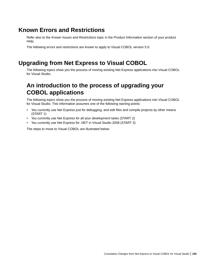### **Known Errors and Restrictions**

Refer also to the *Known Issues and Restrictions* topic in the *Product Information* section of your product Help.

The following errors and restrictions are known to apply to Visual COBOL version 5.0:

### **Upgrading from Net Express to Visual COBOL**

The following topics show you the process of moving existing Net Express applications into Visual COBOL for Visual Studio.

### **An introduction to the process of upgrading your COBOL applications**

The following topics show you the process of moving existing Net Express applications into Visual COBOL for Visual Studio. This information assumes one of the following starting points:

- You currently use Net Express just for debugging, and edit files and compile projects by other means (START 1)
- You currently use Net Express for all your development tasks (START 2)
- You currently use Net Express for .NET in Visual Studio 2008 (START 3)

The steps to move to Visual COBOL are illustrated below: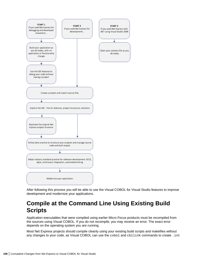

After following this process you will be able to use the Visual COBOL for Visual Studio features to improve development and modernize your applications.

### **Compile at the Command Line Using Existing Build Scripts**

Application executables that were compiled using earlier Micro Focus products must be recompiled from the sources using Visual COBOL. If you do not recompile, you may receive an error. The exact error depends on the operating system you are running.

Most Net Express projects should compile cleanly using your existing build scripts and makefiles without any changes to your code, as Visual COBOL can use the cobol and cbllink commands to create. int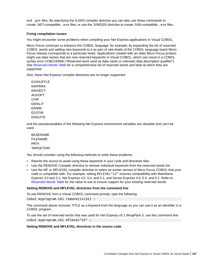and . gnt files. By specifying the ILGEN compiler directive you can also use these commands to create .NET-compatible . exe files, or use the JVMGEN directive to create JVM-compatible . exe files.

#### **Fixing compilation issues**

You might encounter some problems when compiling your Net Express applications in Visual COBOL.

Micro Focus continues to enhance the COBOL language, for example, by expanding the list of reserved COBOL words and adding new keywords to it as part of new levels of the COBOL language (each Micro Focus release corresponds to a particular level). Applications created with an older Micro Focus product might use data names that are now reserved keywords in Visual COBOL, which can result in a COBOL syntax error COBCH0666 ("Reserved word used as data name or unknown data description qualifier"). See *Reserved Words Table* for a comprehensive list of reserved words and level at which they are supported.

Also, these Net Express compiler directives are no longer supported:

01SHUFFLE 64KPARA 64KSECT AUXOPT CHIP DATAL IT EANIM EDITOR **ENSUITE** 

and the pseudovariables of the following Net Express environment variables are obsolete and can't be used.

| BASENAME  |
|-----------|
| FILENAME  |
| PATH      |
| TARGETDIR |

You should consider using the following methods to solve these problems:

- Rewrite the source to avoid using these keywords in your code and directives files.
- Use the REMOVE Compiler directive to remove individual keywords from the reserved words list.
- Use the MF or MFLEVEL compiler directive to select an earlier version of Micro Focus COBOL that your code is compatible with. For example, setting MFLEVEL"12" ensures compatibility with Mainframe Express 3.0 and 3.1; Net Express 4.0, 5.0, and 5.1; and Server Express 4.0, 5.0, and 5.1. Refer to *Reserved Words Table* for the value to use to ensure support for your existing reserved words.

#### **Setting REMOVE and MFLEVEL directives from the command line**

To use REMOVE from a Visual COBOL command prompt, type the following: cobol myprogram.cbl remove(title) ;

The command above removes TITLE as a keyword from the language so you can use it as an identifier in a COBOL program.

To use the set of reserved words that was used for Net Express v5.1 WrapPack 5, use this command line: cobol myprogram.cbl mflevel"15" ;

#### **Setting REMOVE and MFLEVEL directives in the source code**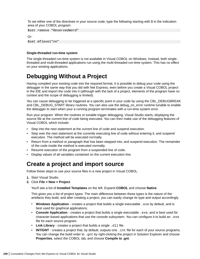To set either one of the directives in your source code, type the following starting with \$ in the indication area of your COBOL program:

\$set remove "ReservedWord"

Or:

\$set mflevel"nn"

#### **Single-threaded run-time system**

The single-threaded run-time system is not available in Visual COBOL on Windows. Instead, both singlethreaded and multi-threaded applications run using the multi-threaded run-time system. This has no effect on your existing applications.

### **Debugging Without a Project**

Having compiled your existing code into the required format, it is possible to debug your code using the debugger in the same way that you did with Net Express, even before you create a Visual COBOL project in the IDE and import the code into it (although with the lack of a project, elements of the program have no context and the scope of debugging is limited).

You can cause debugging to be triggered at a specific point in your code by using the CBL\_DEBUGBREAK and CBL\_DEBUG\_START library routines. You can also use the debug\_on\_error runtime tunable to enable the debugger to start when your a running program terminates with a run-time system error.

Run your program. When the routines or tunable trigger debugging, Visual Studio starts, displaying the source file at the current line of code being executed. You can then make use of the debugging features of Visual COBOL which include:

- Step into the next statement at the current line of code and suspend execution.
- Step over the next statement at the currently executing line of code without entering it, and suspend execution. The method will be executed normally.
- Return from a method or paragraph that has been stepped into, and suspend execution. The remainder of the code inside the method is executed normally.
- Resume execution of the program from a suspended line of code.
- Display values of all variables contained on the current execution line.

### **Create a project and import source**

Follow these steps to use your source files in a new project in Visual COBOL.

- **1.** Start Visual Studio.
- **2.** Click **File > New > Project**.

You'll see a list of **Installed Templates** on the left. Expand **COBOL** and choose **Native**.

This gives you a list of project types. The main difference between these types is the nature of the artefacts they build, and after creating a project, you can easily change its type and output accordingly.

- **Windows Application** creates a project that builds a single executable . exe by default, and is best used for graphical applications.
- **Console Application** creates a project that builds a single executable .exe, and is best used for character-based applications that use the console subsystem. You can configure it to build an .  $e^{\chi}$ file for each source program.
- Link Library creates a project that builds a single .dll file.
- **INT/GNT** creates a project that, by default, outputs one . int file for each of your source programs. You can change the build order to . gnt by right-clicking the project in Solution Explorer and choose **Properties**, select the COBOL tab, and choose **Compile to .gnt**.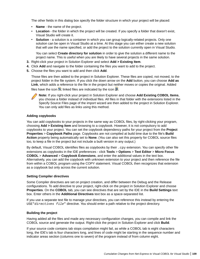The other fields in this dialog box specify the folder structure in which your project will be placed:

- **Name** the name of the project.
- **Location** the folder in which the project will be created. If you specify a folder that doesn't exist, Visual Studio will create it.
- **Solution** a solution is a container in which you can group logically-related projects. Only one solution can be open in Visual Studio at a time. At this stage you can either create a new solution that will use the name specified, or add the project to the solution currently open in Visual Studio.

You can select **Create directory for solution** in order to give the solution a different name to the project name. This is useful when you are likely to have several projects in the same solution.

- **3.** Right-click your project in Solution Explorer and select **Add > Existing Item**.
- **4.** Click **Add** and navigate to the folder containing the files you want to add to the project.
- **5.** Choose the files you want to add and then click **Add**.

Those files are then added to the project in Solution Explorer. These files are copied, not moved, to the project folder in the file system. If you click the down arrow on the **Add** button, you can choose **Add as Link**, which adds a reference to the file in the project but neither moves or copies the original. Added files have the icon  $\Box$ ; linked files are indicated by the icon  $\Box$ .

**Note:** If you right-click your project in Solution Explorer and choose **Add Existing COBOL Items**, you choose a folder instead of individual files. All files in that folder with the extensions listed in the Specify Source Files page of the import wizard are then added to the project in Solution Explorer. You can only add files as links using this method.

#### **Adding copybooks**

You can add copybooks to your projects in the same way as COBOL files, by right-clicking your program, choosing **Add > Existing Item** and browsing to a copybook. However, it is not compulsory to add copybooks to your project. You can set the copybook dependency paths for your project from the **Project Properties** > **Copybook Paths** page. Copybooks are not compiled at build time due to the file's **Build Action** property being automatically set to **None**. (You can also set this property for COBOL source files too, to keep a file in the project but not include a built version in any output.)

By default, Visual COBOL identifies files as copybooks by their  $\log x$  extension. You can specify other file extensions as copybooks in the IDE preferences - click **Tools** > **Options** > **Text Editor** > **Micro Focus COBOL** > **Advanced** > **Copybook Extensions**, and enter the additional values in the text box. Alternatively, you can add the copybook with unknown extension to your project and then reference the file from within a COBOL program using the COPY statement. Visual COBOL then recognizes that extension as a copybook but only across the current solution.

#### **Setting Compiler directives**

Some Compiler directives are set on project creation, and differ between the Debug and the Release configurations. To add directive to your project, right-click on the project in Solution Explorer and choose **Properties**. On the **COBOL** tab, you can see directives that are set by the IDE in the **Build Settings** text box. Enter others in the **Additional Directives** text box as a space-separated list.

If you use a separate text file to manage your directives, you can reference this instead by entering the USE" directives file" directive. You should enter a path relative to the project directory.

#### **Building the project**

Having added all the files and made any necessary configuration changes, you can compile and link the COBOL source and generate the output. Right-click the project in Solution Explorer and click **Build**.

If your source code contains tab stops compilation might fail, as while a COBOL tab is eight characters long, the IDE's tab is four characters long, and lines of code might be starting in the sequence number and indicator areas section (columns one to seven) of the program instead of from column eight.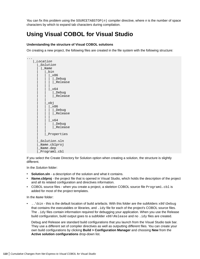You can fix this problem using the SOURCETABSTOP(n) compiler directive, where *n* is the number of space characters by which to expand tab characters during compilation.

# **Using Visual COBOL for Visual Studio**

## **Understanding the structure of Visual COBOL solutions**

On creating a new project, the following files are created in the file system with the following structure:



If you select the Create Directory for Solution option when creating a solution, the structure is slightly different.

In the *Solution* folder:

- **Solution.sln** a description of the solution and what it contains.
- **Name.cblproj** the project file that is opened in Visual Studio, which holds the description of the project and all its related configuration and directives information.
- COBOL source files when you create a project, a skeleton COBOL source file  $P_{\text{rogram1}}$ .cb1 is added for most of the project templates.

In the Name folder:

.. \bin - this is the default location of build artefacts. With this folder are the subfolders  $x86\$ Debug that contains the executables or libraries, and .idy file for each of the project's COBOL source files. The .idy files contain information required for debugging your application. When you use the Release build configuration, build output goes to a subfolder  $x86\Re$ elease and no . idy files are created.

Debug and Release are standard build configurations that you launch from the Visual Studio task bar. They use a different set of compiler directives as well as outputting different files. You can create your own build configurations by clicking **Build > Configuration Manager** and choosing **New** from the **Active solution configurations** drop-down list.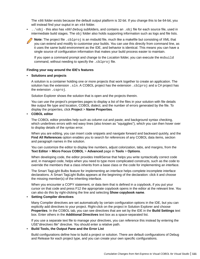The  $x86$  folder exists because the default output platform is 32-bit. If you change this to be 64-bit, you will instead find your ouptut in an  $x64$  folder.

•  $.\,\rangle$ obj - this also has  $x86\$ Debug subfolders, and contains an .obj file for each source file, used in intermediate build stages. The  $obj$  folder also holds supporting information such as logs and file lists.

**Note:** The project file .cblproj is an msbuild file, much like a makefile but consisting of XML that you can extend and modify to customise your builds. You can use this directly from command line, as it uses the same build environment as the IDE, and behavior is identical. This means you can have a single source of configuration information that makes your build process easier to maintain.

If you open a command prompt and change to the *Location* folder, you can execute the msbuild command, without needing to specify the . cblproj file.

#### **Finding your way around the IDE's features**

#### • **Solutions and projects**

A solution is a container holding one or more projects that work together to create an application. The solution has the extension .sln. A COBOL project has the extension .cblproj and a  $C#$  project has the extension .csproj.

Solution Explorer shows the solution that is open and the projects therein.

You can use the project's properties pages to display a list of the files in your solution with file details like output file type and location, COBOL dialect, and the number of errors generated by the file. To display the properties, click **Project** > **Name Properties**.

## • **COBOL editor**

The COBOL editor provides help such as column cut and paste, and background syntax checking, which underlines errors with red wavy lines (also known as "squigglies"), which you can then hover over to display details of the syntax error.

When you are editing, you can insert code snippets and navigate forward and backward quickly, and the **Find All References** option enables you to search for references of any COBOL data items, section and paragraph names in the solution.

You can customize the editor to display line numbers, adjust colorization, tabs, and margins, from the **Text Editor** > **Micro Focus COBOL** > **Advanced** page in **Tools** > **Options**.

When developing code, the editor provides IntelliSense that helps you write syntactically correct code and, in managed code, helps when you need to type more complicated constructs, such as the code to override the members that a class inherits from a base class or the code for implementing an interface.

The Smart TagLight Bulbs feature for implementing an interface helps complete incomplete interface declarations. A Smart TagLight Bulbs appears at the beginning of the declaration: click it and choose the missing member(s) of the inheriting interface.

When you encounter a COPY statement, or data item that is defined in a copybook, if you put your cursor on that code and press F12 the appropriate copybook opens in the editor at the relevant line. You can also do this by right-clicking the line and selecting **Show copybook name**.

## • **Setting Compiler directives**

Many Compiler directives are set automatically by certain configuration options in the IDE, but you can explicitly add directives to your project. Right-click on the project in Solution Explorer and choose **Properties**. In the COBOL tab, you can see directives that are set by the IDE in the **Build Settings** text box. Enter others in the **Additional Directives** text box as a space-separated list.

If you use a separate text file to manage your directives, you can reference this instead by entering the USE"*directives file*" directive. You should enter a relative path.

## • **Build Tools, the Output Pane and the Error List**

Build configurations define how to build a project or solution. There are default configurations of Debug and Release for each project type, and you can create your own specific configurations.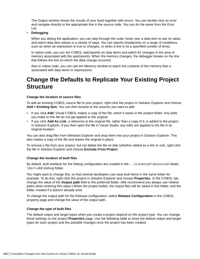The Output window shows the results of your build together with errors. You can double-click an error and navigate directly to the appropriate line in the source code. You can do the same from the Error List.

## • **Debugging**

When you debug the application, you can step through the code, hover over a data item to see its value, and watch data item values in a variety of ways. You can specify breakpoints on a range of conditions, such as when an expression is true or changes, or when a line is hit a specified number of times.

In native code, you can set COBOL watchpoints on data items and watch for changes in the area of memory associated with the watchpoints. When the memory changes, the debugger breaks on the line that follows the line on which the data change occurred.

Also in native code, you can use the Memory window to watch the contents of the memory that is associated with data items or expressions.

## **Change the Defaults to Replicate Your Existing Project Structure**

## **Change the location of source files**

To add an existing COBOL source file to your project, right-click the project in Solution Explorer and choose **Add > Existing item**. You can then browse to the sources you want to add.

- If you click **Add**, Visual COBOL makes a copy of the file, which it saves in the project folder. Any edits you make to this file do not get applied to the original.
- If you click **Add As Link**, a reference to the original file, rather than a copy of it, is added to the project in Solution Explorer. If you then open the file in Visual Studio, any edits are applied to the file in its original location.

You can also drag files from Windows Explorer and drop them into your project in Solution Explorer. This also makes a copy of the file and leaves the original in place.

To remove a file from your project, but not delete the file on disk (whether added as a link or not), right-click the file in Solution Explorer and choose **Exclude From Project**.

## **Change the location of built files**

By default, built artefacts for the Debug configuration are created in the  $\ldots$  Location\Solution\Name \bin\x86\Debug folder.

You might want to change this, so that several developers can save built items in the same folder for example. To do this, right-click the project in Solution Explorer and choose **Properties**. In the COBOL tab, change the value of the **Output path** field to the preferred folder. (We recommend you always use relative paths when entering this value.) When the project builds, the output files will be saved in this folder, and the folder created if it doesn't already exist.

To change the output path for the Release configuration, select **Release Configuration** in the COBOL property page and change the value of the output path.

## **Change the type of built files**

The default output and target types when you create a project depend on the project type. You can change these settings on the project **Properties** page. Use the following table to show the default output and target types for each project and the possible changes once the project has been created :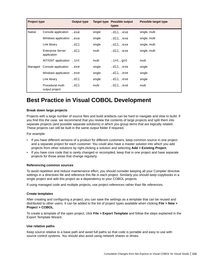| <b>Project type</b> |                                         | <b>Output type</b> | Target type | <b>Possible output</b><br>types | Possible target type |
|---------------------|-----------------------------------------|--------------------|-------------|---------------------------------|----------------------|
| <b>Native</b>       | Console application                     | .exe               | single      | .dllexe                         | single, multi        |
|                     | Windows application                     | .exe               | single      | .dll,.exe                       | single, multi        |
|                     | Link library                            | .dll               | single      | .dll,.exe                       | single, multi        |
|                     | <b>Enterprise Server</b><br>application | .dll               | multi       | .dllexe                         | single, multi        |
|                     | INT/GNT application                     | .int               | multi       | .int, qnt                       | multi                |
| Managed             | Console application                     | .exe               | single      | .dll,.exe                       | single               |
|                     | Windows application                     | .exe               | single      | .dll,.exe                       | single               |
|                     | Link library                            | .dll               | single      | .dllexe                         | single               |
|                     | Procedural multi-<br>output project     | .dll               | multi       | .dllexe                         | multi                |

## **Best Practice in Visual COBOL Development**

## **Break down large projects**

Projects with a large number of source files and build artefacts can be hard to navigate and slow to build. If you find this the case. we recommend that you review the contents of large projects and split them into separate projects (and possible separate solutions) in which you group items that are logically related. These projects can still be built in the same output folder if required.

For example:

- If you have different versions of a product for different customers, keep common source in one project and a separate project for each customer. You could also have a master solution into which you add projects from other solutions by right-clicking a solution and selecting **Add > Existing Project**.
- If you have core code that is rarely changed or recompiled, keep that in one project and have separate projects for those areas that change regularly.

#### **Referencing common sources**

To avoid repetition and reduce maintenance effort, you should consider keeping all your Compiler directive settings in a directives file and reference this file in each project. Similarly you should keep copybooks in a single project and add this project as a dependency to your COBOL projects.

If using managed code and multiple projects, use project references rather than file references.

#### **Create templates**

After creating and configuring a project, you can save the settings as a template that can be reused and distributed to other users. It can be added to the list of project types available when clicking **File > New > Project > COBOL**.

To create a template of the open project, click **File > Export Template** and follow the steps explained in the Export Template Wizard.

#### **Use relative paths**

Keep source relative to a base path and avoid full paths so that code is portable and easy to use with source control systems. You should also avoid using network shares or drives.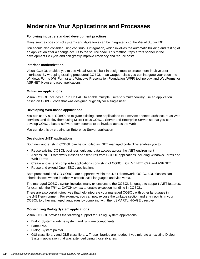## **Modernize Your Applications and Processes**

## **Following industry standard development practises**

Many source code control systems and Agile tools can be integrated into the Visual Studio IDE.

You should also consider using continuous integration, which involves the automatic building and testing of an application after a change occurs to the source code. This method traps errors sooner in the development life cycle and can greatly improve efficiency and reduce costs.

## **Interface modernization**

Visual COBOL enables you to use Visual Studio's built-in design tools to create more intuitive user interfaces. By wrapping existing procedural COBOL in an wrapper class you can integrate your code into Windows Forms (WinForms) and Windows Presentation Foundation (WPF) technology, and WebForms for ASP.NET browser-based applications.

## **Multi-user applications**

Visual COBOL includes a Run Unit API to enable multiple users to simultaneously use an application based on COBOL code that was designed originally for a single user.

## **Developing Web-based applications**

You can use Visual COBOL to migrate existing, core applications to a service oriented architecture as Web services, and deploy them using Micro Focus COBOL Server and Enterprise Server, so that you can develop COBOL-based software components to be invoked across the Web.

You can do this by creating an Enterprise Server application

## **Developing .NET applications**

Both new and existing COBOL can be compiled as .NET managed code. This enables you to:

- Reuse existing COBOL business logic and data access across the .NET environment
- Access .NET Framework classes and features from COBOL applications including Windows Forms and Web Forms
- Create and extend composite applications consisting of COBOL, C#, VB.NET, C++ and ASP.NET
- Reuse and extend Open ESQL applications

Both procedural and OO COBOL are supported within the .NET framework. OO COBOL classes can inherit classes written in other Microsoft .NET languages and vice versa.

The managed COBOL syntax includes many extensions to the COBOL language to support .NET features; for example, the TRY ... CATCH syntax to enable exception handling in COBOL.

There are also certain directives that help integrate your managed COBOL with other languages in the .NET environment. For example, you can now expose the Linkage section and entry points in your COBOL to other managed languages by compiling with the ILSMARTLINKAGE directive.

## **Modernizing Dialog System applications**

Visual COBOL provides the following support for Dialog System applications:

- Dialog System run-time system and run-time components.
- Panels V2.
- Dialog System painter.
- GUI class library and OLE class library. These libraries are needed if you migrate an existing Dialog System application that was extended using those libraries.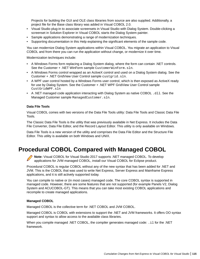Projects for building the GUI and OLE class libraries from source are also supplied. Additionally, a project file for the Base class library was added in Visual COBOL 2.0.

- Visual Studio plug-in to associate screensets in Visual Studio with Dialog System. Double-clicking a screenset in Solution Explorer in Visual COBOL starts the Dialog System painter.
- Sample applications demonstrating a range of modernization techniques.
- Supporting documentation in this Help explaining the significant elements of the sample code.

You can modernize Dialog System applications within Visual COBOL. You migrate an application to Visual COBOL and from there you can run the application without change, or modernize it over time.

Modernization techniques include:

- A Windows Forms form replacing a Dialog System dialog, where the form can contain .NET controls. See the Customer + .NET WinForm sample CustomerWinForm.sln.
- A Windows Forms control wrapped as an ActiveX control and used on a Dialog System dialog. See the Customer + .NET GridView User Control sample custgrid.sln.
- A WPF user control hosted by a Windows Forms user control, which is then exposed as ActiveX ready for use by Dialog System. See the Customer + .NET WPF GridView User Control sample CustGridWPF.sln
- A .NET managed code application interacting with Dialog System as native COBOL .dll. See the Managed Customer sample ManagedCustomer.sln.

## **Data File Tools**

Visual COBOL comes with two versions of the Data File Tools utility: Data File Tools and Classic Data File Tools.

The Classic Data File Tools is the utility that was previously available in Net Express. It includes the Data File Converter, Data File Editor, and the Record Layout Editor. This utility is only available on Windows.

Data File Tools is a new version of the utility and comprises the Data File Editor and the Structure File Editor. This utility is available on both Windows and UNIX.

## **Procedural COBOL Compared with Managed COBOL**

**Note:** Visual COBOL for Visual Studio 2017 supports .NET managed COBOL. To develop applications for JVM managed COBOL, install our Visual COBOL for Eclipse product.

Procedural COBOL is regular COBOL without any of the new syntax that has been added for .NET and JVM. This is the COBOL that was used to write Net Express, Server Express and Mainframe Express applications, and it is still actively supported today.

You can compile to native or (in most cases) managed code. The core COBOL syntax is supported in managed code. However, there are some features that are not supported (for example Panels V2, Dialog System and ACUCOBOL-GT). This means that you can take most existing COBOL applications and recompile to create managed applications.

#### **Managed COBOL**

Managed COBOL is the collective term for .NET COBOL and JVM COBOL.

Managed COBOL is COBOL with extensions to support the .NET and JVM frameworks. It offers OO syntax support and syntax to allow access to the available class libraries.

When you compile managed .NET COBOL, the compiler generates managed code: .il for the .NET framework.